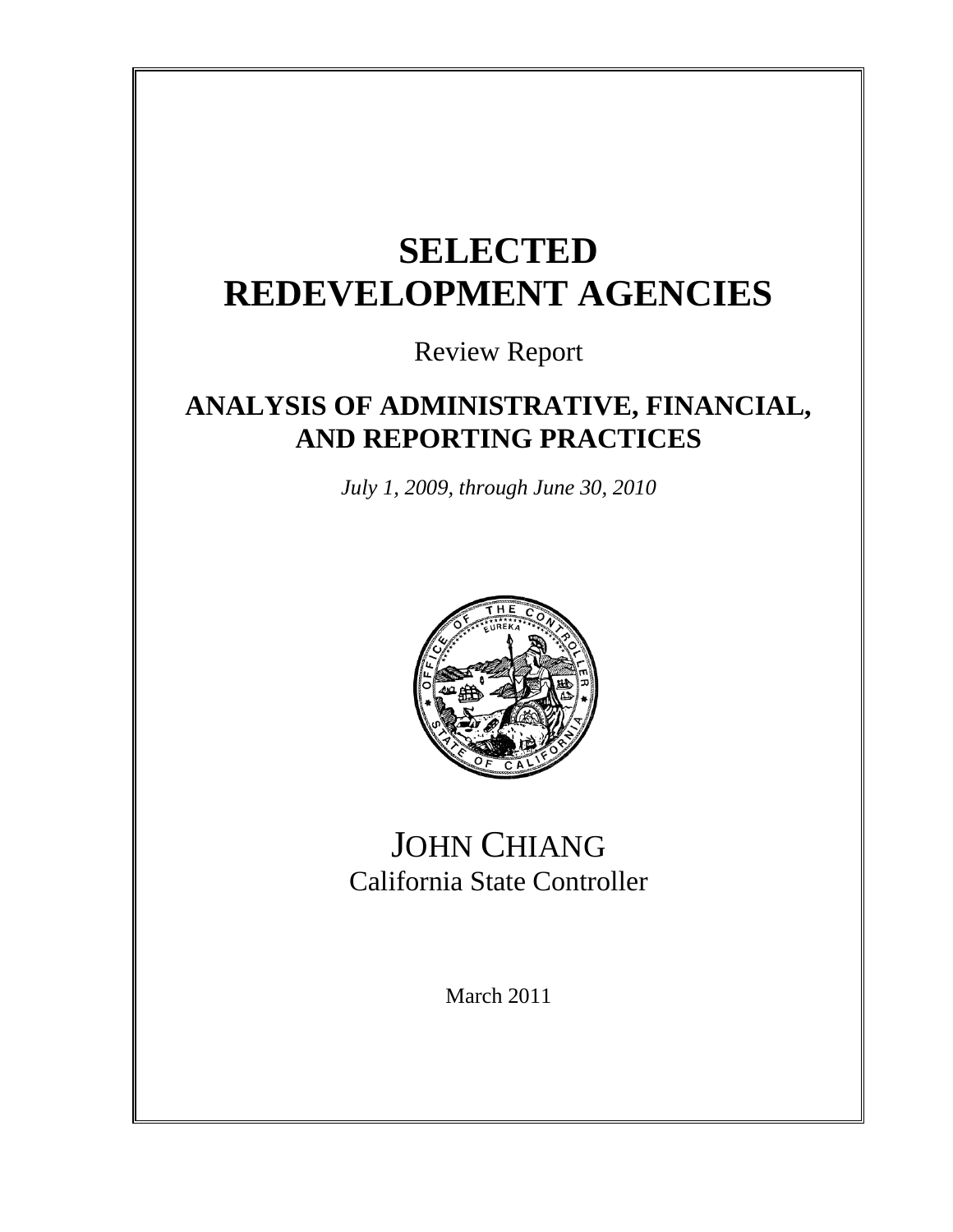# **SELECTED REDEVELOPMENT AGENCIES**

Review Report

# **ANALYSIS OF ADMINISTRATIVE, FINANCIAL, AND REPORTING PRACTICES**

*July 1, 2009, through June 30, 2010*



# JOHN CHIANG California State Controller

March 2011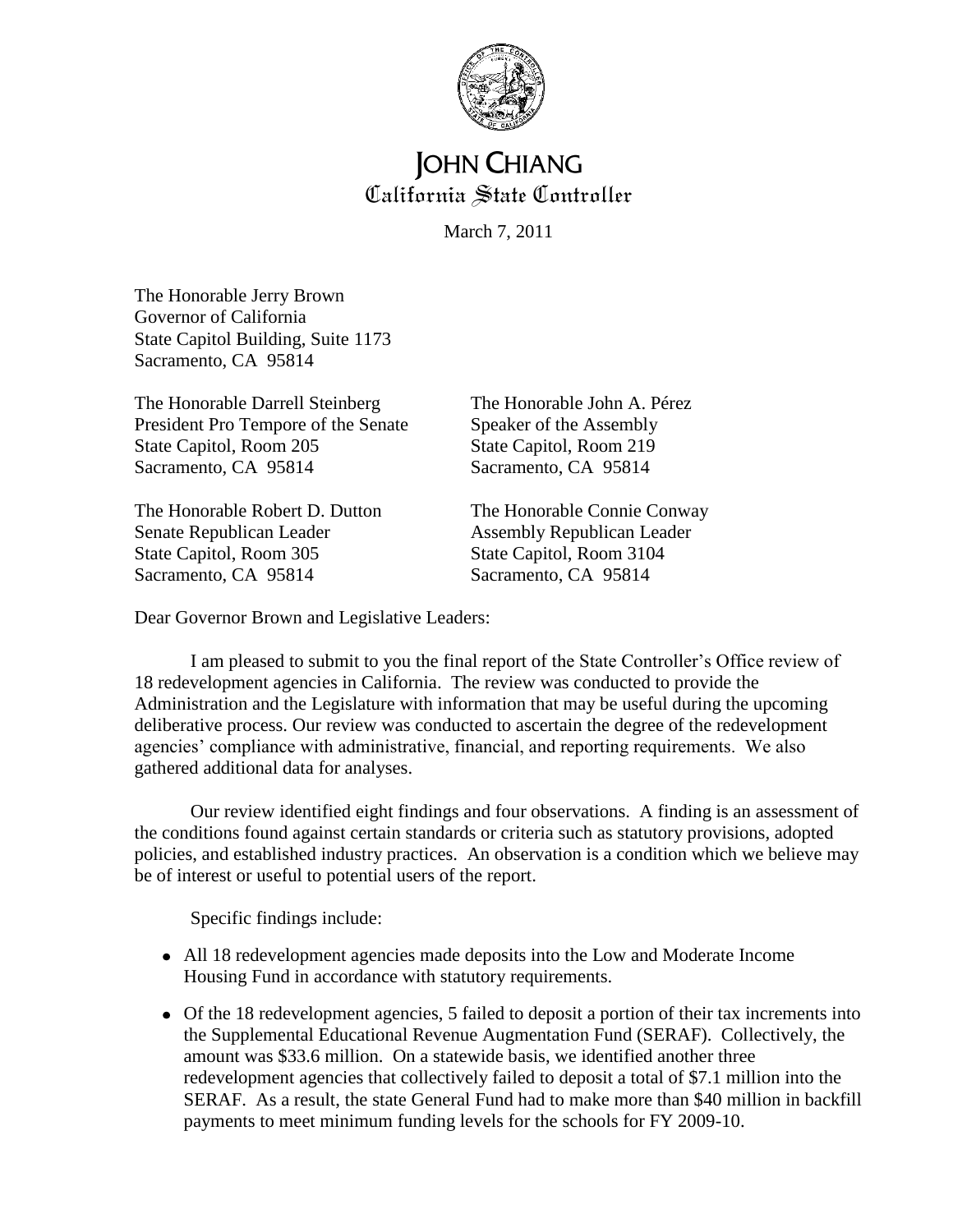

# **JOHN CHIANG** California State Controller

March 7, 2011

The Honorable Jerry Brown Governor of California State Capitol Building, Suite 1173 Sacramento, CA 95814

The Honorable Darrell Steinberg The Honorable John A. Pérez President Pro Tempore of the Senate Speaker of the Assembly State Capitol, Room 205 State Capitol, Room 219 Sacramento, CA 95814 Sacramento, CA 95814

The Honorable Robert D. Dutton The Honorable Connie Conway Senate Republican Leader Assembly Republican Leader State Capitol, Room 305 State Capitol, Room 3104 Sacramento, CA 95814 Sacramento, CA 95814

Dear Governor Brown and Legislative Leaders:

I am pleased to submit to you the final report of the State Controller's Office review of 18 redevelopment agencies in California. The review was conducted to provide the Administration and the Legislature with information that may be useful during the upcoming deliberative process. Our review was conducted to ascertain the degree of the redevelopment agencies' compliance with administrative, financial, and reporting requirements. We also gathered additional data for analyses.

Our review identified eight findings and four observations. A finding is an assessment of the conditions found against certain standards or criteria such as statutory provisions, adopted policies, and established industry practices. An observation is a condition which we believe may be of interest or useful to potential users of the report.

Specific findings include:

- All 18 redevelopment agencies made deposits into the Low and Moderate Income Housing Fund in accordance with statutory requirements.
- Of the 18 redevelopment agencies, 5 failed to deposit a portion of their tax increments into the Supplemental Educational Revenue Augmentation Fund (SERAF). Collectively, the amount was \$33.6 million. On a statewide basis, we identified another three redevelopment agencies that collectively failed to deposit a total of \$7.1 million into the SERAF. As a result, the state General Fund had to make more than \$40 million in backfill payments to meet minimum funding levels for the schools for FY 2009-10.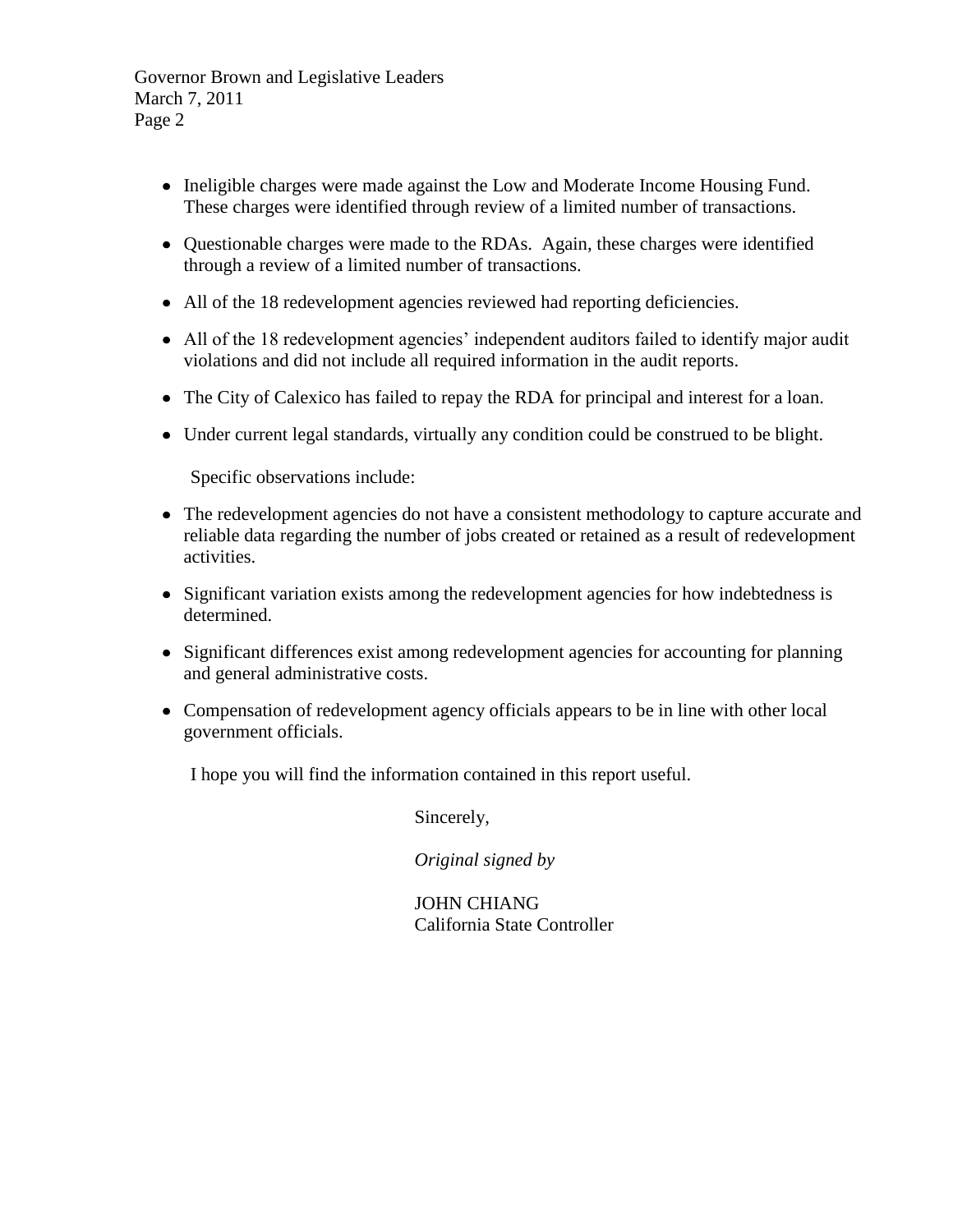Governor Brown and Legislative Leaders March 7, 2011 Page 2

- Ineligible charges were made against the Low and Moderate Income Housing Fund. These charges were identified through review of a limited number of transactions.
- Questionable charges were made to the RDAs. Again, these charges were identified through a review of a limited number of transactions.
- All of the 18 redevelopment agencies reviewed had reporting deficiencies.
- All of the 18 redevelopment agencies' independent auditors failed to identify major audit violations and did not include all required information in the audit reports.
- The City of Calexico has failed to repay the RDA for principal and interest for a loan.
- Under current legal standards, virtually any condition could be construed to be blight.

Specific observations include:

- The redevelopment agencies do not have a consistent methodology to capture accurate and reliable data regarding the number of jobs created or retained as a result of redevelopment activities.
- Significant variation exists among the redevelopment agencies for how indebtedness is determined.
- Significant differences exist among redevelopment agencies for accounting for planning and general administrative costs.
- Compensation of redevelopment agency officials appears to be in line with other local government officials.

I hope you will find the information contained in this report useful.

Sincerely,

*Original signed by*

JOHN CHIANG California State Controller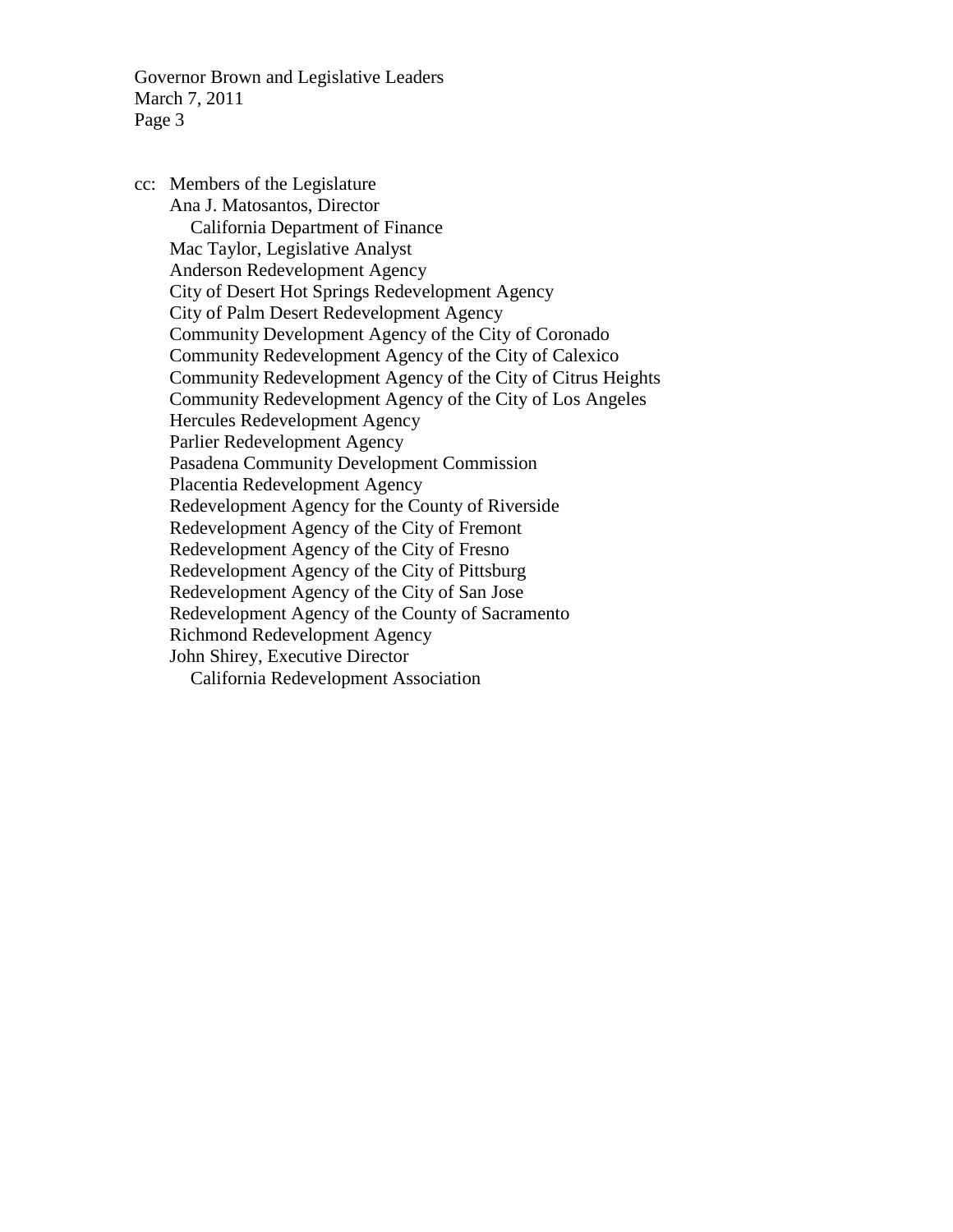Governor Brown and Legislative Leaders March 7, 2011 Page 3

cc: Members of the Legislature Ana J. Matosantos, Director California Department of Finance Mac Taylor, Legislative Analyst Anderson Redevelopment Agency City of Desert Hot Springs Redevelopment Agency City of Palm Desert Redevelopment Agency Community Development Agency of the City of Coronado Community Redevelopment Agency of the City of Calexico Community Redevelopment Agency of the City of Citrus Heights Community Redevelopment Agency of the City of Los Angeles Hercules Redevelopment Agency Parlier Redevelopment Agency Pasadena Community Development Commission Placentia Redevelopment Agency Redevelopment Agency for the County of Riverside Redevelopment Agency of the City of Fremont Redevelopment Agency of the City of Fresno Redevelopment Agency of the City of Pittsburg Redevelopment Agency of the City of San Jose Redevelopment Agency of the County of Sacramento Richmond Redevelopment Agency John Shirey, Executive Director California Redevelopment Association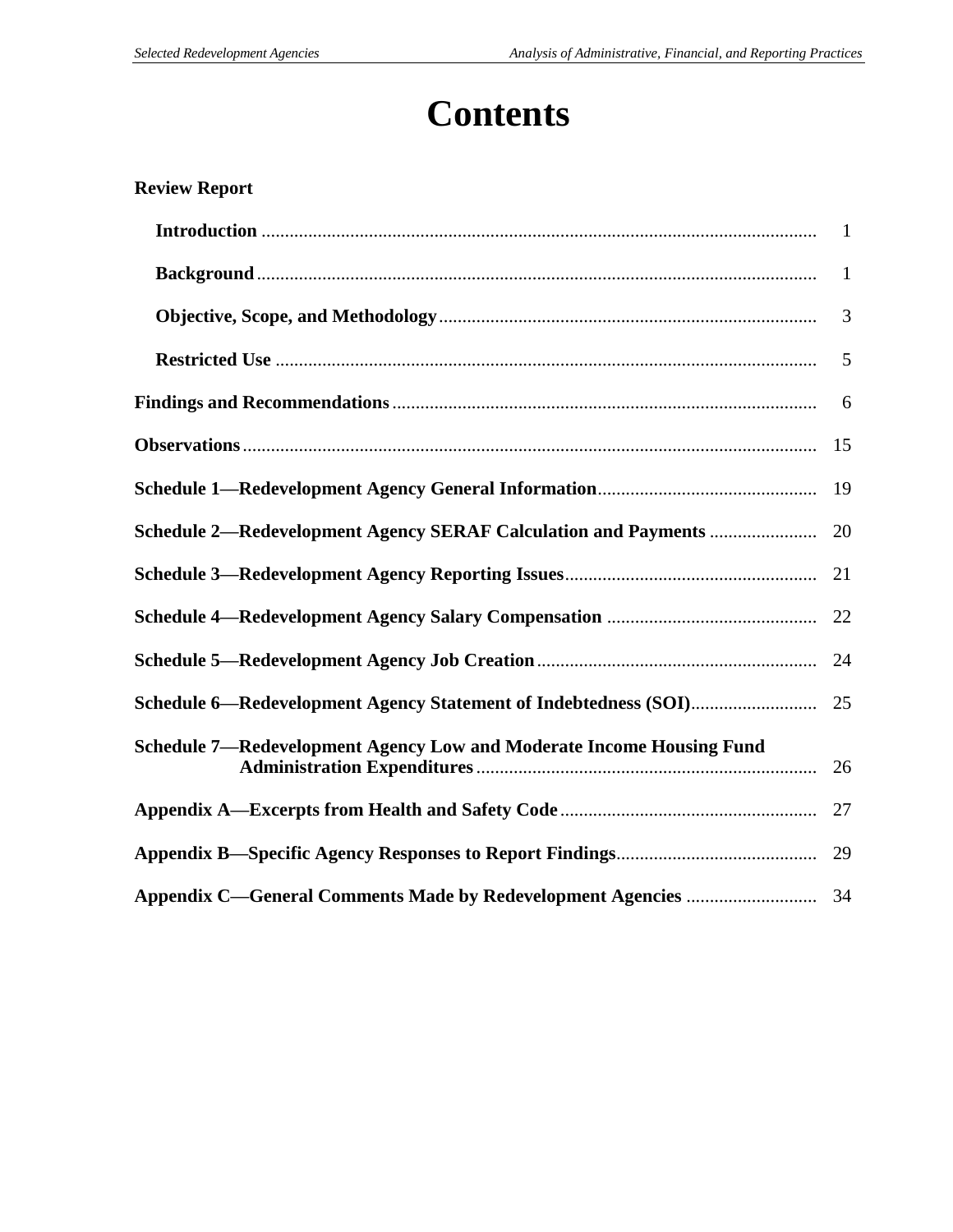# **Contents**

| <b>Review Report</b>                                                 |    |
|----------------------------------------------------------------------|----|
|                                                                      |    |
|                                                                      |    |
|                                                                      | 3  |
|                                                                      | 5  |
|                                                                      | 6  |
|                                                                      | 15 |
|                                                                      | 19 |
|                                                                      | 20 |
|                                                                      | 21 |
|                                                                      | 22 |
|                                                                      | 24 |
|                                                                      | 25 |
| Schedule 7—Redevelopment Agency Low and Moderate Income Housing Fund |    |
|                                                                      | 27 |
|                                                                      | 29 |
|                                                                      |    |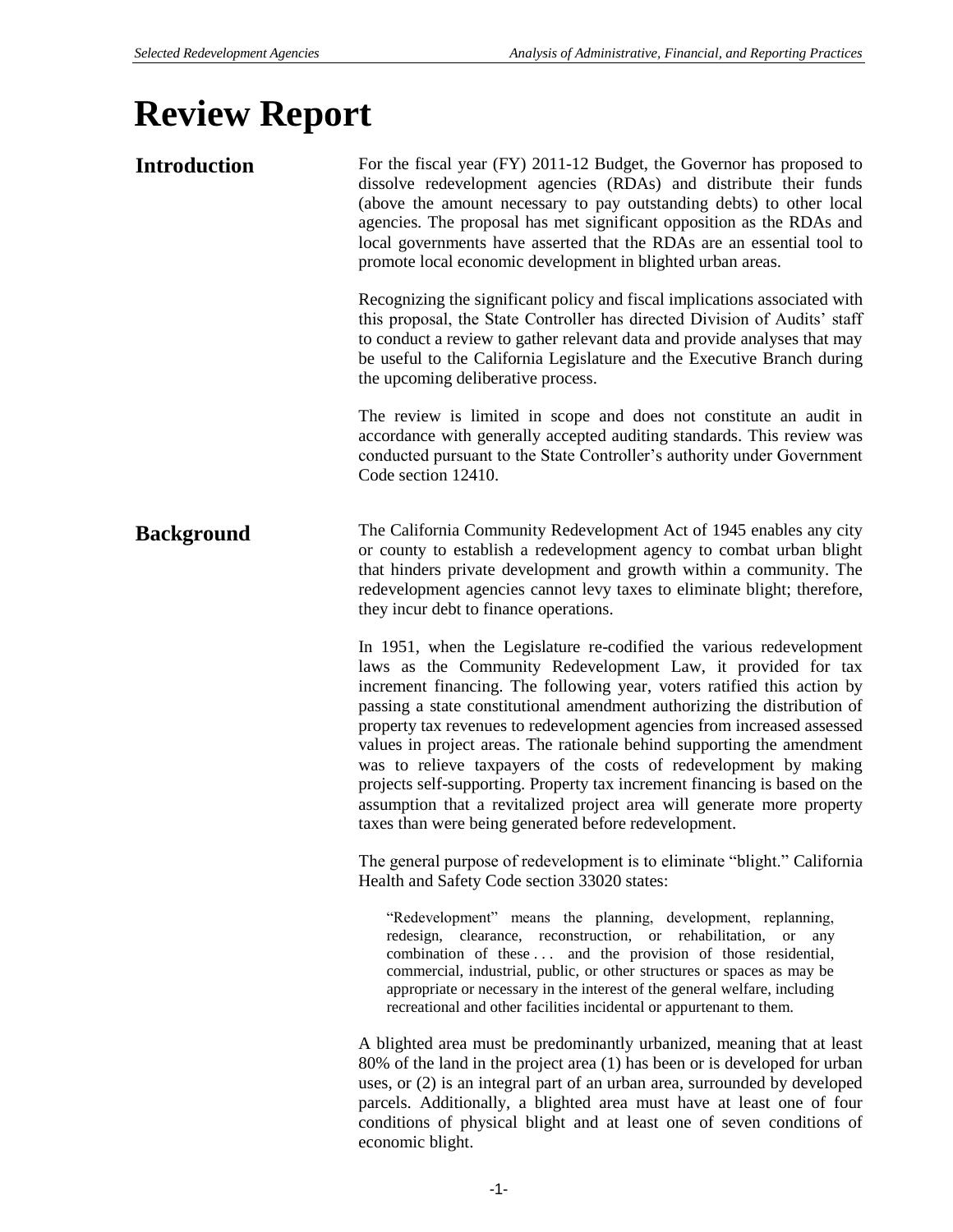# **Review Report**

| <b>Introduction</b> | For the fiscal year (FY) 2011-12 Budget, the Governor has proposed to<br>dissolve redevelopment agencies (RDAs) and distribute their funds<br>(above the amount necessary to pay outstanding debts) to other local<br>agencies. The proposal has met significant opposition as the RDAs and<br>local governments have asserted that the RDAs are an essential tool to<br>promote local economic development in blighted urban areas.                                                                                                                                                                                                                                                                                                 |
|---------------------|--------------------------------------------------------------------------------------------------------------------------------------------------------------------------------------------------------------------------------------------------------------------------------------------------------------------------------------------------------------------------------------------------------------------------------------------------------------------------------------------------------------------------------------------------------------------------------------------------------------------------------------------------------------------------------------------------------------------------------------|
|                     | Recognizing the significant policy and fiscal implications associated with<br>this proposal, the State Controller has directed Division of Audits' staff<br>to conduct a review to gather relevant data and provide analyses that may<br>be useful to the California Legislature and the Executive Branch during<br>the upcoming deliberative process.                                                                                                                                                                                                                                                                                                                                                                               |
|                     | The review is limited in scope and does not constitute an audit in<br>accordance with generally accepted auditing standards. This review was<br>conducted pursuant to the State Controller's authority under Government<br>Code section 12410.                                                                                                                                                                                                                                                                                                                                                                                                                                                                                       |
| <b>Background</b>   | The California Community Redevelopment Act of 1945 enables any city<br>or county to establish a redevelopment agency to combat urban blight<br>that hinders private development and growth within a community. The<br>redevelopment agencies cannot levy taxes to eliminate blight; therefore,<br>they incur debt to finance operations.                                                                                                                                                                                                                                                                                                                                                                                             |
|                     | In 1951, when the Legislature re-codified the various redevelopment<br>laws as the Community Redevelopment Law, it provided for tax<br>increment financing. The following year, voters ratified this action by<br>passing a state constitutional amendment authorizing the distribution of<br>property tax revenues to redevelopment agencies from increased assessed<br>values in project areas. The rationale behind supporting the amendment<br>was to relieve taxpayers of the costs of redevelopment by making<br>projects self-supporting. Property tax increment financing is based on the<br>assumption that a revitalized project area will generate more property<br>taxes than were being generated before redevelopment. |
|                     | The general purpose of redevelopment is to eliminate "blight." California<br>Health and Safety Code section 33020 states:                                                                                                                                                                                                                                                                                                                                                                                                                                                                                                                                                                                                            |
|                     | "Redevelopment" means the planning, development, replanning,<br>redesign, clearance, reconstruction, or rehabilitation, or<br>any<br>combination of these  and the provision of those residential,<br>commercial, industrial, public, or other structures or spaces as may be<br>appropriate or necessary in the interest of the general welfare, including<br>recreational and other facilities incidental or appurtenant to them.                                                                                                                                                                                                                                                                                                  |
|                     | A blighted area must be predominantly urbanized, meaning that at least<br>80% of the land in the project area (1) has been or is developed for urban<br>uses, or (2) is an integral part of an urban area, surrounded by developed<br>parcels. Additionally, a blighted area must have at least one of four<br>conditions of physical blight and at least one of seven conditions of<br>economic blight.                                                                                                                                                                                                                                                                                                                             |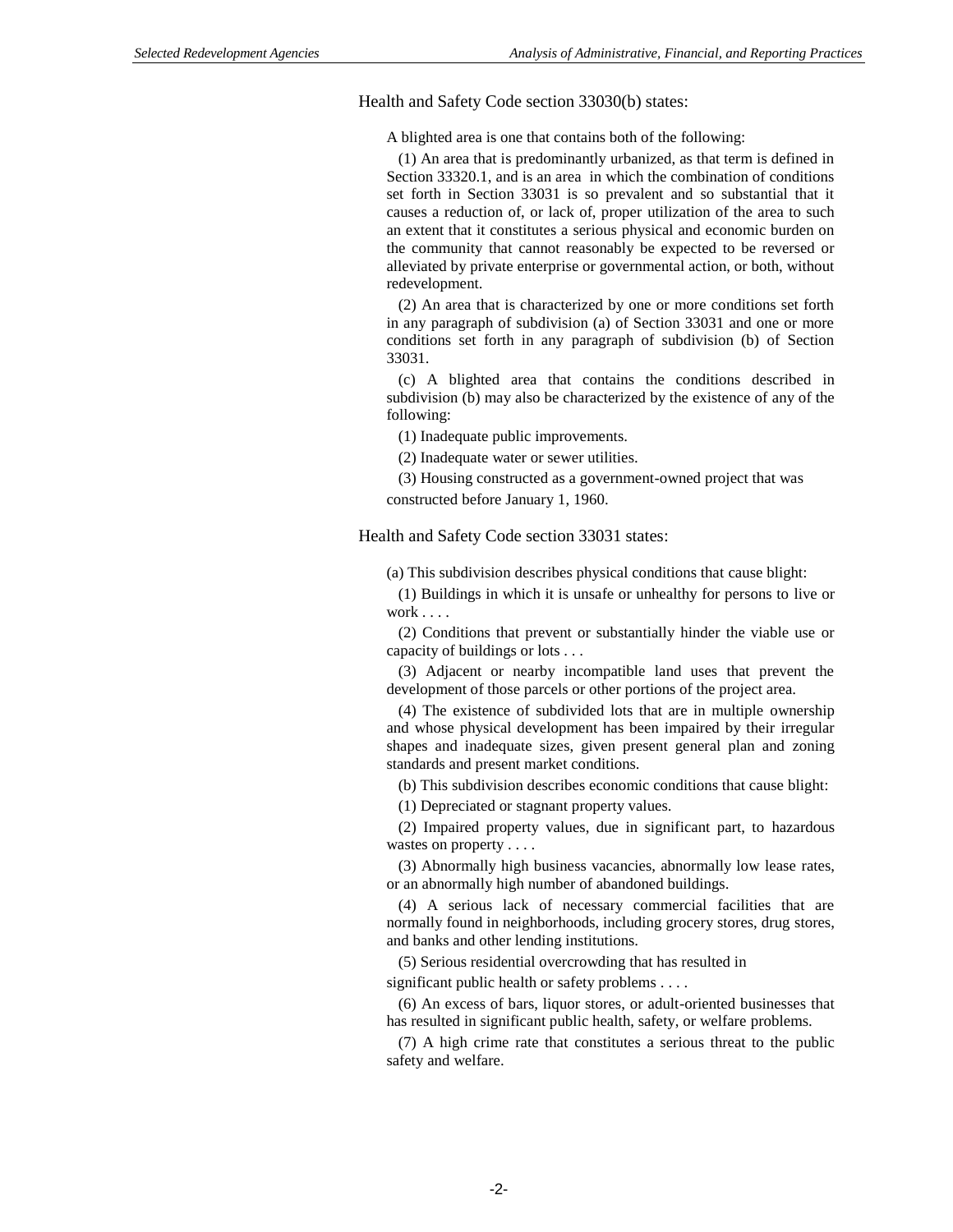Health and Safety Code section 33030(b) states:

A blighted area is one that contains both of the following:

 (1) An area that is predominantly urbanized, as that term is defined in Section 33320.1, and is an area in which the combination of conditions set forth in Section 33031 is so prevalent and so substantial that it causes a reduction of, or lack of, proper utilization of the area to such an extent that it constitutes a serious physical and economic burden on the community that cannot reasonably be expected to be reversed or alleviated by private enterprise or governmental action, or both, without redevelopment.

 (2) An area that is characterized by one or more conditions set forth in any paragraph of subdivision (a) of Section 33031 and one or more conditions set forth in any paragraph of subdivision (b) of Section 33031.

 (c) A blighted area that contains the conditions described in subdivision (b) may also be characterized by the existence of any of the following:

(1) Inadequate public improvements.

(2) Inadequate water or sewer utilities.

 (3) Housing constructed as a government-owned project that was constructed before January 1, 1960.

Health and Safety Code section 33031 states:

(a) This subdivision describes physical conditions that cause blight:

 (1) Buildings in which it is unsafe or unhealthy for persons to live or work . . . .

 (2) Conditions that prevent or substantially hinder the viable use or capacity of buildings or lots . . .

 (3) Adjacent or nearby incompatible land uses that prevent the development of those parcels or other portions of the project area.

 (4) The existence of subdivided lots that are in multiple ownership and whose physical development has been impaired by their irregular shapes and inadequate sizes, given present general plan and zoning standards and present market conditions.

(b) This subdivision describes economic conditions that cause blight:

(1) Depreciated or stagnant property values.

 (2) Impaired property values, due in significant part, to hazardous wastes on property . . . .

 (3) Abnormally high business vacancies, abnormally low lease rates, or an abnormally high number of abandoned buildings.

 (4) A serious lack of necessary commercial facilities that are normally found in neighborhoods, including grocery stores, drug stores, and banks and other lending institutions.

(5) Serious residential overcrowding that has resulted in

significant public health or safety problems . . . .

 (6) An excess of bars, liquor stores, or adult-oriented businesses that has resulted in significant public health, safety, or welfare problems.

 (7) A high crime rate that constitutes a serious threat to the public safety and welfare.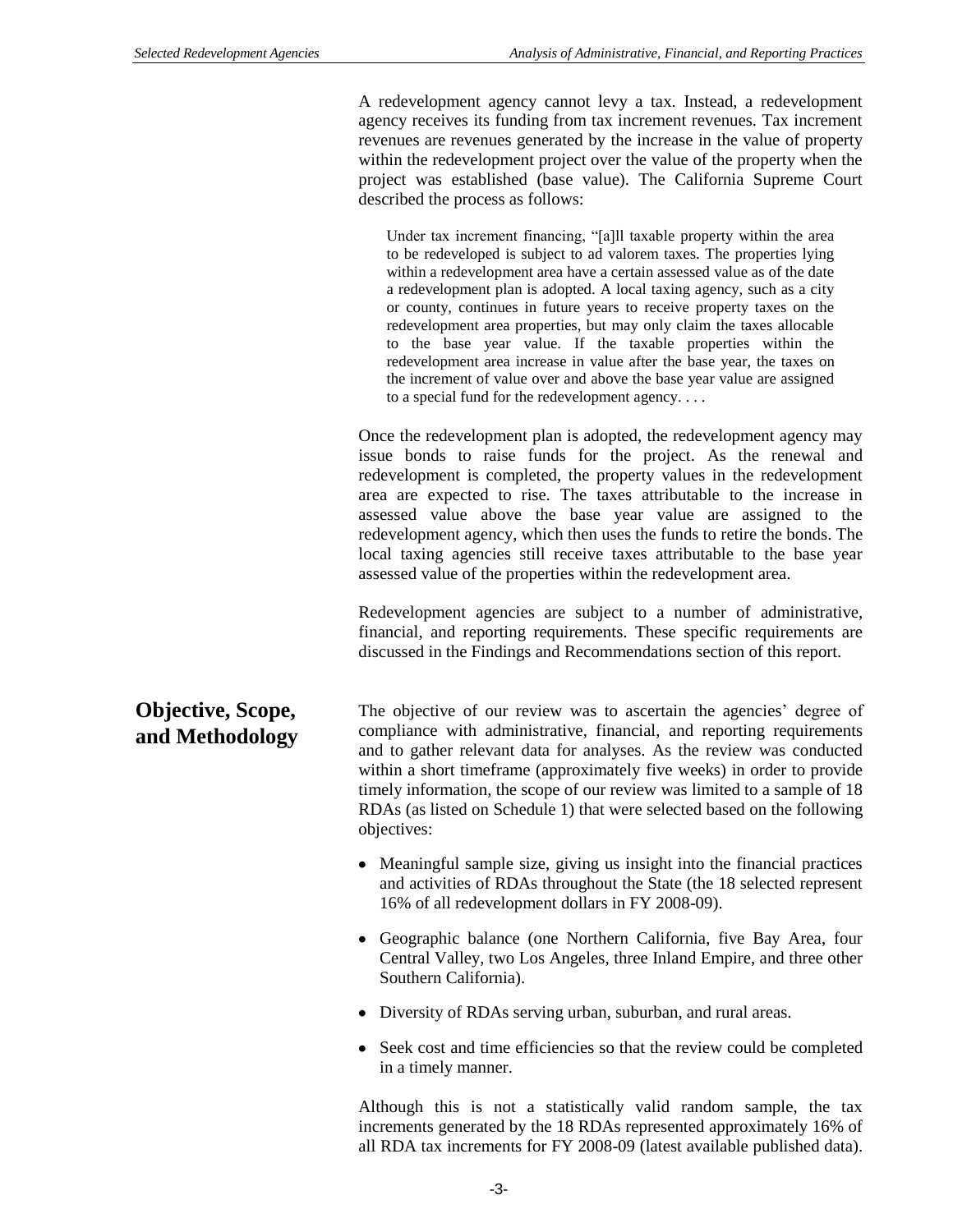A redevelopment agency cannot levy a tax. Instead, a redevelopment agency receives its funding from tax increment revenues. Tax increment revenues are revenues generated by the increase in the value of property within the redevelopment project over the value of the property when the project was established (base value). The California Supreme Court described the process as follows:

Under tax increment financing, "[a]ll taxable property within the area to be redeveloped is subject to ad valorem taxes. The properties lying within a redevelopment area have a certain assessed value as of the date a redevelopment plan is adopted. A local taxing agency, such as a city or county, continues in future years to receive property taxes on the redevelopment area properties, but may only claim the taxes allocable to the base year value. If the taxable properties within the redevelopment area increase in value after the base year, the taxes on the increment of value over and above the base year value are assigned to a special fund for the redevelopment agency. . . .

Once the redevelopment plan is adopted, the redevelopment agency may issue bonds to raise funds for the project. As the renewal and redevelopment is completed, the property values in the redevelopment area are expected to rise. The taxes attributable to the increase in assessed value above the base year value are assigned to the redevelopment agency, which then uses the funds to retire the bonds. The local taxing agencies still receive taxes attributable to the base year assessed value of the properties within the redevelopment area.

Redevelopment agencies are subject to a number of administrative, financial, and reporting requirements. These specific requirements are discussed in the Findings and Recommendations section of this report.

**Objective, Scope, and Methodology** The objective of our review was to ascertain the agencies' degree of compliance with administrative, financial, and reporting requirements and to gather relevant data for analyses. As the review was conducted within a short timeframe (approximately five weeks) in order to provide timely information, the scope of our review was limited to a sample of 18 RDAs (as listed on Schedule 1) that were selected based on the following objectives:

- Meaningful sample size, giving us insight into the financial practices and activities of RDAs throughout the State (the 18 selected represent 16% of all redevelopment dollars in FY 2008-09).
- Geographic balance (one Northern California, five Bay Area, four Central Valley, two Los Angeles, three Inland Empire, and three other Southern California).
- Diversity of RDAs serving urban, suburban, and rural areas.
- Seek cost and time efficiencies so that the review could be completed in a timely manner.

Although this is not a statistically valid random sample, the tax increments generated by the 18 RDAs represented approximately 16% of all RDA tax increments for FY 2008-09 (latest available published data).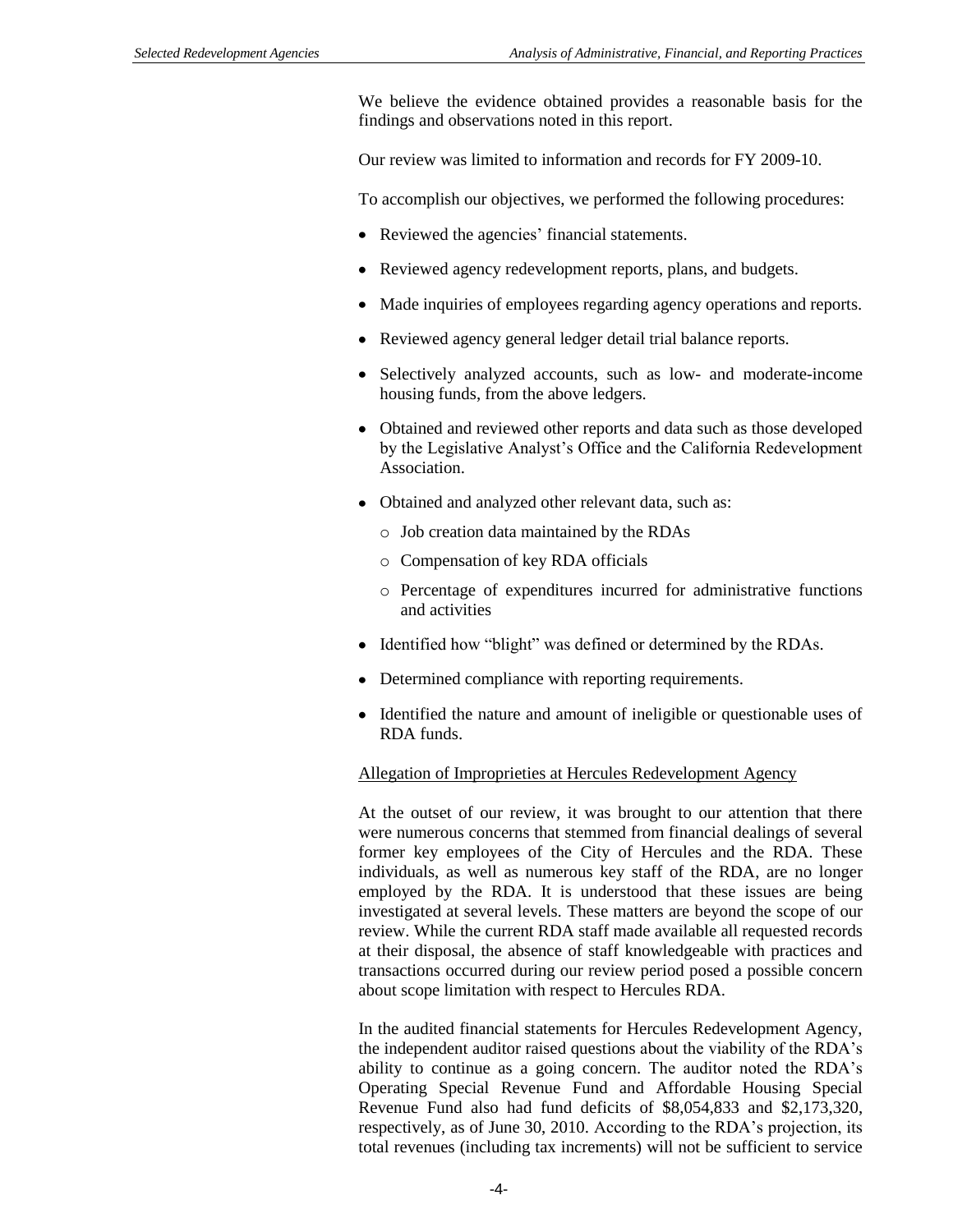We believe the evidence obtained provides a reasonable basis for the findings and observations noted in this report.

Our review was limited to information and records for FY 2009-10.

To accomplish our objectives, we performed the following procedures:

- Reviewed the agencies' financial statements.
- Reviewed agency redevelopment reports, plans, and budgets.
- Made inquiries of employees regarding agency operations and reports.
- Reviewed agency general ledger detail trial balance reports.
- Selectively analyzed accounts, such as low- and moderate-income housing funds, from the above ledgers.
- Obtained and reviewed other reports and data such as those developed by the Legislative Analyst's Office and the California Redevelopment Association.
- Obtained and analyzed other relevant data, such as:
	- o Job creation data maintained by the RDAs
	- o Compensation of key RDA officials
	- o Percentage of expenditures incurred for administrative functions and activities
- Identified how "blight" was defined or determined by the RDAs.
- Determined compliance with reporting requirements.
- Identified the nature and amount of ineligible or questionable uses of RDA funds.

#### Allegation of Improprieties at Hercules Redevelopment Agency

At the outset of our review, it was brought to our attention that there were numerous concerns that stemmed from financial dealings of several former key employees of the City of Hercules and the RDA. These individuals, as well as numerous key staff of the RDA, are no longer employed by the RDA. It is understood that these issues are being investigated at several levels. These matters are beyond the scope of our review. While the current RDA staff made available all requested records at their disposal, the absence of staff knowledgeable with practices and transactions occurred during our review period posed a possible concern about scope limitation with respect to Hercules RDA.

In the audited financial statements for Hercules Redevelopment Agency, the independent auditor raised questions about the viability of the RDA's ability to continue as a going concern. The auditor noted the RDA's Operating Special Revenue Fund and Affordable Housing Special Revenue Fund also had fund deficits of \$8,054,833 and \$2,173,320, respectively, as of June 30, 2010. According to the RDA's projection, its total revenues (including tax increments) will not be sufficient to service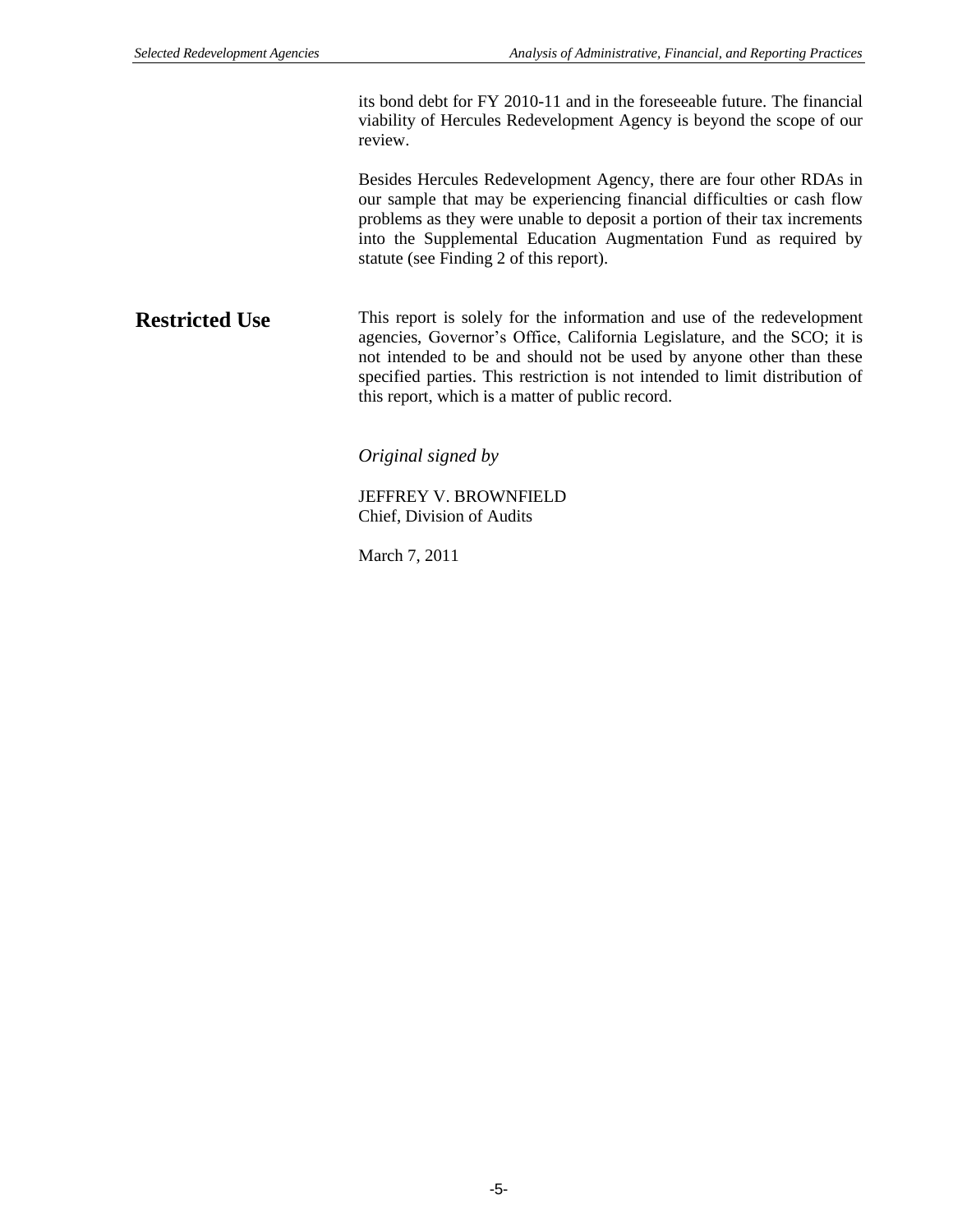its bond debt for FY 2010-11 and in the foreseeable future. The financial viability of Hercules Redevelopment Agency is beyond the scope of our review.

Besides Hercules Redevelopment Agency, there are four other RDAs in our sample that may be experiencing financial difficulties or cash flow problems as they were unable to deposit a portion of their tax increments into the Supplemental Education Augmentation Fund as required by statute (see Finding 2 of this report).

This report is solely for the information and use of the redevelopment agencies, Governor's Office, California Legislature, and the SCO; it is not intended to be and should not be used by anyone other than these specified parties. This restriction is not intended to limit distribution of this report, which is a matter of public record. **Restricted Use**

*Original signed by*

JEFFREY V. BROWNFIELD Chief, Division of Audits

March 7, 2011

-5-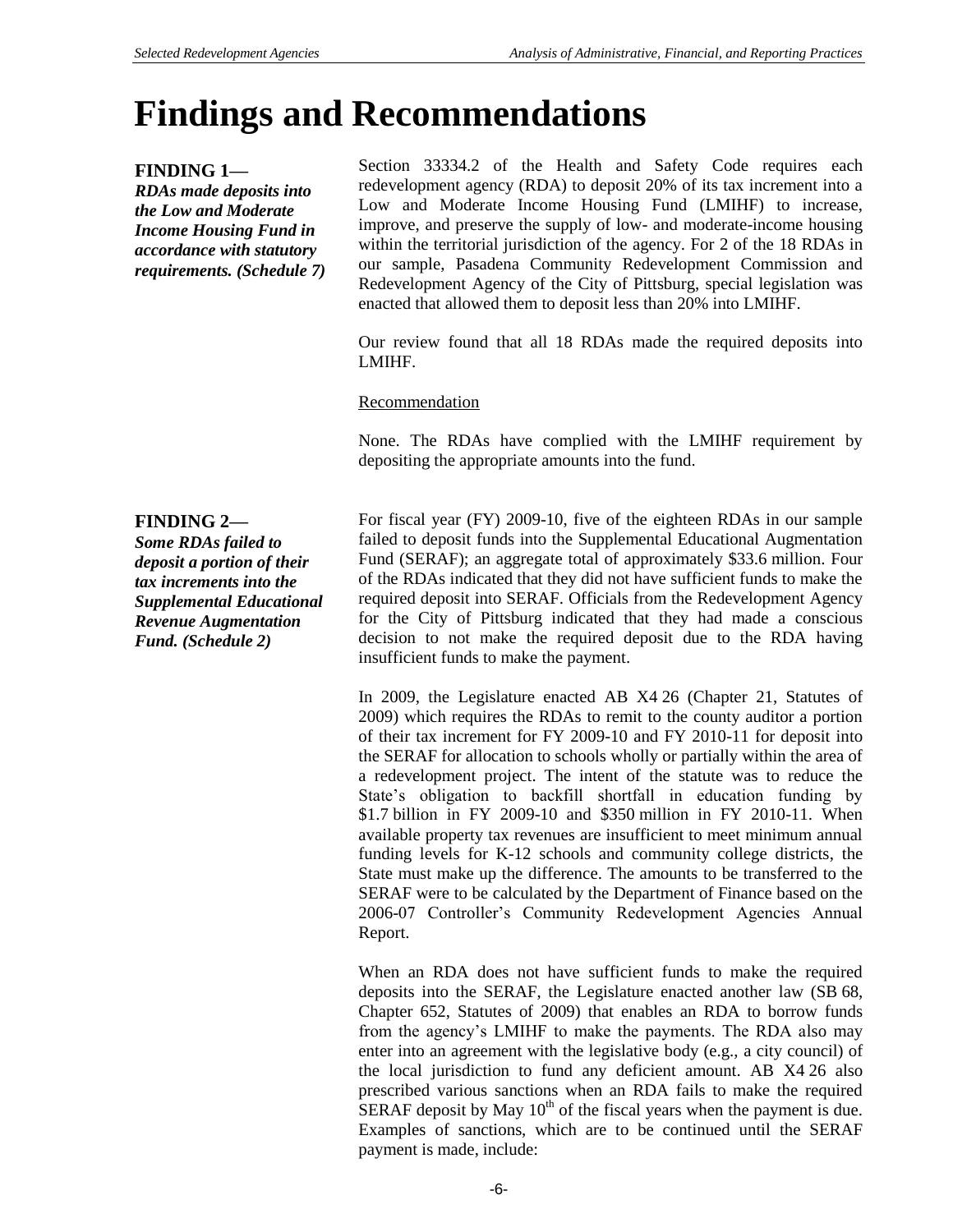# **Findings and Recommendations**

# **FINDING 1—**

*RDAs made deposits into the Low and Moderate Income Housing Fund in accordance with statutory requirements. (Schedule 7)* Section 33334.2 of the Health and Safety Code requires each redevelopment agency (RDA) to deposit 20% of its tax increment into a Low and Moderate Income Housing Fund (LMIHF) to increase, improve, and preserve the supply of low- and moderate-income housing within the territorial jurisdiction of the agency. For 2 of the 18 RDAs in our sample, Pasadena Community Redevelopment Commission and Redevelopment Agency of the City of Pittsburg, special legislation was enacted that allowed them to deposit less than 20% into LMIHF.

Our review found that all 18 RDAs made the required deposits into LMIHF.

## Recommendation

None. The RDAs have complied with the LMIHF requirement by depositing the appropriate amounts into the fund.

For fiscal year (FY) 2009-10, five of the eighteen RDAs in our sample failed to deposit funds into the Supplemental Educational Augmentation Fund (SERAF); an aggregate total of approximately \$33.6 million. Four of the RDAs indicated that they did not have sufficient funds to make the required deposit into SERAF. Officials from the Redevelopment Agency for the City of Pittsburg indicated that they had made a conscious decision to not make the required deposit due to the RDA having insufficient funds to make the payment.

> In 2009, the Legislature enacted AB X4 26 (Chapter 21, Statutes of 2009) which requires the RDAs to remit to the county auditor a portion of their tax increment for FY 2009-10 and FY 2010-11 for deposit into the SERAF for allocation to schools wholly or partially within the area of a redevelopment project. The intent of the statute was to reduce the State's obligation to backfill shortfall in education funding by \$1.7 billion in FY 2009-10 and \$350 million in FY 2010-11. When available property tax revenues are insufficient to meet minimum annual funding levels for K-12 schools and community college districts, the State must make up the difference. The amounts to be transferred to the SERAF were to be calculated by the Department of Finance based on the 2006-07 Controller's Community Redevelopment Agencies Annual Report.

> When an RDA does not have sufficient funds to make the required deposits into the SERAF, the Legislature enacted another law (SB 68, Chapter 652, Statutes of 2009) that enables an RDA to borrow funds from the agency's LMIHF to make the payments. The RDA also may enter into an agreement with the legislative body (e.g., a city council) of the local jurisdiction to fund any deficient amount. AB X4 26 also prescribed various sanctions when an RDA fails to make the required SERAF deposit by May  $10^{th}$  of the fiscal years when the payment is due. Examples of sanctions, which are to be continued until the SERAF payment is made, include:

**FINDING 2—** *Some RDAs failed to deposit a portion of their tax increments into the Supplemental Educational Revenue Augmentation Fund. (Schedule 2)*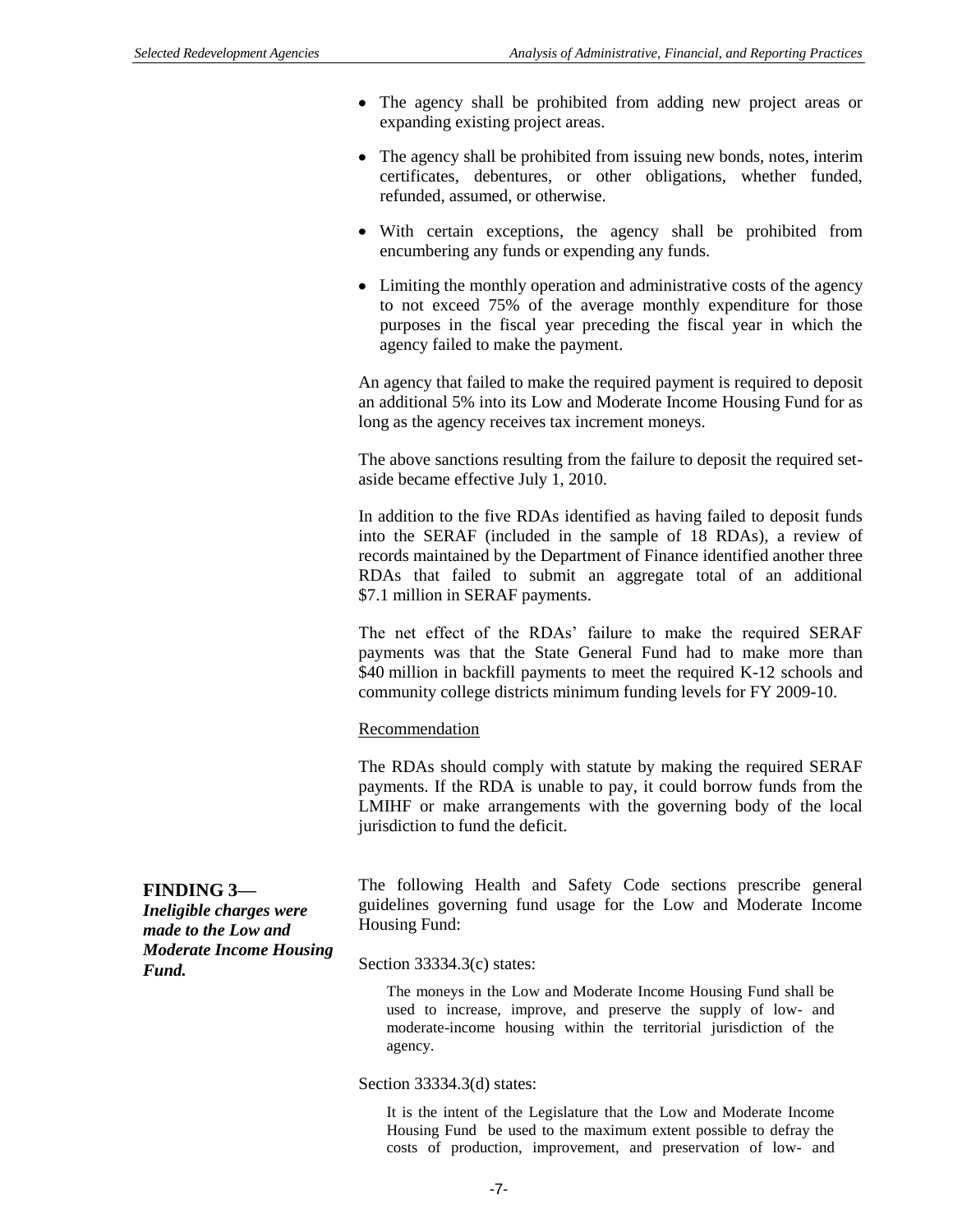- The agency shall be prohibited from adding new project areas or expanding existing project areas.
- The agency shall be prohibited from issuing new bonds, notes, interim certificates, debentures, or other obligations, whether funded, refunded, assumed, or otherwise.
- With certain exceptions, the agency shall be prohibited from encumbering any funds or expending any funds.
- Limiting the monthly operation and administrative costs of the agency to not exceed 75% of the average monthly expenditure for those purposes in the fiscal year preceding the fiscal year in which the agency failed to make the payment.

An agency that failed to make the required payment is required to deposit an additional 5% into its Low and Moderate Income Housing Fund for as long as the agency receives tax increment moneys.

The above sanctions resulting from the failure to deposit the required setaside became effective July 1, 2010.

In addition to the five RDAs identified as having failed to deposit funds into the SERAF (included in the sample of 18 RDAs), a review of records maintained by the Department of Finance identified another three RDAs that failed to submit an aggregate total of an additional \$7.1 million in SERAF payments.

The net effect of the RDAs' failure to make the required SERAF payments was that the State General Fund had to make more than \$40 million in backfill payments to meet the required K-12 schools and community college districts minimum funding levels for FY 2009-10.

### Recommendation

The RDAs should comply with statute by making the required SERAF payments. If the RDA is unable to pay, it could borrow funds from the LMIHF or make arrangements with the governing body of the local jurisdiction to fund the deficit.

| <b>FINDING 3-</b>                       | The following Health and Safety Code sections prescribe general |
|-----------------------------------------|-----------------------------------------------------------------|
| Ineligible charges were                 | guidelines governing fund usage for the Low and Moderate Income |
| made to the Low and                     | Housing Fund:                                                   |
| <b>Moderate Income Housing</b><br>Fund. | Section $33334.3(c)$ states:                                    |

The moneys in the Low and Moderate Income Housing Fund shall be used to increase, improve, and preserve the supply of low- and moderate-income housing within the territorial jurisdiction of the agency.

#### Section 33334.3(d) states:

It is the intent of the Legislature that the Low and Moderate Income Housing Fund be used to the maximum extent possible to defray the costs of production, improvement, and preservation of low- and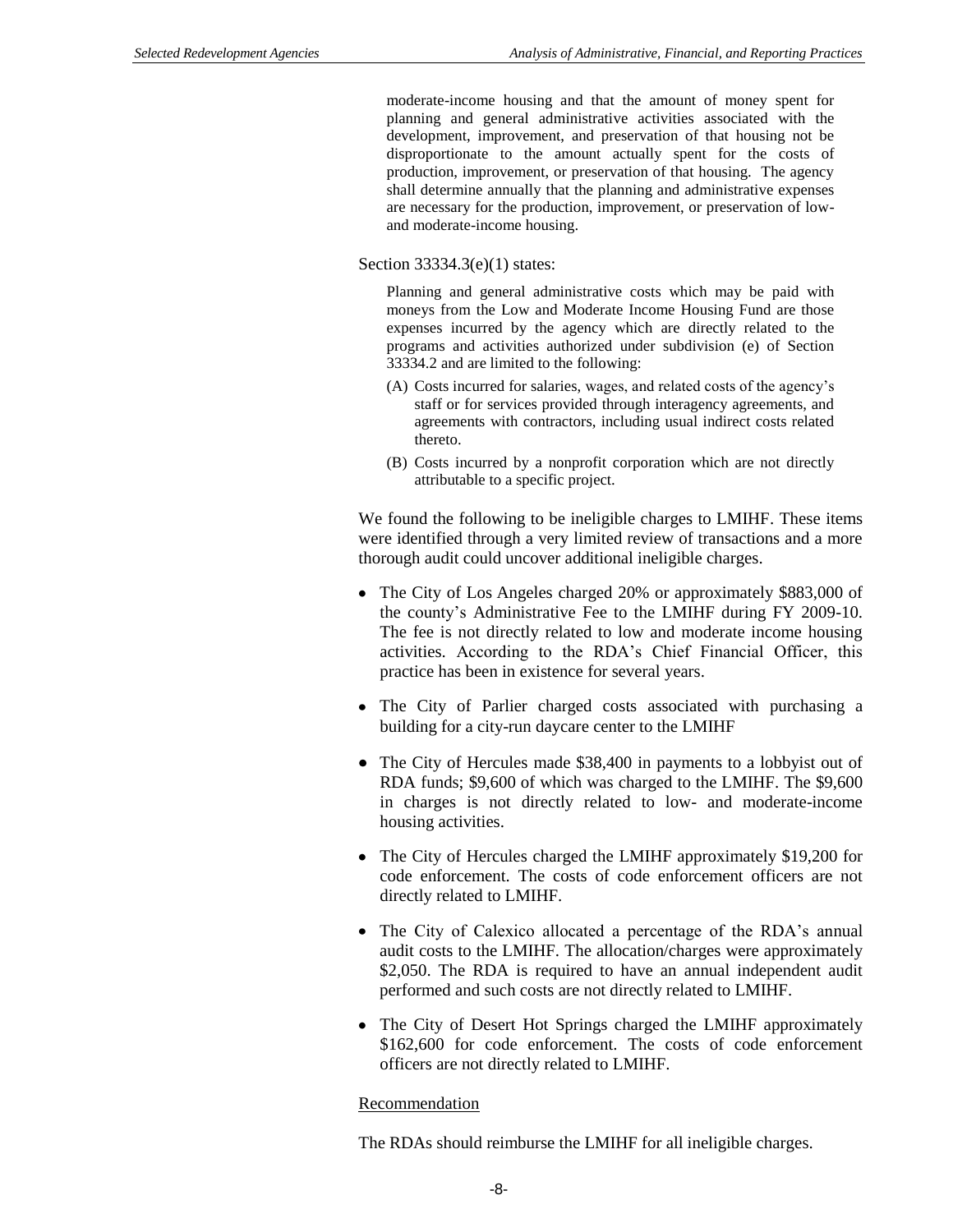moderate-income housing and that the amount of money spent for planning and general administrative activities associated with the development, improvement, and preservation of that housing not be disproportionate to the amount actually spent for the costs of production, improvement, or preservation of that housing. The agency shall determine annually that the planning and administrative expenses are necessary for the production, improvement, or preservation of lowand moderate-income housing.

#### Section 33334.3(e)(1) states:

Planning and general administrative costs which may be paid with moneys from the Low and Moderate Income Housing Fund are those expenses incurred by the agency which are directly related to the programs and activities authorized under subdivision (e) of Section 33334.2 and are limited to the following:

- (A) Costs incurred for salaries, wages, and related costs of the agency's staff or for services provided through interagency agreements, and agreements with contractors, including usual indirect costs related thereto.
- (B) Costs incurred by a nonprofit corporation which are not directly attributable to a specific project.

We found the following to be ineligible charges to LMIHF. These items were identified through a very limited review of transactions and a more thorough audit could uncover additional ineligible charges.

- The City of Los Angeles charged 20% or approximately \$883,000 of the county's Administrative Fee to the LMIHF during FY 2009-10. The fee is not directly related to low and moderate income housing activities. According to the RDA's Chief Financial Officer, this practice has been in existence for several years.
- The City of Parlier charged costs associated with purchasing a building for a city-run daycare center to the LMIHF
- The City of Hercules made \$38,400 in payments to a lobbyist out of RDA funds; \$9,600 of which was charged to the LMIHF. The \$9,600 in charges is not directly related to low- and moderate-income housing activities.
- The City of Hercules charged the LMIHF approximately \$19,200 for code enforcement. The costs of code enforcement officers are not directly related to LMIHF.
- The City of Calexico allocated a percentage of the RDA's annual audit costs to the LMIHF. The allocation/charges were approximately \$2,050. The RDA is required to have an annual independent audit performed and such costs are not directly related to LMIHF.
- The City of Desert Hot Springs charged the LMIHF approximately \$162,600 for code enforcement. The costs of code enforcement officers are not directly related to LMIHF.

#### Recommendation

The RDAs should reimburse the LMIHF for all ineligible charges.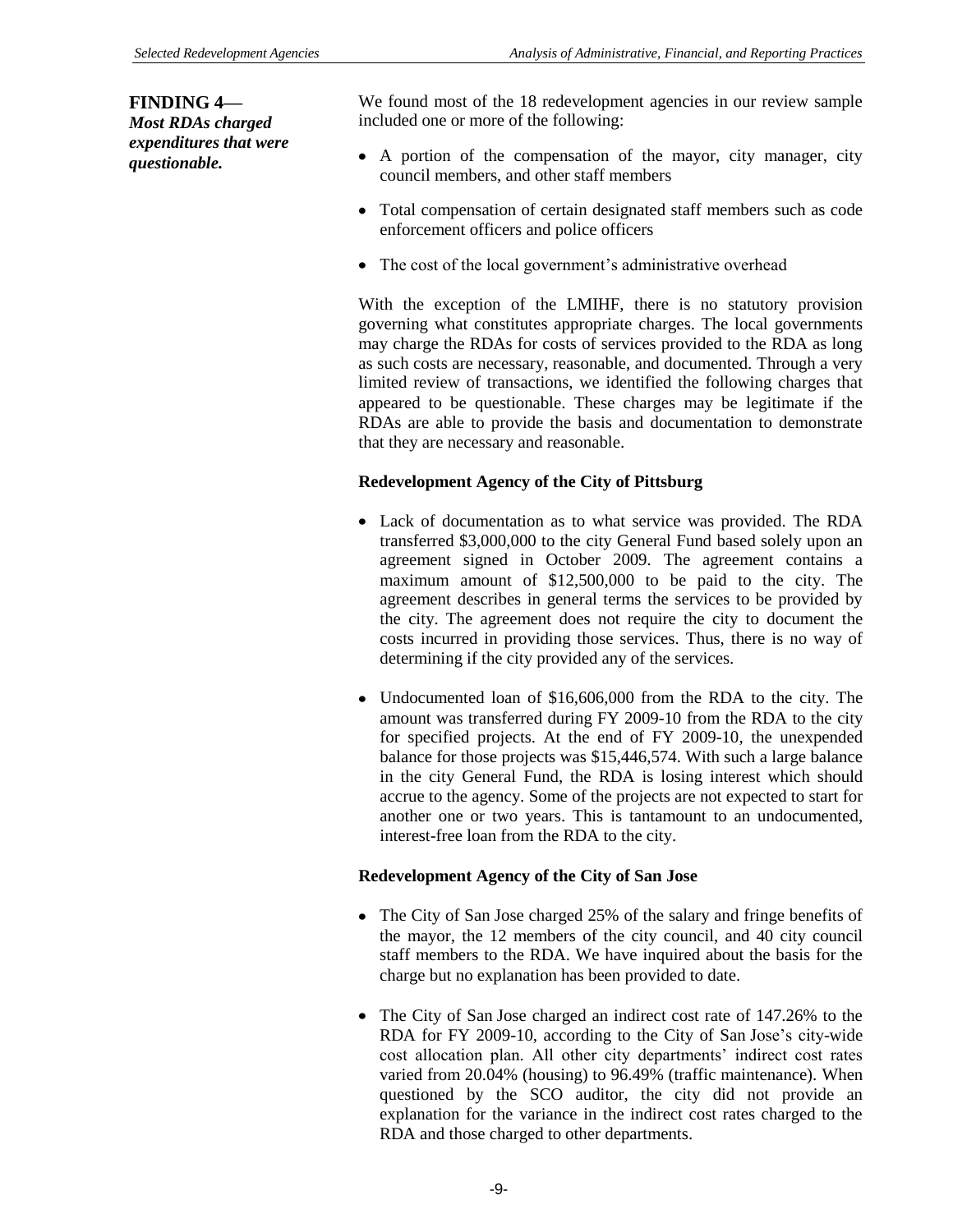**FINDING 4—** *Most RDAs charged expenditures that were questionable.*

We found most of the 18 redevelopment agencies in our review sample included one or more of the following:

- A portion of the compensation of the mayor, city manager, city council members, and other staff members
- Total compensation of certain designated staff members such as code enforcement officers and police officers
- The cost of the local government's administrative overhead

With the exception of the LMIHF, there is no statutory provision governing what constitutes appropriate charges. The local governments may charge the RDAs for costs of services provided to the RDA as long as such costs are necessary, reasonable, and documented. Through a very limited review of transactions, we identified the following charges that appeared to be questionable. These charges may be legitimate if the RDAs are able to provide the basis and documentation to demonstrate that they are necessary and reasonable.

## **Redevelopment Agency of the City of Pittsburg**

- Lack of documentation as to what service was provided. The RDA transferred \$3,000,000 to the city General Fund based solely upon an agreement signed in October 2009. The agreement contains a maximum amount of \$12,500,000 to be paid to the city. The agreement describes in general terms the services to be provided by the city. The agreement does not require the city to document the costs incurred in providing those services. Thus, there is no way of determining if the city provided any of the services.
- Undocumented loan of \$16,606,000 from the RDA to the city. The amount was transferred during FY 2009-10 from the RDA to the city for specified projects. At the end of FY 2009-10, the unexpended balance for those projects was \$15,446,574. With such a large balance in the city General Fund, the RDA is losing interest which should accrue to the agency. Some of the projects are not expected to start for another one or two years. This is tantamount to an undocumented, interest-free loan from the RDA to the city.

### **Redevelopment Agency of the City of San Jose**

- The City of San Jose charged 25% of the salary and fringe benefits of the mayor, the 12 members of the city council, and 40 city council staff members to the RDA. We have inquired about the basis for the charge but no explanation has been provided to date.
- The City of San Jose charged an indirect cost rate of 147.26% to the RDA for FY 2009-10, according to the City of San Jose's city-wide cost allocation plan. All other city departments' indirect cost rates varied from 20.04% (housing) to 96.49% (traffic maintenance). When questioned by the SCO auditor, the city did not provide an explanation for the variance in the indirect cost rates charged to the RDA and those charged to other departments.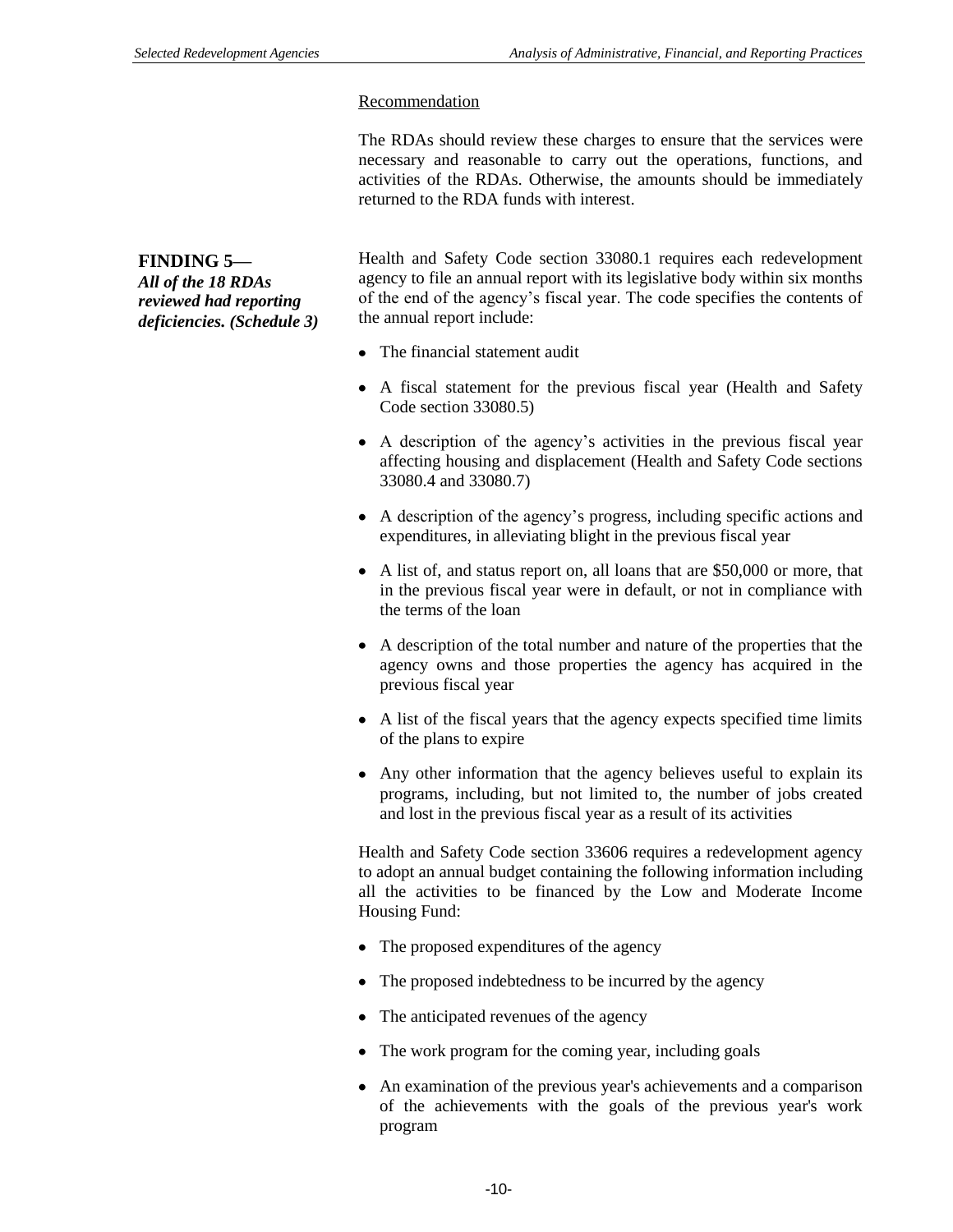#### Recommendation

The RDAs should review these charges to ensure that the services were necessary and reasonable to carry out the operations, functions, and activities of the RDAs. Otherwise, the amounts should be immediately returned to the RDA funds with interest.

**FINDING 5—**

*All of the 18 RDAs reviewed had reporting deficiencies. (Schedule 3)* Health and Safety Code section 33080.1 requires each redevelopment agency to file an annual report with its legislative body within six months of the end of the agency's fiscal year. The code specifies the contents of the annual report include:

- The financial statement audit
- A fiscal statement for the previous fiscal year (Health and Safety Code section 33080.5)
- A description of the agency's activities in the previous fiscal year affecting housing and displacement (Health and Safety Code sections 33080.4 and 33080.7)
- A description of the agency's progress, including specific actions and expenditures, in alleviating blight in the previous fiscal year
- A list of, and status report on, all loans that are \$50,000 or more, that in the previous fiscal year were in default, or not in compliance with the terms of the loan
- A description of the total number and nature of the properties that the agency owns and those properties the agency has acquired in the previous fiscal year
- A list of the fiscal years that the agency expects specified time limits of the plans to expire
- Any other information that the agency believes useful to explain its programs, including, but not limited to, the number of jobs created and lost in the previous fiscal year as a result of its activities

Health and Safety Code section 33606 requires a redevelopment agency to adopt an annual budget containing the following information including all the activities to be financed by the Low and Moderate Income Housing Fund:

- The proposed expenditures of the agency
- The proposed indebtedness to be incurred by the agency
- The anticipated revenues of the agency
- The work program for the coming year, including goals
- An examination of the previous year's achievements and a comparison of the achievements with the goals of the previous year's work program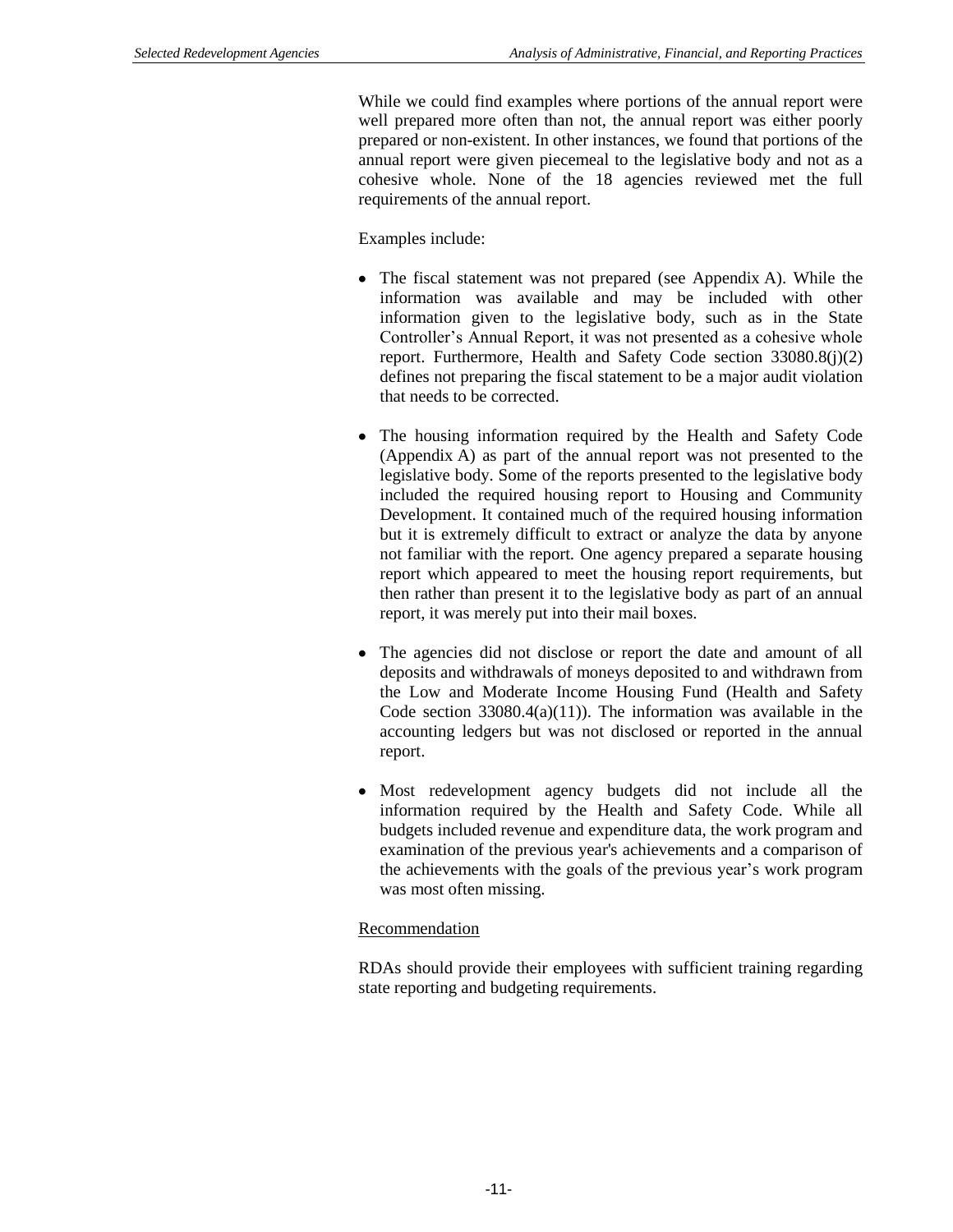While we could find examples where portions of the annual report were well prepared more often than not, the annual report was either poorly prepared or non-existent. In other instances, we found that portions of the annual report were given piecemeal to the legislative body and not as a cohesive whole. None of the 18 agencies reviewed met the full requirements of the annual report.

Examples include:

- The fiscal statement was not prepared (see Appendix A). While the information was available and may be included with other information given to the legislative body, such as in the State Controller's Annual Report, it was not presented as a cohesive whole report. Furthermore, Health and Safety Code section 33080.8(j)(2) defines not preparing the fiscal statement to be a major audit violation that needs to be corrected.
- The housing information required by the Health and Safety Code (Appendix A) as part of the annual report was not presented to the legislative body. Some of the reports presented to the legislative body included the required housing report to Housing and Community Development. It contained much of the required housing information but it is extremely difficult to extract or analyze the data by anyone not familiar with the report. One agency prepared a separate housing report which appeared to meet the housing report requirements, but then rather than present it to the legislative body as part of an annual report, it was merely put into their mail boxes.
- The agencies did not disclose or report the date and amount of all deposits and withdrawals of moneys deposited to and withdrawn from the Low and Moderate Income Housing Fund (Health and Safety Code section  $33080.4(a)(11)$ . The information was available in the accounting ledgers but was not disclosed or reported in the annual report.
- Most redevelopment agency budgets did not include all the information required by the Health and Safety Code. While all budgets included revenue and expenditure data, the work program and examination of the previous year's achievements and a comparison of the achievements with the goals of the previous year's work program was most often missing.

### Recommendation

RDAs should provide their employees with sufficient training regarding state reporting and budgeting requirements.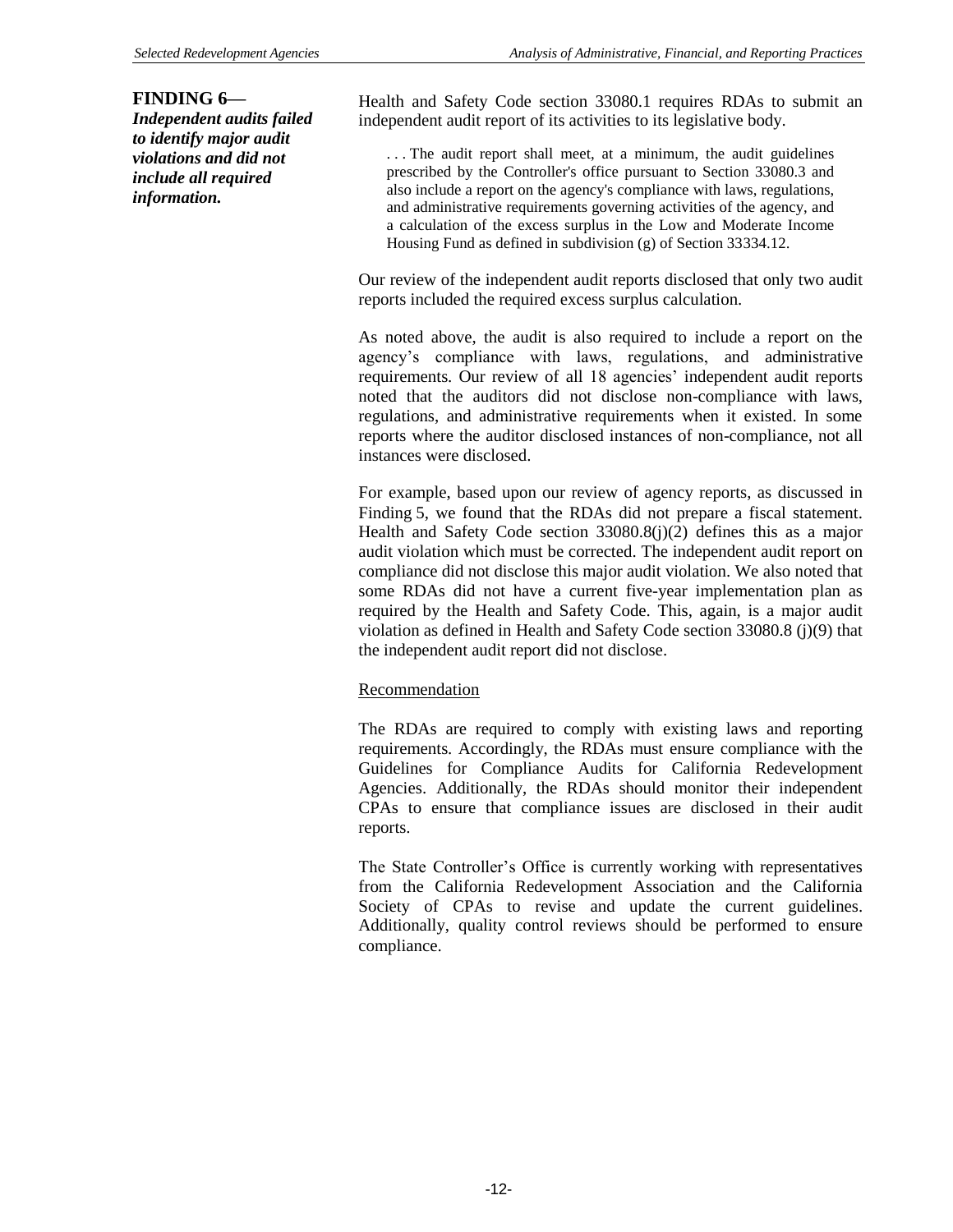#### **FINDING 6—**

*Independent audits failed to identify major audit violations and did not include all required information.*

Health and Safety Code section 33080.1 requires RDAs to submit an independent audit report of its activities to its legislative body.

. . . The audit report shall meet, at a minimum, the audit guidelines prescribed by the Controller's office pursuant to Section 33080.3 and also include a report on the agency's compliance with laws, regulations, and administrative requirements governing activities of the agency, and a calculation of the excess surplus in the Low and Moderate Income Housing Fund as defined in subdivision (g) of Section 33334.12.

Our review of the independent audit reports disclosed that only two audit reports included the required excess surplus calculation.

As noted above, the audit is also required to include a report on the agency's compliance with laws, regulations, and administrative requirements. Our review of all 18 agencies' independent audit reports noted that the auditors did not disclose non-compliance with laws, regulations, and administrative requirements when it existed. In some reports where the auditor disclosed instances of non-compliance, not all instances were disclosed.

For example, based upon our review of agency reports, as discussed in Finding 5, we found that the RDAs did not prepare a fiscal statement. Health and Safety Code section 33080.8(j)(2) defines this as a major audit violation which must be corrected. The independent audit report on compliance did not disclose this major audit violation. We also noted that some RDAs did not have a current five-year implementation plan as required by the Health and Safety Code. This, again, is a major audit violation as defined in Health and Safety Code section 33080.8 (j)(9) that the independent audit report did not disclose.

### Recommendation

The RDAs are required to comply with existing laws and reporting requirements. Accordingly, the RDAs must ensure compliance with the Guidelines for Compliance Audits for California Redevelopment Agencies. Additionally, the RDAs should monitor their independent CPAs to ensure that compliance issues are disclosed in their audit reports.

The State Controller's Office is currently working with representatives from the California Redevelopment Association and the California Society of CPAs to revise and update the current guidelines. Additionally, quality control reviews should be performed to ensure compliance.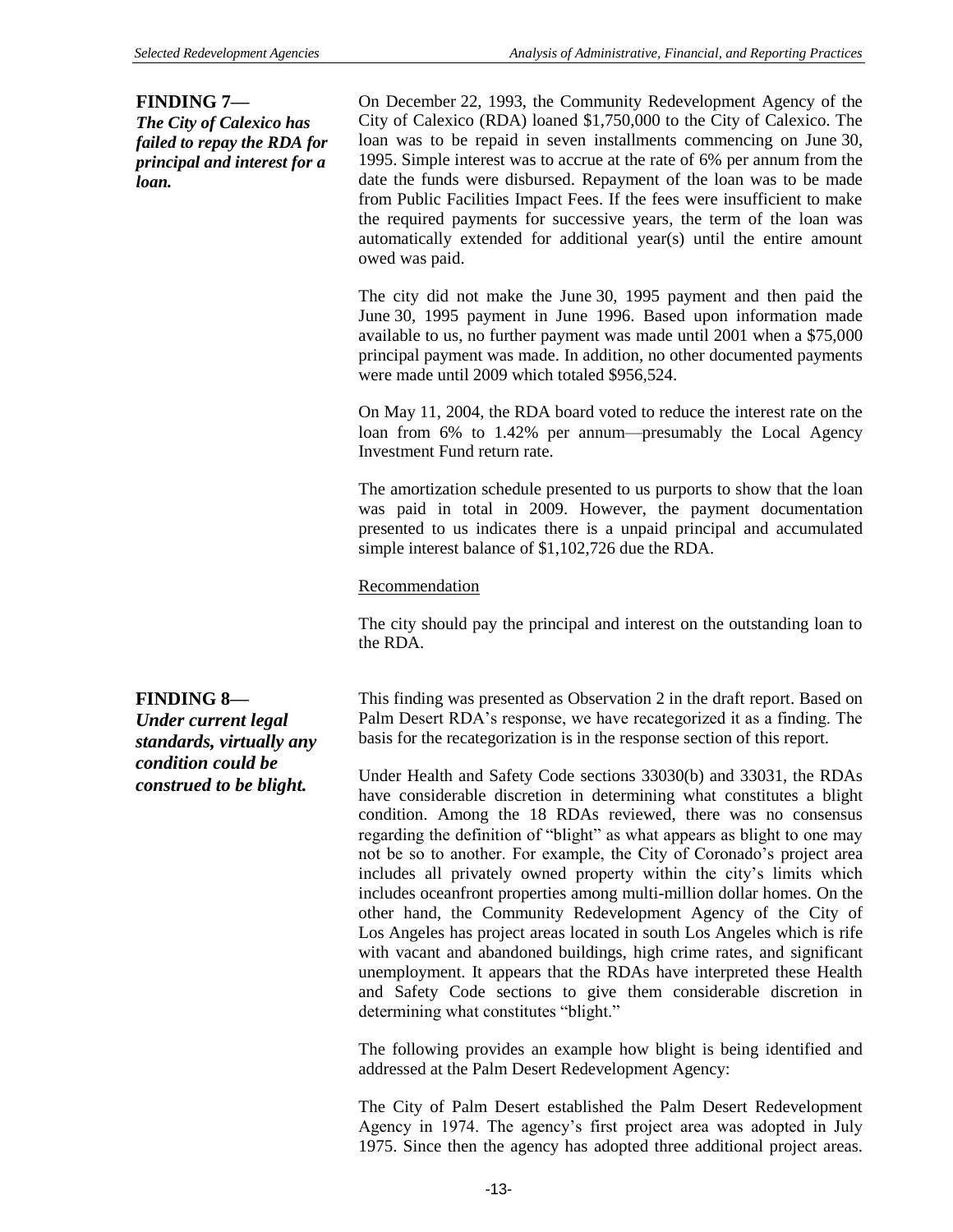#### **FINDING 7—**

*The City of Calexico has failed to repay the RDA for principal and interest for a loan.*

On December 22, 1993, the Community Redevelopment Agency of the City of Calexico (RDA) loaned \$1,750,000 to the City of Calexico. The loan was to be repaid in seven installments commencing on June 30, 1995. Simple interest was to accrue at the rate of 6% per annum from the date the funds were disbursed. Repayment of the loan was to be made from Public Facilities Impact Fees. If the fees were insufficient to make the required payments for successive years, the term of the loan was automatically extended for additional year(s) until the entire amount owed was paid.

The city did not make the June 30, 1995 payment and then paid the June 30, 1995 payment in June 1996. Based upon information made available to us, no further payment was made until 2001 when a \$75,000 principal payment was made. In addition, no other documented payments were made until 2009 which totaled \$956,524.

On May 11, 2004, the RDA board voted to reduce the interest rate on the loan from 6% to 1.42% per annum—presumably the Local Agency Investment Fund return rate.

The amortization schedule presented to us purports to show that the loan was paid in total in 2009. However, the payment documentation presented to us indicates there is a unpaid principal and accumulated simple interest balance of \$1,102,726 due the RDA.

### Recommendation

The city should pay the principal and interest on the outstanding loan to the RDA.

# **FINDING 8—**

*Under current legal standards, virtually any condition could be construed to be blight.*

This finding was presented as Observation 2 in the draft report. Based on Palm Desert RDA's response, we have recategorized it as a finding. The basis for the recategorization is in the response section of this report.

Under Health and Safety Code sections 33030(b) and 33031, the RDAs have considerable discretion in determining what constitutes a blight condition. Among the 18 RDAs reviewed, there was no consensus regarding the definition of "blight" as what appears as blight to one may not be so to another. For example, the City of Coronado's project area includes all privately owned property within the city's limits which includes oceanfront properties among multi-million dollar homes. On the other hand, the Community Redevelopment Agency of the City of Los Angeles has project areas located in south Los Angeles which is rife with vacant and abandoned buildings, high crime rates, and significant unemployment. It appears that the RDAs have interpreted these Health and Safety Code sections to give them considerable discretion in determining what constitutes "blight."

The following provides an example how blight is being identified and addressed at the Palm Desert Redevelopment Agency:

The City of Palm Desert established the Palm Desert Redevelopment Agency in 1974. The agency's first project area was adopted in July 1975. Since then the agency has adopted three additional project areas.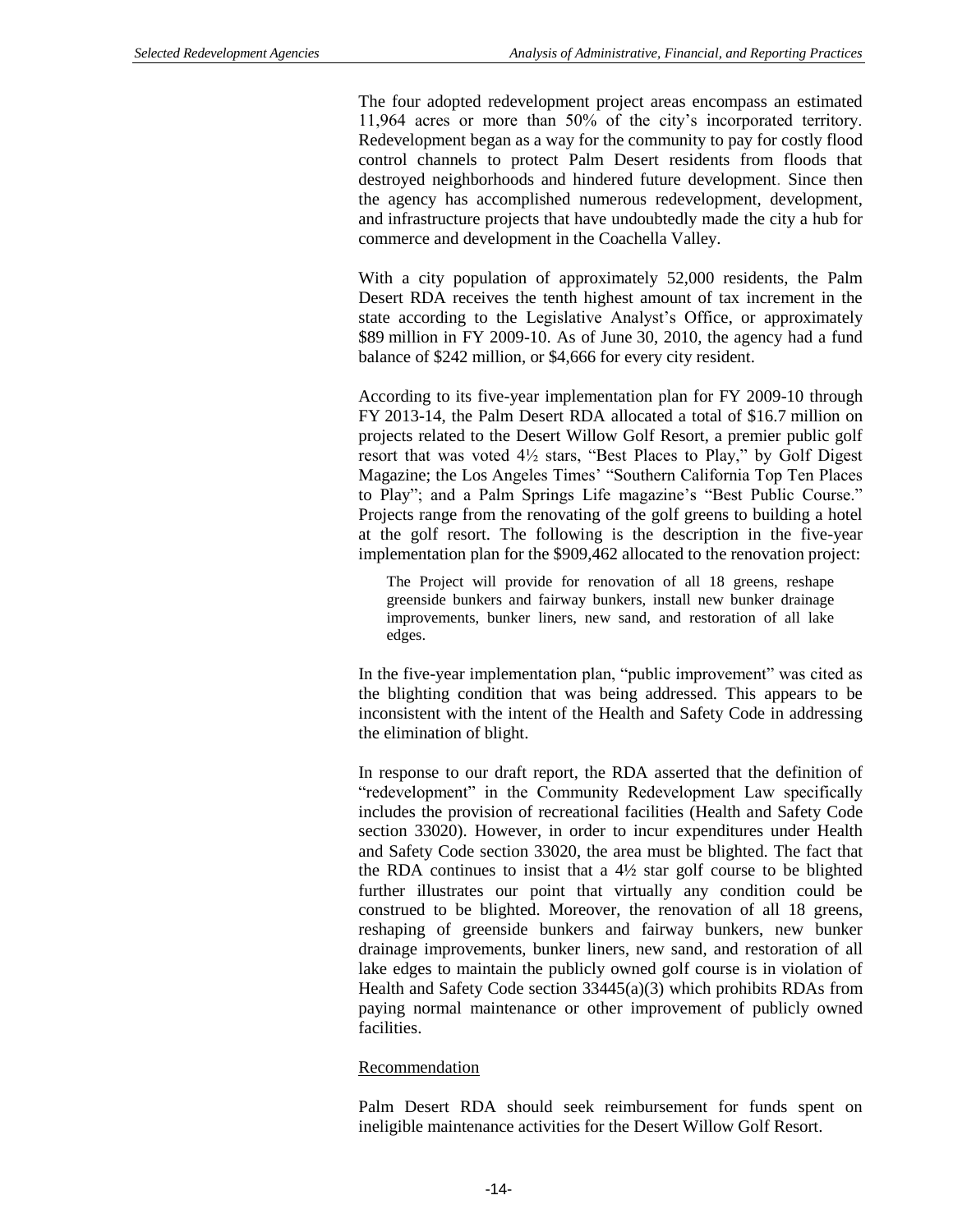The four adopted redevelopment project areas encompass an estimated 11,964 acres or more than 50% of the city's incorporated territory. Redevelopment began as a way for the community to pay for costly flood control channels to protect Palm Desert residents from floods that destroyed neighborhoods and hindered future development. Since then the agency has accomplished numerous redevelopment, development, and infrastructure projects that have undoubtedly made the city a hub for commerce and development in the Coachella Valley.

With a city population of approximately 52,000 residents, the Palm Desert RDA receives the tenth highest amount of tax increment in the state according to the Legislative Analyst's Office, or approximately \$89 million in FY 2009-10. As of June 30, 2010, the agency had a fund balance of \$242 million, or \$4,666 for every city resident.

According to its five-year implementation plan for FY 2009-10 through FY 2013-14, the Palm Desert RDA allocated a total of \$16.7 million on projects related to the Desert Willow Golf Resort, a premier public golf resort that was voted 4½ stars, "Best Places to Play," by Golf Digest Magazine; the Los Angeles Times' "Southern California Top Ten Places to Play"; and a Palm Springs Life magazine's "Best Public Course." Projects range from the renovating of the golf greens to building a hotel at the golf resort. The following is the description in the five-year implementation plan for the \$909,462 allocated to the renovation project:

The Project will provide for renovation of all 18 greens, reshape greenside bunkers and fairway bunkers, install new bunker drainage improvements, bunker liners, new sand, and restoration of all lake edges.

In the five-year implementation plan, "public improvement" was cited as the blighting condition that was being addressed. This appears to be inconsistent with the intent of the Health and Safety Code in addressing the elimination of blight.

In response to our draft report, the RDA asserted that the definition of "redevelopment" in the Community Redevelopment Law specifically includes the provision of recreational facilities (Health and Safety Code section 33020). However, in order to incur expenditures under Health and Safety Code section 33020, the area must be blighted. The fact that the RDA continues to insist that a  $4\frac{1}{2}$  star golf course to be blighted further illustrates our point that virtually any condition could be construed to be blighted. Moreover, the renovation of all 18 greens, reshaping of greenside bunkers and fairway bunkers, new bunker drainage improvements, bunker liners, new sand, and restoration of all lake edges to maintain the publicly owned golf course is in violation of Health and Safety Code section 33445(a)(3) which prohibits RDAs from paying normal maintenance or other improvement of publicly owned facilities.

### Recommendation

Palm Desert RDA should seek reimbursement for funds spent on ineligible maintenance activities for the Desert Willow Golf Resort.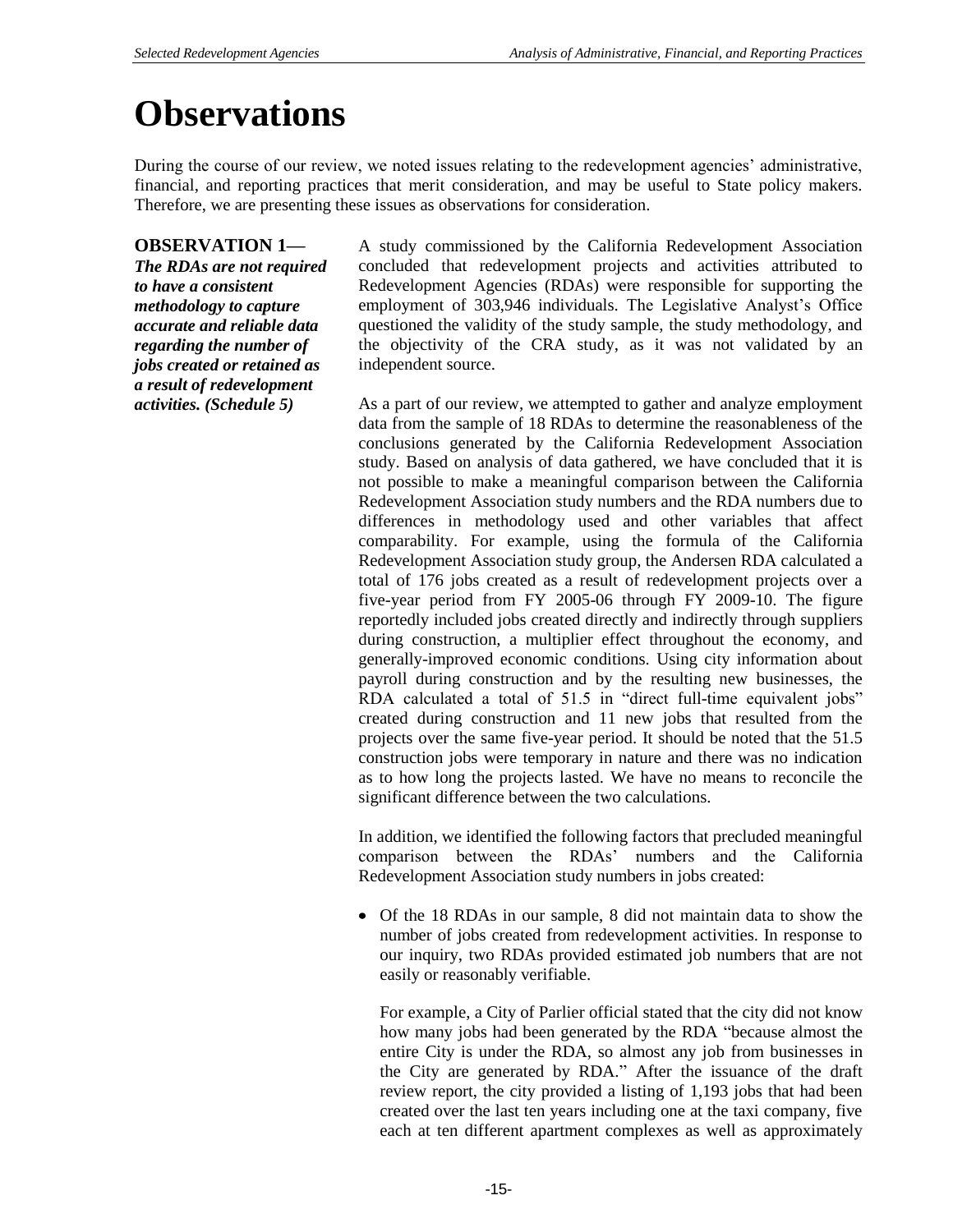# **Observations**

During the course of our review, we noted issues relating to the redevelopment agencies' administrative, financial, and reporting practices that merit consideration, and may be useful to State policy makers. Therefore, we are presenting these issues as observations for consideration.

# **OBSERVATION 1—**

*The RDAs are not required to have a consistent methodology to capture accurate and reliable data regarding the number of jobs created or retained as a result of redevelopment activities. (Schedule 5)*

A study commissioned by the California Redevelopment Association concluded that redevelopment projects and activities attributed to Redevelopment Agencies (RDAs) were responsible for supporting the employment of 303,946 individuals. The Legislative Analyst's Office questioned the validity of the study sample, the study methodology, and the objectivity of the CRA study, as it was not validated by an independent source.

As a part of our review, we attempted to gather and analyze employment data from the sample of 18 RDAs to determine the reasonableness of the conclusions generated by the California Redevelopment Association study. Based on analysis of data gathered, we have concluded that it is not possible to make a meaningful comparison between the California Redevelopment Association study numbers and the RDA numbers due to differences in methodology used and other variables that affect comparability. For example, using the formula of the California Redevelopment Association study group, the Andersen RDA calculated a total of 176 jobs created as a result of redevelopment projects over a five-year period from FY 2005-06 through FY 2009-10. The figure reportedly included jobs created directly and indirectly through suppliers during construction, a multiplier effect throughout the economy, and generally-improved economic conditions. Using city information about payroll during construction and by the resulting new businesses, the RDA calculated a total of 51.5 in "direct full-time equivalent jobs" created during construction and 11 new jobs that resulted from the projects over the same five-year period. It should be noted that the 51.5 construction jobs were temporary in nature and there was no indication as to how long the projects lasted. We have no means to reconcile the significant difference between the two calculations.

In addition, we identified the following factors that precluded meaningful comparison between the RDAs' numbers and the California Redevelopment Association study numbers in jobs created:

Of the 18 RDAs in our sample, 8 did not maintain data to show the number of jobs created from redevelopment activities. In response to our inquiry, two RDAs provided estimated job numbers that are not easily or reasonably verifiable.

For example, a City of Parlier official stated that the city did not know how many jobs had been generated by the RDA "because almost the entire City is under the RDA, so almost any job from businesses in the City are generated by RDA." After the issuance of the draft review report, the city provided a listing of 1,193 jobs that had been created over the last ten years including one at the taxi company, five each at ten different apartment complexes as well as approximately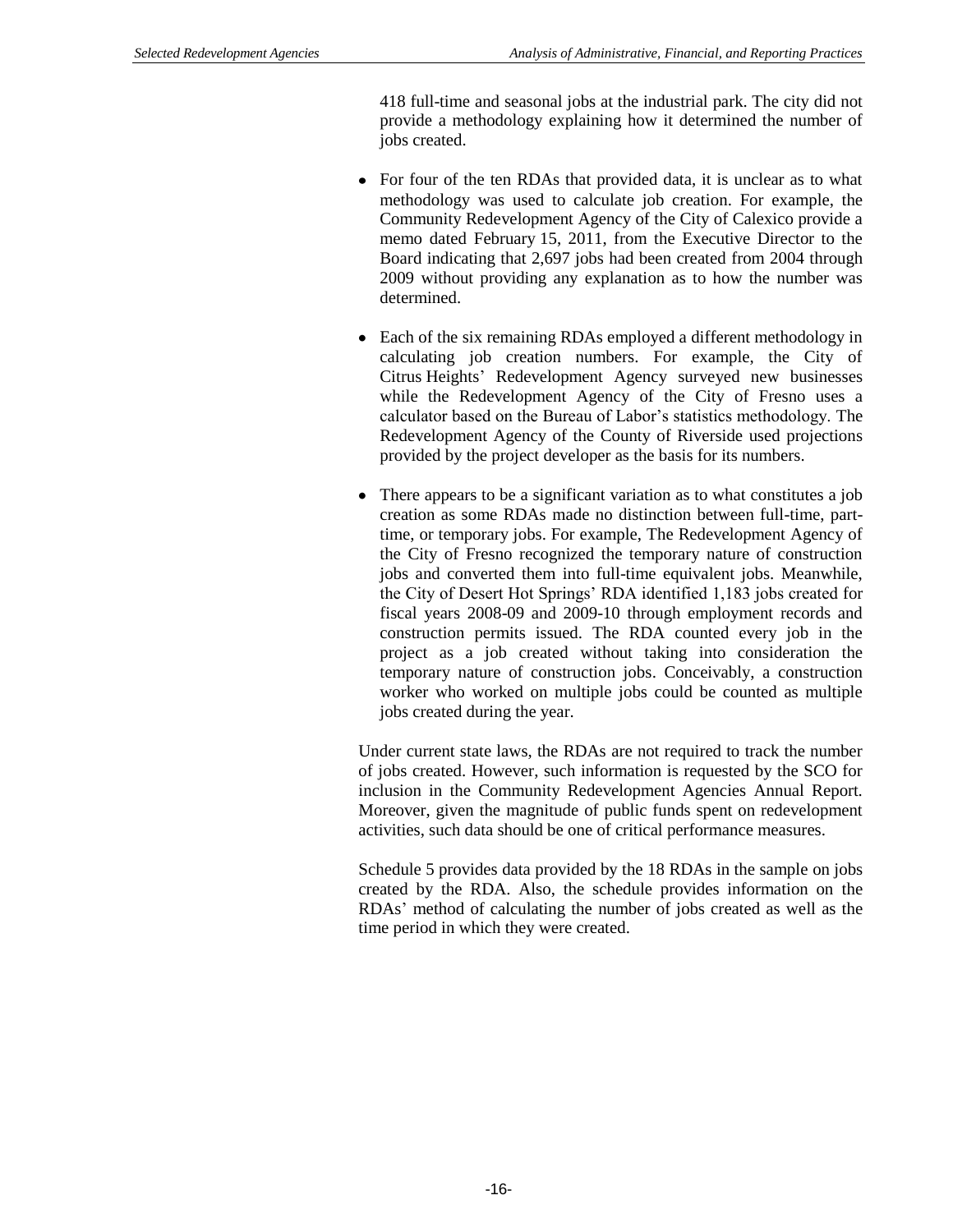418 full-time and seasonal jobs at the industrial park. The city did not provide a methodology explaining how it determined the number of jobs created.

- For four of the ten RDAs that provided data, it is unclear as to what methodology was used to calculate job creation. For example, the Community Redevelopment Agency of the City of Calexico provide a memo dated February 15, 2011, from the Executive Director to the Board indicating that 2,697 jobs had been created from 2004 through 2009 without providing any explanation as to how the number was determined.
- Each of the six remaining RDAs employed a different methodology in calculating job creation numbers. For example, the City of Citrus Heights' Redevelopment Agency surveyed new businesses while the Redevelopment Agency of the City of Fresno uses a calculator based on the Bureau of Labor's statistics methodology. The Redevelopment Agency of the County of Riverside used projections provided by the project developer as the basis for its numbers.
- There appears to be a significant variation as to what constitutes a job creation as some RDAs made no distinction between full-time, parttime, or temporary jobs. For example, The Redevelopment Agency of the City of Fresno recognized the temporary nature of construction jobs and converted them into full-time equivalent jobs. Meanwhile, the City of Desert Hot Springs' RDA identified 1,183 jobs created for fiscal years 2008-09 and 2009-10 through employment records and construction permits issued. The RDA counted every job in the project as a job created without taking into consideration the temporary nature of construction jobs. Conceivably, a construction worker who worked on multiple jobs could be counted as multiple jobs created during the year.

Under current state laws, the RDAs are not required to track the number of jobs created. However, such information is requested by the SCO for inclusion in the Community Redevelopment Agencies Annual Report. Moreover, given the magnitude of public funds spent on redevelopment activities, such data should be one of critical performance measures.

Schedule 5 provides data provided by the 18 RDAs in the sample on jobs created by the RDA. Also, the schedule provides information on the RDAs' method of calculating the number of jobs created as well as the time period in which they were created.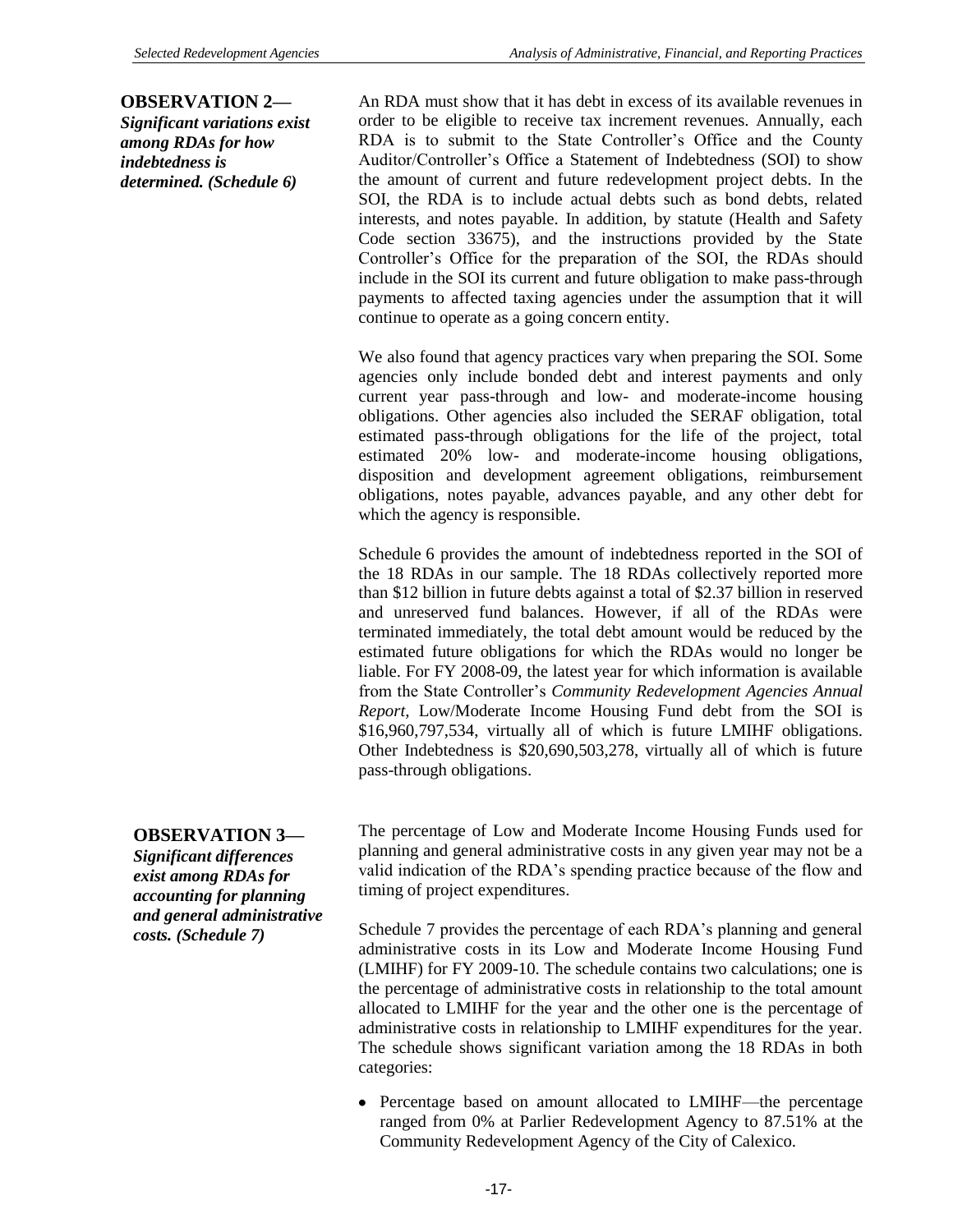# **OBSERVATION 2—**

*Significant variations exist among RDAs for how indebtedness is determined. (Schedule 6)*

An RDA must show that it has debt in excess of its available revenues in order to be eligible to receive tax increment revenues. Annually, each RDA is to submit to the State Controller's Office and the County Auditor/Controller's Office a Statement of Indebtedness (SOI) to show the amount of current and future redevelopment project debts. In the SOI, the RDA is to include actual debts such as bond debts, related interests, and notes payable. In addition, by statute (Health and Safety Code section 33675), and the instructions provided by the State Controller's Office for the preparation of the SOI, the RDAs should include in the SOI its current and future obligation to make pass-through payments to affected taxing agencies under the assumption that it will continue to operate as a going concern entity.

We also found that agency practices vary when preparing the SOI. Some agencies only include bonded debt and interest payments and only current year pass-through and low- and moderate-income housing obligations. Other agencies also included the SERAF obligation, total estimated pass-through obligations for the life of the project, total estimated 20% low- and moderate-income housing obligations, disposition and development agreement obligations, reimbursement obligations, notes payable, advances payable, and any other debt for which the agency is responsible.

Schedule 6 provides the amount of indebtedness reported in the SOI of the 18 RDAs in our sample. The 18 RDAs collectively reported more than \$12 billion in future debts against a total of \$2.37 billion in reserved and unreserved fund balances. However, if all of the RDAs were terminated immediately, the total debt amount would be reduced by the estimated future obligations for which the RDAs would no longer be liable. For FY 2008-09, the latest year for which information is available from the State Controller's *Community Redevelopment Agencies Annual Report,* Low/Moderate Income Housing Fund debt from the SOI is \$16,960,797,534, virtually all of which is future LMIHF obligations. Other Indebtedness is \$20,690,503,278, virtually all of which is future pass-through obligations.

# **OBSERVATION 3—**

*Significant differences exist among RDAs for accounting for planning and general administrative costs. (Schedule 7)*

The percentage of Low and Moderate Income Housing Funds used for planning and general administrative costs in any given year may not be a valid indication of the RDA's spending practice because of the flow and timing of project expenditures.

Schedule 7 provides the percentage of each RDA's planning and general administrative costs in its Low and Moderate Income Housing Fund (LMIHF) for FY 2009-10. The schedule contains two calculations; one is the percentage of administrative costs in relationship to the total amount allocated to LMIHF for the year and the other one is the percentage of administrative costs in relationship to LMIHF expenditures for the year. The schedule shows significant variation among the 18 RDAs in both categories:

Percentage based on amount allocated to LMIHF—the percentage ranged from 0% at Parlier Redevelopment Agency to 87.51% at the Community Redevelopment Agency of the City of Calexico.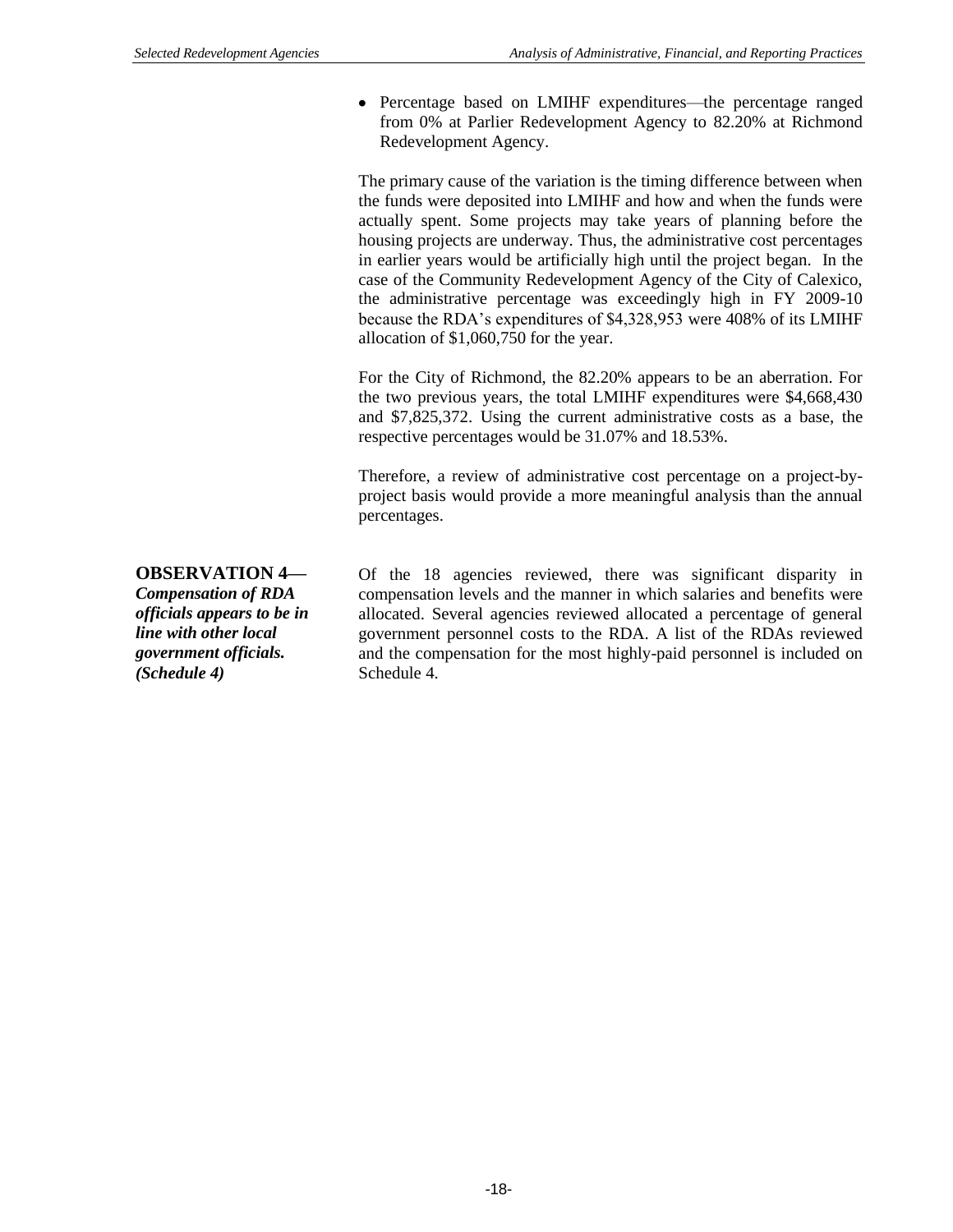Percentage based on LMIHF expenditures—the percentage ranged from 0% at Parlier Redevelopment Agency to 82.20% at Richmond Redevelopment Agency.

The primary cause of the variation is the timing difference between when the funds were deposited into LMIHF and how and when the funds were actually spent. Some projects may take years of planning before the housing projects are underway. Thus, the administrative cost percentages in earlier years would be artificially high until the project began. In the case of the Community Redevelopment Agency of the City of Calexico, the administrative percentage was exceedingly high in FY 2009-10 because the RDA's expenditures of \$4,328,953 were 408% of its LMIHF allocation of \$1,060,750 for the year.

For the City of Richmond, the 82.20% appears to be an aberration. For the two previous years, the total LMIHF expenditures were \$4,668,430 and \$7,825,372. Using the current administrative costs as a base, the respective percentages would be 31.07% and 18.53%.

Therefore, a review of administrative cost percentage on a project-byproject basis would provide a more meaningful analysis than the annual percentages.

**OBSERVATION 4—** *Compensation of RDA officials appears to be in line with other local government officials. (Schedule 4)*

Of the 18 agencies reviewed, there was significant disparity in compensation levels and the manner in which salaries and benefits were allocated. Several agencies reviewed allocated a percentage of general government personnel costs to the RDA. A list of the RDAs reviewed and the compensation for the most highly-paid personnel is included on Schedule 4.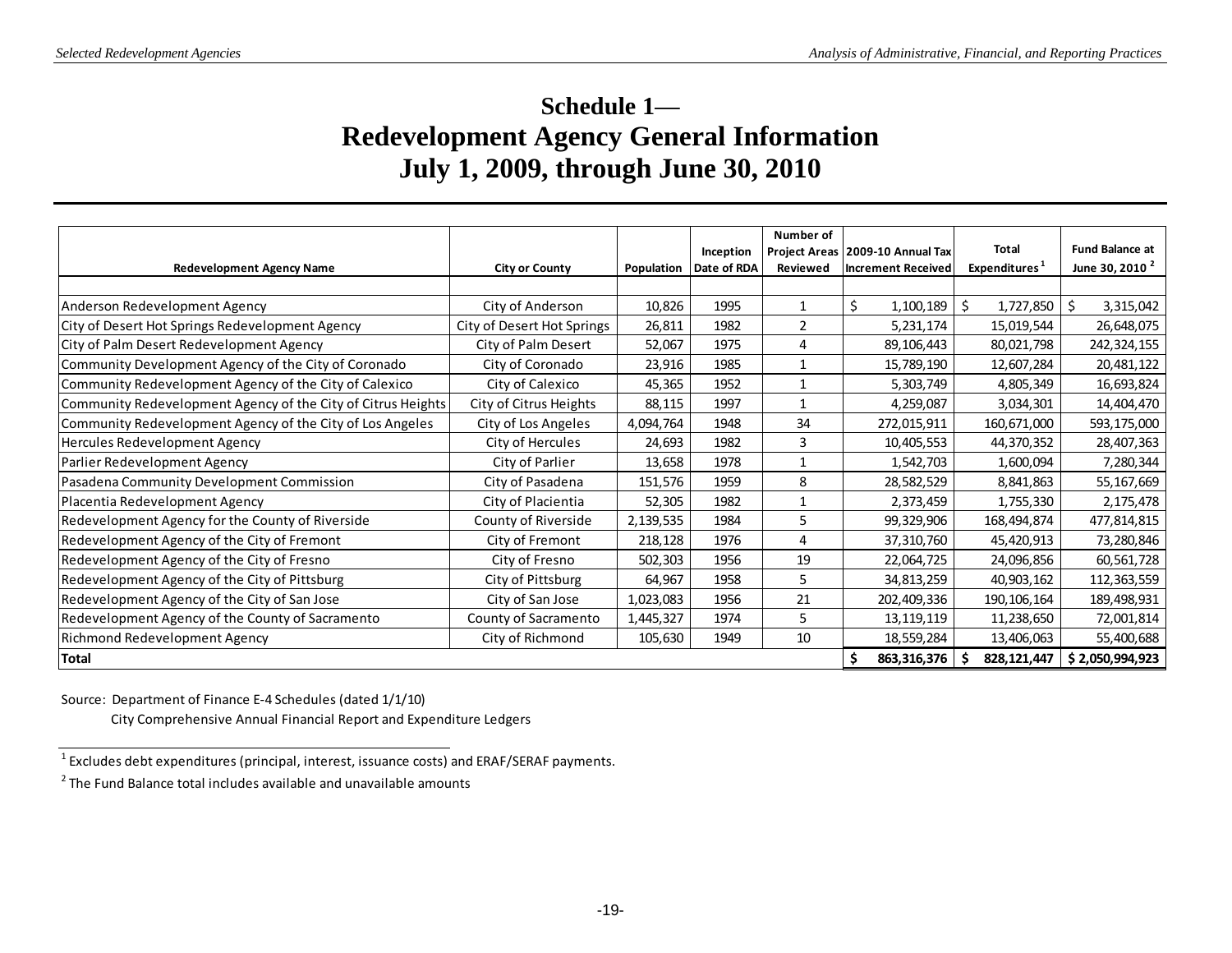# **Schedule 1— Redevelopment Agency General Information July 1, 2009, through June 30, 2010**

|                                                              |                            |            |             | Number of    |                                    |                           |                            |
|--------------------------------------------------------------|----------------------------|------------|-------------|--------------|------------------------------------|---------------------------|----------------------------|
|                                                              |                            |            | Inception   |              | Project Areas   2009-10 Annual Tax | <b>Total</b>              | <b>Fund Balance at</b>     |
| <b>Redevelopment Agency Name</b>                             | <b>City or County</b>      | Population | Date of RDA | Reviewed     | <b>Increment Received</b>          | Expenditures <sup>1</sup> | June 30, 2010 <sup>2</sup> |
|                                                              |                            |            |             |              |                                    |                           |                            |
| Anderson Redevelopment Agency                                | City of Anderson           | 10,826     | 1995        | 1            | \$<br>1,100,189                    | \$.<br>1,727,850          | \$ ا<br>3,315,042          |
| City of Desert Hot Springs Redevelopment Agency              | City of Desert Hot Springs | 26,811     | 1982        | 2            | 5,231,174                          | 15,019,544                | 26,648,075                 |
| City of Palm Desert Redevelopment Agency                     | City of Palm Desert        | 52,067     | 1975        | 4            | 89,106,443                         | 80,021,798                | 242,324,155                |
| Community Development Agency of the City of Coronado         | City of Coronado           | 23,916     | 1985        | $\mathbf{1}$ | 15,789,190                         | 12,607,284                | 20,481,122                 |
| Community Redevelopment Agency of the City of Calexico       | City of Calexico           | 45,365     | 1952        | 1            | 5,303,749                          | 4,805,349                 | 16,693,824                 |
| Community Redevelopment Agency of the City of Citrus Heights | City of Citrus Heights     | 88,115     | 1997        | 1            | 4,259,087                          | 3,034,301                 | 14,404,470                 |
| Community Redevelopment Agency of the City of Los Angeles    | City of Los Angeles        | 4,094,764  | 1948        | 34           | 272,015,911                        | 160,671,000               | 593,175,000                |
| Hercules Redevelopment Agency                                | City of Hercules           | 24,693     | 1982        | 3            | 10,405,553                         | 44,370,352                | 28,407,363                 |
| Parlier Redevelopment Agency                                 | City of Parlier            | 13,658     | 1978        | 1            | 1,542,703                          | 1,600,094                 | 7,280,344                  |
| Pasadena Community Development Commission                    | City of Pasadena           | 151,576    | 1959        | 8            | 28,582,529                         | 8,841,863                 | 55,167,669                 |
| Placentia Redevelopment Agency                               | City of Placientia         | 52,305     | 1982        | 1            | 2,373,459                          | 1,755,330                 | 2,175,478                  |
| Redevelopment Agency for the County of Riverside             | County of Riverside        | 2,139,535  | 1984        | 5            | 99,329,906                         | 168,494,874               | 477,814,815                |
| Redevelopment Agency of the City of Fremont                  | City of Fremont            | 218,128    | 1976        | 4            | 37,310,760                         | 45,420,913                | 73,280,846                 |
| Redevelopment Agency of the City of Fresno                   | City of Fresno             | 502,303    | 1956        | 19           | 22,064,725                         | 24,096,856                | 60,561,728                 |
| Redevelopment Agency of the City of Pittsburg                | City of Pittsburg          | 64,967     | 1958        | 5            | 34,813,259                         | 40,903,162                | 112,363,559                |
| Redevelopment Agency of the City of San Jose                 | City of San Jose           | 1,023,083  | 1956        | 21           | 202,409,336                        | 190, 106, 164             | 189,498,931                |
| Redevelopment Agency of the County of Sacramento             | County of Sacramento       | 1,445,327  | 1974        | 5            | 13,119,119                         | 11,238,650                | 72,001,814                 |
| Richmond Redevelopment Agency                                | City of Richmond           | 105,630    | 1949        | 10           | 18,559,284                         | 13,406,063                | 55,400,688                 |
| <b>Total</b>                                                 |                            |            |             |              | 863,316,376                        | 828, 121, 447             | \$2,050,994,923            |

Source: Department of Finance E-4 Schedules (dated 1/1/10)

City Comprehensive Annual Financial Report and Expenditure Ledgers

 $^{1}$  Excludes debt expenditures (principal, interest, issuance costs) and ERAF/SERAF payments.

 $2$  The Fund Balance total includes available and unavailable amounts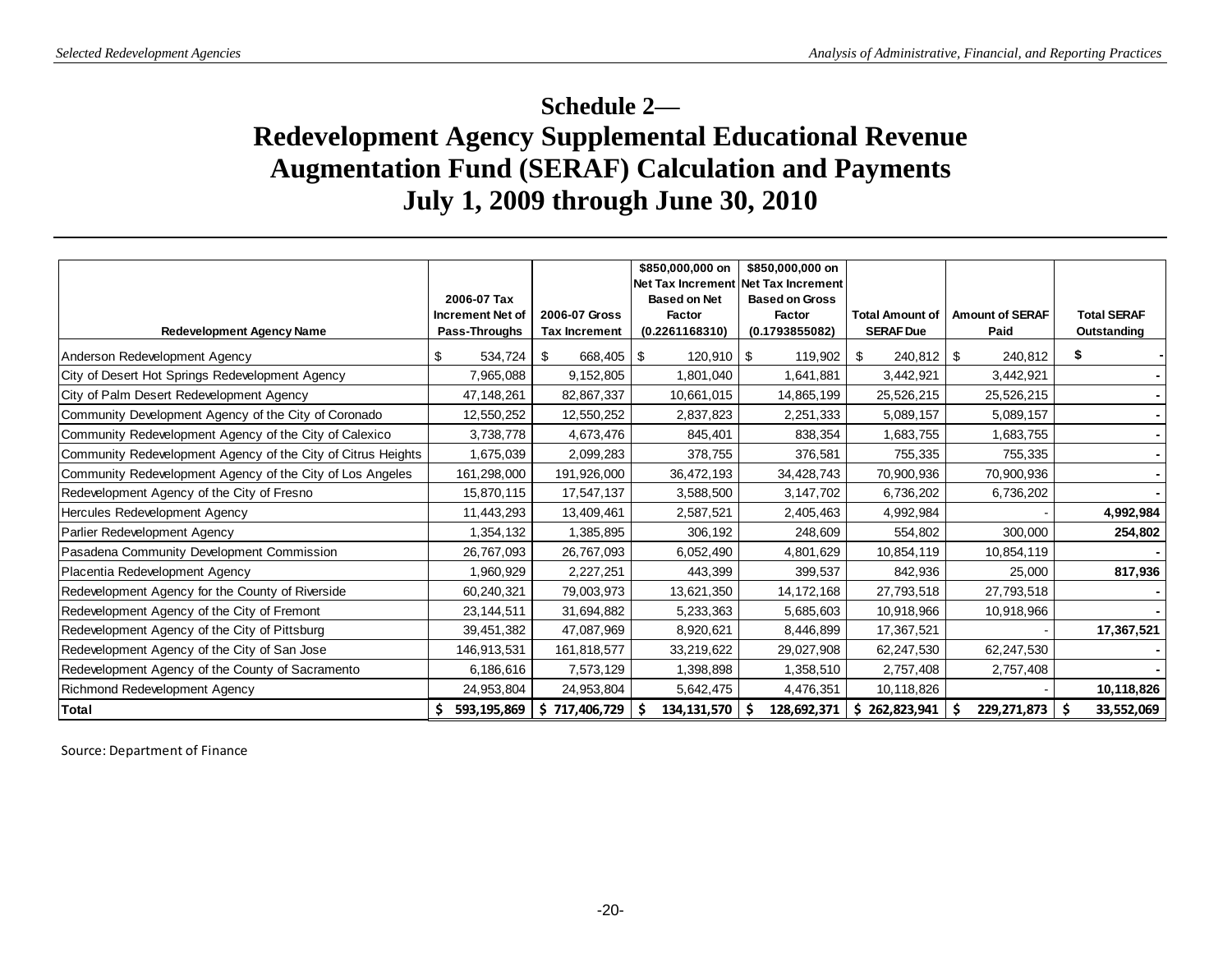# **Schedule 2— Redevelopment Agency Supplemental Educational Revenue Augmentation Fund (SERAF) Calculation and Payments July 1, 2009 through June 30, 2010**

|                                                              |                         |                      | \$850,000,000 on<br>\$850,000,000 on<br>Net Tax Increment Net Tax Increment |                       |                        |                        |                    |
|--------------------------------------------------------------|-------------------------|----------------------|-----------------------------------------------------------------------------|-----------------------|------------------------|------------------------|--------------------|
|                                                              | 2006-07 Tax             |                      | <b>Based on Net</b>                                                         | <b>Based on Gross</b> |                        |                        |                    |
|                                                              | <b>Increment Net of</b> | 2006-07 Gross        | Factor                                                                      | <b>Factor</b>         | <b>Total Amount of</b> | <b>Amount of SERAF</b> | <b>Total SERAF</b> |
| <b>Redevelopment Agency Name</b>                             | Pass-Throughs           | <b>Tax Increment</b> | (0.2261168310)                                                              | (0.1793855082)        | <b>SERAF Due</b>       | Paid                   | Outstanding        |
| Anderson Redevelopment Agency                                | 534,724<br>\$           | - \$<br>668,405 \$   | $120,910$ \ \$                                                              | 119,902               | \$                     | 240,812                | S                  |
| City of Desert Hot Springs Redevelopment Agency              | 7,965,088               | 9,152,805            | 1,801,040                                                                   | 1,641,881             | 3,442,921              | 3,442,921              |                    |
| City of Palm Desert Redevelopment Agency                     | 47,148,261              | 82,867,337           | 10,661,015                                                                  | 14,865,199            | 25,526,215             | 25,526,215             |                    |
| Community Development Agency of the City of Coronado         | 12,550,252              | 12,550,252           | 2,837,823                                                                   | 2,251,333             | 5,089,157              | 5,089,157              |                    |
| Community Redevelopment Agency of the City of Calexico       | 3,738,778               | 4,673,476            | 845,401                                                                     | 838,354               | 1,683,755              | 1,683,755              |                    |
| Community Redevelopment Agency of the City of Citrus Heights | 1,675,039               | 2,099,283            | 378,755                                                                     | 376,581               | 755,335                | 755,335                |                    |
| Community Redevelopment Agency of the City of Los Angeles    | 161,298,000             | 191,926,000          | 36,472,193                                                                  | 34,428,743            | 70,900,936             | 70,900,936             |                    |
| Redevelopment Agency of the City of Fresno                   | 15,870,115              | 17,547,137           | 3,588,500                                                                   | 3,147,702             | 6,736,202              | 6,736,202              |                    |
| Hercules Redevelopment Agency                                | 11,443,293              | 13,409,461           | 2,587,521                                                                   | 2,405,463             | 4,992,984              |                        | 4,992,984          |
| Parlier Redevelopment Agency                                 | 1,354,132               | 1,385,895            | 306,192                                                                     | 248,609               | 554,802                | 300,000                | 254,802            |
| Pasadena Community Development Commission                    | 26,767,093              | 26,767,093           | 6,052,490                                                                   | 4,801,629             | 10,854,119             | 10,854,119             |                    |
| Placentia Redevelopment Agency                               | 1,960,929               | 2,227,251            | 443,399                                                                     | 399,537               | 842,936                | 25,000                 | 817,936            |
| Redevelopment Agency for the County of Riverside             | 60,240,321              | 79,003,973           | 13,621,350                                                                  | 14,172,168            | 27,793,518             | 27,793,518             |                    |
| Redevelopment Agency of the City of Fremont                  | 23,144,511              | 31,694,882           | 5,233,363                                                                   | 5,685,603             | 10,918,966             | 10,918,966             |                    |
| Redevelopment Agency of the City of Pittsburg                | 39,451,382              | 47,087,969           | 8,920,621                                                                   | 8,446,899             | 17,367,521             |                        | 17,367,521         |
| Redevelopment Agency of the City of San Jose                 | 146,913,531             | 161,818,577          | 33,219,622                                                                  | 29,027,908            | 62,247,530             | 62,247,530             |                    |
| Redevelopment Agency of the County of Sacramento             | 6,186,616               | 7,573,129            | 1,398,898                                                                   | 1,358,510             | 2,757,408              | 2,757,408              |                    |
| Richmond Redevelopment Agency                                | 24,953,804              | 24,953,804           | 5,642,475                                                                   | 4,476,351             | 10,118,826             |                        | 10,118,826         |
| <b>Total</b>                                                 | 593,195,869             | \$717,406,729        | -\$<br>134,131,570                                                          | 128,692,371           | \$262,823,941          | -\$<br>229, 271, 873   | 33,552,069<br>S    |

Source: Department of Finance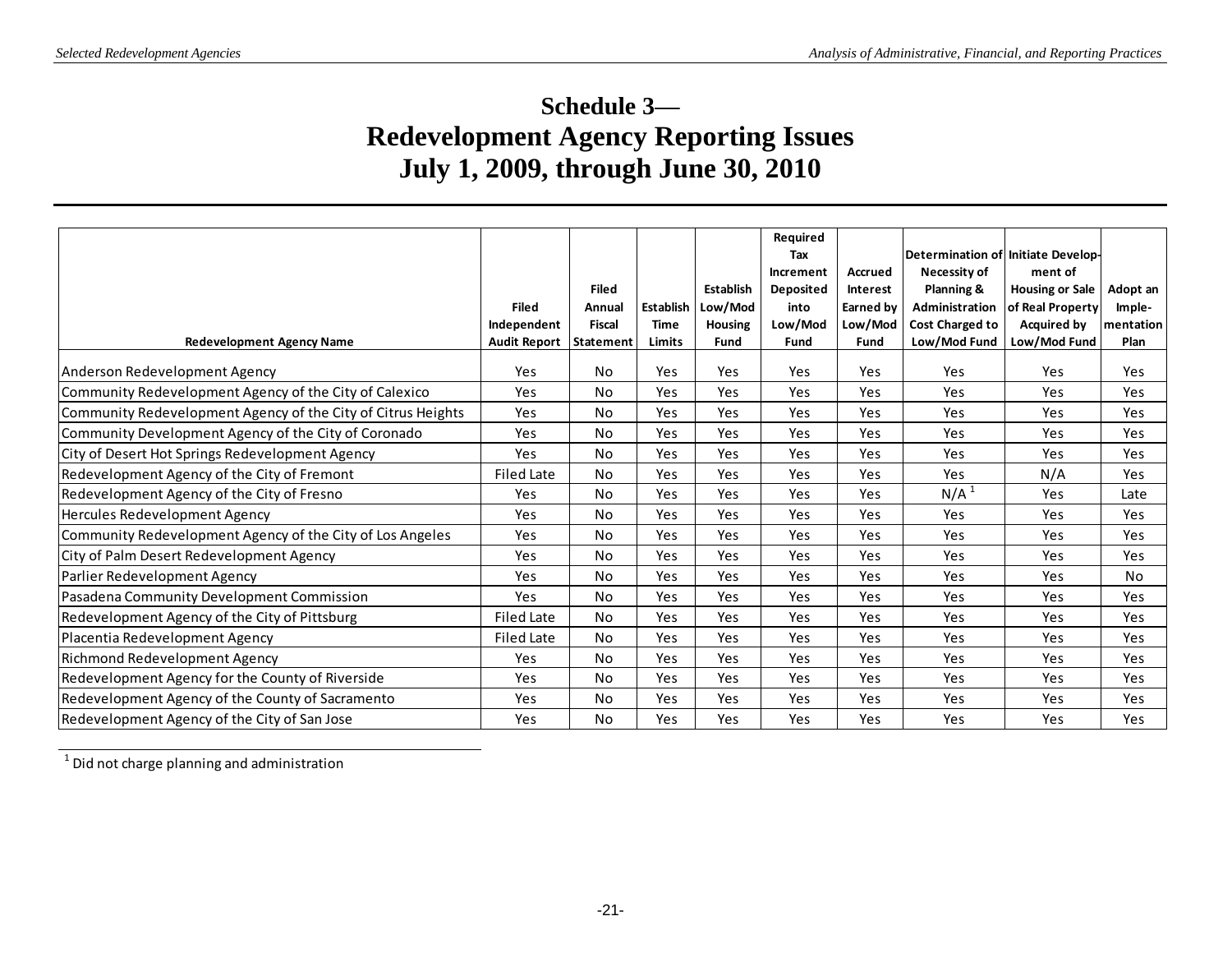# **Schedule 3— Redevelopment Agency Reporting Issues July 1, 2009, through June 30, 2010**

| <b>Redevelopment Agency Name</b>                             | <b>Filed</b><br>Independent<br><b>Audit Report</b> | <b>Filed</b><br>Annual<br><b>Fiscal</b><br><b>Statement</b> | Establish<br><b>Time</b><br>Limits | Establish<br>Low/Mod<br><b>Housing</b><br>Fund | Required<br>Tax<br>Increment<br><b>Deposited</b><br>into<br>Low/Mod<br>Fund | <b>Accrued</b><br>Interest<br>Earned by<br>Low/Mod<br>Fund | Determination of Initiate Develop-<br>Necessity of<br>Planning &<br>Administration<br><b>Cost Charged to</b><br>Low/Mod Fund | ment of<br><b>Housing or Sale</b><br>of Real Property<br><b>Acquired by</b><br>Low/Mod Fund | Adopt an<br>Imple-<br>mentation<br>Plan |
|--------------------------------------------------------------|----------------------------------------------------|-------------------------------------------------------------|------------------------------------|------------------------------------------------|-----------------------------------------------------------------------------|------------------------------------------------------------|------------------------------------------------------------------------------------------------------------------------------|---------------------------------------------------------------------------------------------|-----------------------------------------|
| Anderson Redevelopment Agency                                | Yes                                                | No                                                          | Yes                                | Yes                                            | Yes                                                                         | Yes                                                        | Yes                                                                                                                          | Yes                                                                                         | Yes                                     |
| Community Redevelopment Agency of the City of Calexico       | Yes                                                | <b>No</b>                                                   | Yes                                | Yes                                            | Yes                                                                         | <b>Yes</b>                                                 | Yes                                                                                                                          | Yes                                                                                         | Yes                                     |
| Community Redevelopment Agency of the City of Citrus Heights | Yes                                                | No                                                          | Yes                                | Yes                                            | Yes                                                                         | Yes                                                        | Yes                                                                                                                          | Yes                                                                                         | Yes                                     |
| Community Development Agency of the City of Coronado         | Yes                                                | No                                                          | Yes                                | Yes                                            | Yes                                                                         | Yes                                                        | Yes                                                                                                                          | Yes                                                                                         | Yes                                     |
| City of Desert Hot Springs Redevelopment Agency              | Yes                                                | No                                                          | Yes                                | Yes                                            | Yes                                                                         | Yes                                                        | Yes                                                                                                                          | Yes                                                                                         | Yes                                     |
| Redevelopment Agency of the City of Fremont                  | Filed Late                                         | <b>No</b>                                                   | Yes                                | Yes                                            | Yes                                                                         | Yes                                                        | Yes                                                                                                                          | N/A                                                                                         | Yes                                     |
| Redevelopment Agency of the City of Fresno                   | Yes                                                | No                                                          | Yes                                | Yes                                            | <b>Yes</b>                                                                  | Yes                                                        | N/A <sup>1</sup>                                                                                                             | Yes                                                                                         | Late                                    |
| Hercules Redevelopment Agency                                | Yes                                                | <b>No</b>                                                   | Yes                                | Yes                                            | Yes                                                                         | Yes                                                        | Yes                                                                                                                          | Yes                                                                                         | Yes                                     |
| Community Redevelopment Agency of the City of Los Angeles    | Yes                                                | No                                                          | Yes                                | Yes                                            | Yes                                                                         | Yes                                                        | Yes                                                                                                                          | Yes                                                                                         | Yes                                     |
| City of Palm Desert Redevelopment Agency                     | Yes                                                | <b>No</b>                                                   | Yes                                | Yes                                            | Yes                                                                         | Yes                                                        | Yes                                                                                                                          | Yes                                                                                         | Yes                                     |
| Parlier Redevelopment Agency                                 | Yes                                                | No                                                          | Yes                                | Yes                                            | <b>Yes</b>                                                                  | Yes                                                        | Yes                                                                                                                          | Yes                                                                                         | <b>No</b>                               |
| Pasadena Community Development Commission                    | Yes                                                | No                                                          | Yes                                | Yes                                            | Yes                                                                         | Yes                                                        | Yes                                                                                                                          | Yes                                                                                         | Yes                                     |
| Redevelopment Agency of the City of Pittsburg                | <b>Filed Late</b>                                  | <b>No</b>                                                   | Yes                                | Yes                                            | Yes                                                                         | Yes                                                        | Yes                                                                                                                          | Yes                                                                                         | Yes                                     |
| Placentia Redevelopment Agency                               | <b>Filed Late</b>                                  | No                                                          | Yes                                | Yes                                            | Yes                                                                         | Yes                                                        | Yes                                                                                                                          | Yes                                                                                         | Yes                                     |
| Richmond Redevelopment Agency                                | Yes                                                | <b>No</b>                                                   | Yes                                | Yes                                            | Yes                                                                         | Yes                                                        | Yes                                                                                                                          | Yes                                                                                         | Yes                                     |
| Redevelopment Agency for the County of Riverside             | Yes                                                | <b>No</b>                                                   | Yes                                | Yes                                            | Yes                                                                         | Yes                                                        | Yes                                                                                                                          | Yes                                                                                         | Yes                                     |
| Redevelopment Agency of the County of Sacramento             | Yes                                                | No                                                          | Yes                                | Yes                                            | Yes                                                                         | <b>Yes</b>                                                 | Yes                                                                                                                          | Yes                                                                                         | Yes                                     |
| Redevelopment Agency of the City of San Jose                 | Yes                                                | No                                                          | Yes                                | Yes                                            | Yes                                                                         | Yes                                                        | Yes                                                                                                                          | Yes                                                                                         | Yes                                     |
| $1$ Did not charge planning and administration               |                                                    |                                                             |                                    |                                                |                                                                             |                                                            |                                                                                                                              |                                                                                             |                                         |

 $<sup>1</sup>$  Did not charge planning and administration</sup>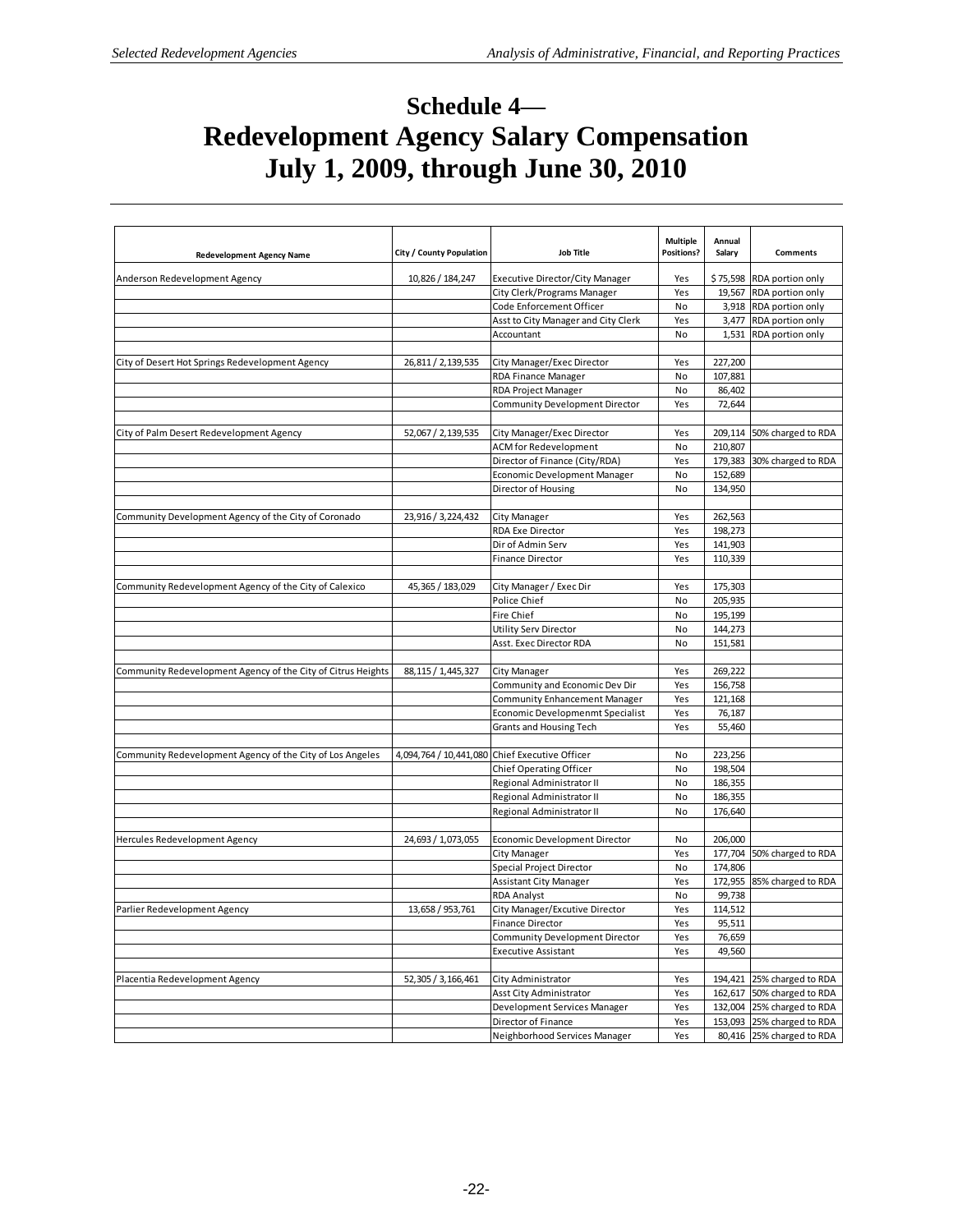# **Schedule 4— Redevelopment Agency Salary Compensation July 1, 2009, through June 30, 2010**

| <b>Redevelopment Agency Name</b>                             | City / County Population | <b>Job Title</b>                               | <b>Multiple</b><br><b>Positions?</b> | Annual<br>Salary   | <b>Comments</b>            |
|--------------------------------------------------------------|--------------------------|------------------------------------------------|--------------------------------------|--------------------|----------------------------|
| Anderson Redevelopment Agency                                | 10,826 / 184,247         | <b>Executive Director/City Manager</b>         | Yes                                  |                    | \$75,598 RDA portion only  |
|                                                              |                          | City Clerk/Programs Manager                    | Yes                                  |                    | 19,567 RDA portion only    |
|                                                              |                          | Code Enforcement Officer                       | No                                   |                    | 3,918 RDA portion only     |
|                                                              |                          | Asst to City Manager and City Clerk            | Yes                                  | 3,477              | RDA portion only           |
|                                                              |                          | Accountant                                     | No                                   |                    | 1,531 RDA portion only     |
|                                                              |                          |                                                |                                      |                    |                            |
| City of Desert Hot Springs Redevelopment Agency              | 26,811 / 2,139,535       | City Manager/Exec Director                     | Yes                                  | 227,200            |                            |
|                                                              |                          | RDA Finance Manager                            | No                                   | 107,881            |                            |
|                                                              |                          | RDA Project Manager                            | No                                   | 86,402             |                            |
|                                                              |                          | Community Development Director                 | Yes                                  | 72,644             |                            |
|                                                              |                          |                                                |                                      |                    |                            |
| City of Palm Desert Redevelopment Agency                     | 52,067 / 2,139,535       | City Manager/Exec Director                     | Yes                                  | 209,114            | 50% charged to RDA         |
|                                                              |                          | <b>ACM for Redevelopment</b>                   | No                                   | 210,807            |                            |
|                                                              |                          | Director of Finance (City/RDA)                 | Yes                                  | 179,383            | 30% charged to RDA         |
|                                                              |                          | Economic Development Manager                   | No                                   | 152,689            |                            |
|                                                              |                          | Director of Housing                            | No                                   | 134,950            |                            |
|                                                              |                          |                                                |                                      |                    |                            |
| Community Development Agency of the City of Coronado         | 23,916 / 3,224,432       | City Manager                                   | Yes                                  | 262,563            |                            |
|                                                              |                          | RDA Exe Director                               | Yes                                  | 198,273            |                            |
|                                                              |                          | Dir of Admin Serv                              | Yes                                  | 141,903            |                            |
|                                                              |                          | <b>Finance Director</b>                        | Yes                                  | 110,339            |                            |
|                                                              |                          |                                                |                                      |                    |                            |
| Community Redevelopment Agency of the City of Calexico       | 45,365 / 183,029         | City Manager / Exec Dir                        | Yes                                  | 175,303            |                            |
|                                                              |                          | Police Chief                                   | No                                   | 205,935            |                            |
|                                                              |                          | Fire Chief                                     | <b>No</b>                            | 195,199            |                            |
|                                                              |                          | Utility Serv Director                          | No<br>No                             | 144,273<br>151,581 |                            |
|                                                              |                          | Asst. Exec Director RDA                        |                                      |                    |                            |
| Community Redevelopment Agency of the City of Citrus Heights | 88, 115 / 1, 445, 327    | City Manager                                   | Yes                                  | 269,222            |                            |
|                                                              |                          | Community and Economic Dev Dir                 | Yes                                  | 156,758            |                            |
|                                                              |                          | <b>Community Enhancement Manager</b>           | Yes                                  | 121,168            |                            |
|                                                              |                          | Economic Developmenmt Specialist               | Yes                                  | 76,187             |                            |
|                                                              |                          | Grants and Housing Tech                        | Yes                                  | 55,460             |                            |
|                                                              |                          |                                                |                                      |                    |                            |
| Community Redevelopment Agency of the City of Los Angeles    |                          | 4,094,764 / 10,441,080 Chief Executive Officer | No                                   | 223,256            |                            |
|                                                              |                          | Chief Operating Officer                        | No                                   | 198,504            |                            |
|                                                              |                          | Regional Administrator II                      | No                                   | 186,355            |                            |
|                                                              |                          | Regional Administrator II                      | No                                   | 186,355            |                            |
|                                                              |                          | Regional Administrator II                      | No                                   | 176,640            |                            |
|                                                              |                          |                                                |                                      |                    |                            |
| Hercules Redevelopment Agency                                | 24,693 / 1,073,055       | Economic Development Director                  | No                                   | 206,000            |                            |
|                                                              |                          | City Manager                                   | Yes                                  | 177,704            | 50% charged to RDA         |
|                                                              |                          | Special Project Director                       | No                                   | 174,806            |                            |
|                                                              |                          | Assistant City Manager                         | Yes                                  |                    | 172,955 85% charged to RDA |
|                                                              |                          | <b>RDA Analyst</b>                             | No                                   | 99,738             |                            |
| Parlier Redevelopment Agency                                 | 13,658 / 953,761         | City Manager/Excutive Director                 | Yes                                  | 114,512            |                            |
|                                                              |                          | Finance Director                               | Yes                                  | 95,511             |                            |
|                                                              |                          | Community Development Director                 | Yes                                  | 76,659             |                            |
|                                                              |                          | <b>Executive Assistant</b>                     | Yes                                  | 49,560             |                            |
|                                                              |                          |                                                |                                      |                    |                            |
| Placentia Redevelopment Agency                               | 52,305 / 3,166,461       | City Administrator                             | Yes                                  |                    | 194,421 25% charged to RDA |
|                                                              |                          | Asst City Administrator                        | Yes                                  |                    | 162,617 50% charged to RDA |
|                                                              |                          | Development Services Manager                   | Yes                                  |                    | 132,004 25% charged to RDA |
|                                                              |                          | Director of Finance                            | Yes                                  |                    | 153,093 25% charged to RDA |
|                                                              |                          | Neighborhood Services Manager                  | Yes                                  |                    | 80,416 25% charged to RDA  |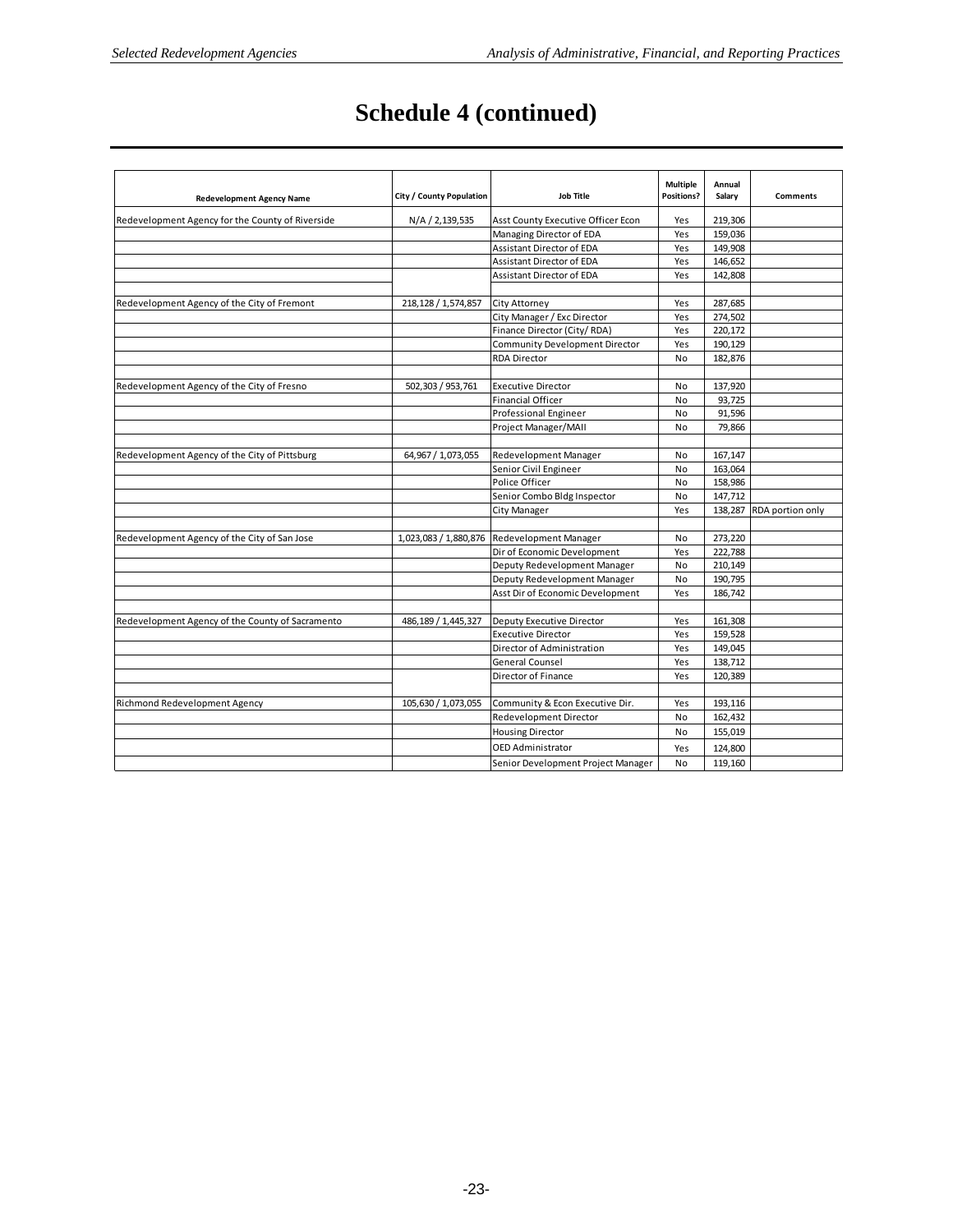# **Schedule 4 (continued)**

| <b>Redevelopment Agency Name</b>                 | City / County Population | <b>Job Title</b>                      | <b>Multiple</b><br>Positions? | Annual<br>Salary | <b>Comments</b>          |
|--------------------------------------------------|--------------------------|---------------------------------------|-------------------------------|------------------|--------------------------|
| Redevelopment Agency for the County of Riverside | N/A / 2,139,535          | Asst County Executive Officer Econ    | Yes                           | 219,306          |                          |
|                                                  |                          | Managing Director of EDA              | Yes                           | 159,036          |                          |
|                                                  |                          | Assistant Director of EDA             | Yes                           | 149,908          |                          |
|                                                  |                          | Assistant Director of EDA             | Yes                           | 146,652          |                          |
|                                                  |                          | Assistant Director of EDA             | Yes                           | 142,808          |                          |
|                                                  |                          |                                       |                               |                  |                          |
| Redevelopment Agency of the City of Fremont      | 218,128 / 1,574,857      | City Attorney                         | Yes                           | 287,685          |                          |
|                                                  |                          | City Manager / Exc Director           | Yes                           | 274,502          |                          |
|                                                  |                          | Finance Director (City/RDA)           | Yes                           | 220,172          |                          |
|                                                  |                          | <b>Community Development Director</b> | Yes                           | 190,129          |                          |
|                                                  |                          | <b>RDA Director</b>                   | No                            | 182,876          |                          |
|                                                  |                          |                                       |                               |                  |                          |
| Redevelopment Agency of the City of Fresno       | 502,303 / 953,761        | <b>Executive Director</b>             | No                            | 137,920          |                          |
|                                                  |                          | <b>Financial Officer</b>              | No                            | 93,725           |                          |
|                                                  |                          | Professional Engineer                 | No                            | 91,596           |                          |
|                                                  |                          | Project Manager/MAII                  | No                            | 79,866           |                          |
|                                                  |                          |                                       |                               |                  |                          |
| Redevelopment Agency of the City of Pittsburg    | 64,967 / 1,073,055       | Redevelopment Manager                 | No                            | 167,147          |                          |
|                                                  |                          | Senior Civil Engineer                 | No                            | 163,064          |                          |
|                                                  |                          | Police Officer                        | No                            | 158,986          |                          |
|                                                  |                          | Senior Combo Bldg Inspector           | No                            | 147,712          |                          |
|                                                  |                          | City Manager                          | Yes                           |                  | 138,287 RDA portion only |
|                                                  |                          |                                       |                               |                  |                          |
| Redevelopment Agency of the City of San Jose     | 1,023,083 / 1,880,876    | Redevelopment Manager                 | No                            | 273,220          |                          |
|                                                  |                          | Dir of Economic Development           | Yes                           | 222,788          |                          |
|                                                  |                          | Deputy Redevelopment Manager          | No                            | 210,149          |                          |
|                                                  |                          | Deputy Redevelopment Manager          | No                            | 190,795          |                          |
|                                                  |                          | Asst Dir of Economic Development      | Yes                           | 186,742          |                          |
|                                                  |                          |                                       |                               |                  |                          |
| Redevelopment Agency of the County of Sacramento | 486,189 / 1,445,327      | Deputy Executive Director             | Yes                           | 161,308          |                          |
|                                                  |                          | <b>Executive Director</b>             | Yes                           | 159,528          |                          |
|                                                  |                          | Director of Administration            | Yes                           | 149,045          |                          |
|                                                  |                          | General Counsel                       | Yes                           | 138,712          |                          |
|                                                  |                          | Director of Finance                   | Yes                           | 120,389          |                          |
|                                                  |                          |                                       |                               |                  |                          |
| Richmond Redevelopment Agency                    | 105,630 / 1,073,055      | Community & Econ Executive Dir.       | Yes                           | 193,116          |                          |
|                                                  |                          | Redevelopment Director                | No                            | 162,432          |                          |
|                                                  |                          | <b>Housing Director</b>               | No                            | 155,019          |                          |
|                                                  |                          | <b>OED Administrator</b>              | Yes                           | 124,800          |                          |
|                                                  |                          | Senior Development Project Manager    | No                            | 119.160          |                          |
|                                                  |                          |                                       |                               |                  |                          |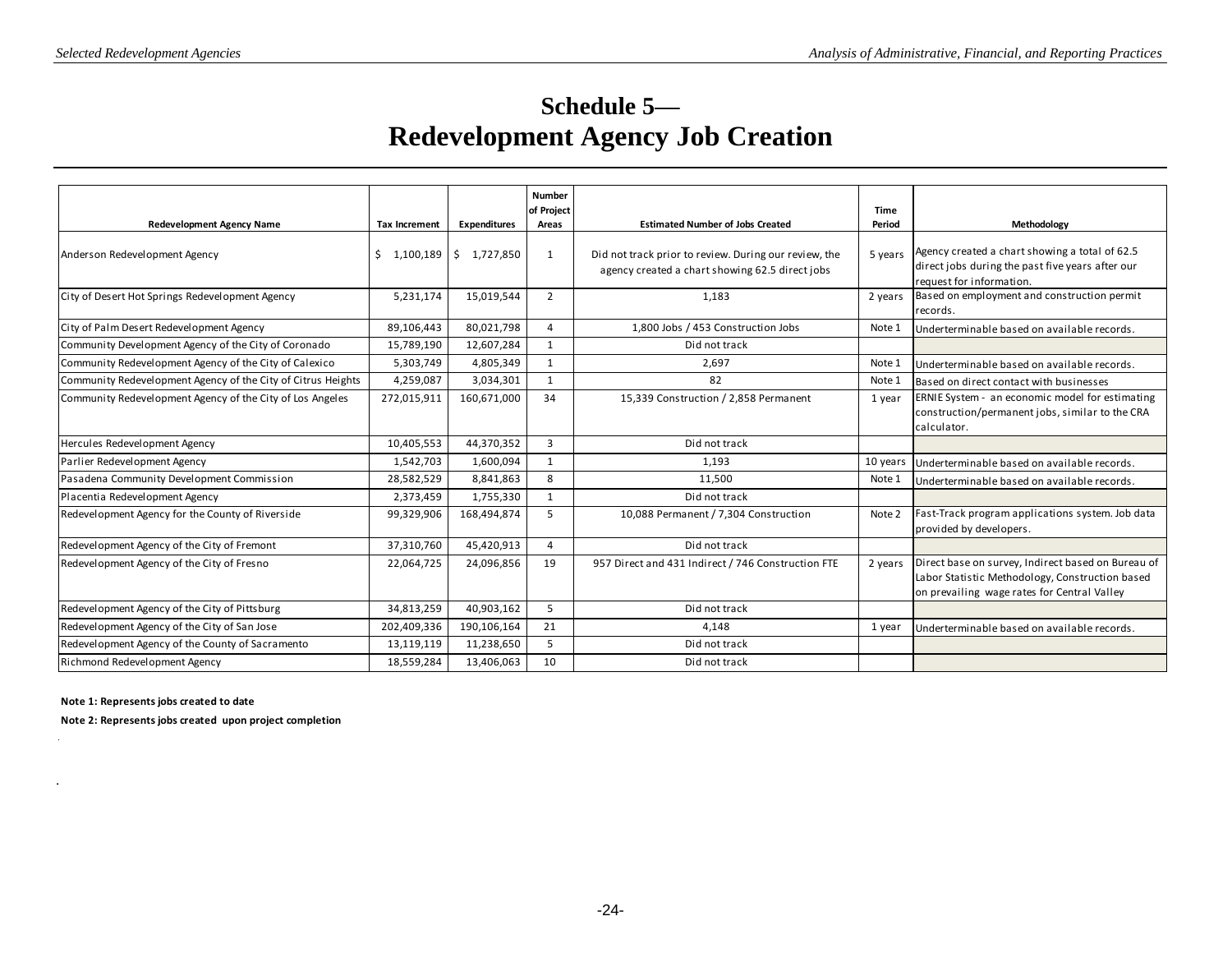# **Schedule 5— Redevelopment Agency Job Creation**

|                                                              |                      |                     | <b>Number</b><br>of Project |                                                                                                          | Time     |                                                                                                                                                      |
|--------------------------------------------------------------|----------------------|---------------------|-----------------------------|----------------------------------------------------------------------------------------------------------|----------|------------------------------------------------------------------------------------------------------------------------------------------------------|
| <b>Redevelopment Agency Name</b>                             | <b>Tax Increment</b> | <b>Expenditures</b> | Areas                       | <b>Estimated Number of Jobs Created</b>                                                                  | Period   | Methodology                                                                                                                                          |
| Anderson Redevelopment Agency                                | \$<br>1,100,189      | \$1,727,850         | 1                           | Did not track prior to review. During our review, the<br>agency created a chart showing 62.5 direct jobs | 5 years  | Agency created a chart showing a total of 62.5<br>direct jobs during the past five years after our<br>request for information.                       |
| City of Desert Hot Springs Redevelopment Agency              | 5,231,174            | 15,019,544          | $\overline{2}$              | 1,183                                                                                                    | 2 years  | Based on employment and construction permit<br>records.                                                                                              |
| City of Palm Desert Redevelopment Agency                     | 89,106,443           | 80,021,798          | 4                           | 1,800 Jobs / 453 Construction Jobs                                                                       | Note 1   | Underterminable based on available records.                                                                                                          |
| Community Development Agency of the City of Coronado         | 15,789,190           | 12,607,284          | 1                           | Did not track                                                                                            |          |                                                                                                                                                      |
| Community Redevelopment Agency of the City of Calexico       | 5,303,749            | 4,805,349           | 1                           | 2,697                                                                                                    | Note 1   | Underterminable based on available records.                                                                                                          |
| Community Redevelopment Agency of the City of Citrus Heights | 4,259,087            | 3,034,301           | 1                           | 82                                                                                                       | Note 1   | Based on direct contact with businesses                                                                                                              |
| Community Redevelopment Agency of the City of Los Angeles    | 272,015,911          | 160,671,000         | 34                          | 15,339 Construction / 2,858 Permanent                                                                    | 1 year   | ERNIE System - an economic model for estimating<br>construction/permanent jobs, similar to the CRA<br>calculator.                                    |
| Hercules Redevelopment Agency                                | 10,405,553           | 44,370,352          | $\overline{3}$              | Did not track                                                                                            |          |                                                                                                                                                      |
| Parlier Redevelopment Agency                                 | 1,542,703            | 1,600,094           | $\mathbf{1}$                | 1,193                                                                                                    | 10 years | Underterminable based on available records.                                                                                                          |
| Pasadena Community Development Commission                    | 28,582,529           | 8,841,863           | 8                           | 11,500                                                                                                   | Note 1   | Underterminable based on available records.                                                                                                          |
| Placentia Redevelopment Agency                               | 2,373,459            | 1,755,330           | $\mathbf{1}$                | Did not track                                                                                            |          |                                                                                                                                                      |
| Redevelopment Agency for the County of Riverside             | 99,329,906           | 168,494,874         | 5                           | 10,088 Permanent / 7,304 Construction                                                                    | Note 2   | Fast-Track program applications system. Job data<br>provided by developers.                                                                          |
| Redevelopment Agency of the City of Fremont                  | 37,310,760           | 45,420,913          | 4                           | Did not track                                                                                            |          |                                                                                                                                                      |
| Redevelopment Agency of the City of Fresno                   | 22,064,725           | 24,096,856          | 19                          | 957 Direct and 431 Indirect / 746 Construction FTE                                                       | 2 years  | Direct base on survey, Indirect based on Bureau of<br>Labor Statistic Methodology, Construction based<br>on prevailing wage rates for Central Valley |
| Redevelopment Agency of the City of Pittsburg                | 34,813,259           | 40,903,162          | 5                           | Did not track                                                                                            |          |                                                                                                                                                      |
| Redevelopment Agency of the City of San Jose                 | 202,409,336          | 190,106,164         | 21                          | 4.148                                                                                                    | 1 year   | Underterminable based on available records.                                                                                                          |
| Redevelopment Agency of the County of Sacramento             | 13,119,119           | 11,238,650          | 5                           | Did not track                                                                                            |          |                                                                                                                                                      |
| Richmond Redevelopment Agency                                | 18,559,284           | 13,406,063          | 10                          | Did not track                                                                                            |          |                                                                                                                                                      |

**Note 1: Represents jobs created to date**

.

 $\overline{\phantom{a}}$ 

**Note 2: Represents jobs created upon project completion**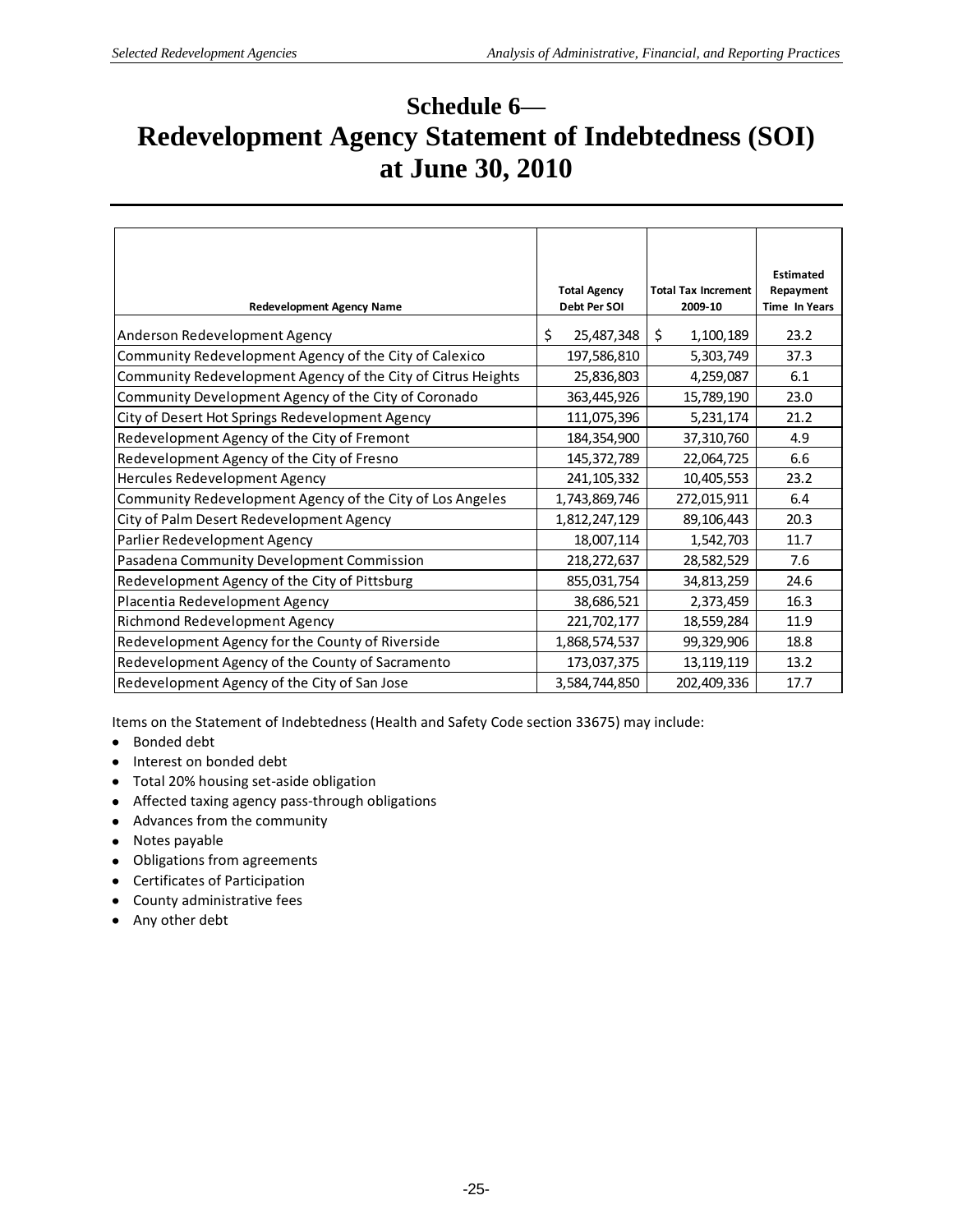# **Schedule 6— Redevelopment Agency Statement of Indebtedness (SOI) at June 30, 2010**

| <b>Redevelopment Agency Name</b>                             | <b>Total Agency</b><br>Debt Per SOI | <b>Total Tax Increment</b><br>2009-10 | <b>Estimated</b><br>Repayment<br><b>Time In Years</b> |
|--------------------------------------------------------------|-------------------------------------|---------------------------------------|-------------------------------------------------------|
| Anderson Redevelopment Agency                                | \$<br>25,487,348                    | \$<br>1,100,189                       | 23.2                                                  |
| Community Redevelopment Agency of the City of Calexico       | 197,586,810                         | 5,303,749                             | 37.3                                                  |
| Community Redevelopment Agency of the City of Citrus Heights | 25,836,803                          | 4,259,087                             | 6.1                                                   |
| Community Development Agency of the City of Coronado         | 363,445,926                         | 15,789,190                            | 23.0                                                  |
| City of Desert Hot Springs Redevelopment Agency              | 111,075,396                         | 5,231,174                             | 21.2                                                  |
| Redevelopment Agency of the City of Fremont                  | 184,354,900                         | 37,310,760                            | 4.9                                                   |
| Redevelopment Agency of the City of Fresno                   | 145, 372, 789                       | 22,064,725                            | 6.6                                                   |
| Hercules Redevelopment Agency                                | 241, 105, 332                       | 10,405,553                            | 23.2                                                  |
| Community Redevelopment Agency of the City of Los Angeles    | 1,743,869,746                       | 272,015,911                           | 6.4                                                   |
| City of Palm Desert Redevelopment Agency                     | 1,812,247,129                       | 89,106,443                            | 20.3                                                  |
| Parlier Redevelopment Agency                                 | 18,007,114                          | 1,542,703                             | 11.7                                                  |
| Pasadena Community Development Commission                    | 218,272,637                         | 28,582,529                            | 7.6                                                   |
| Redevelopment Agency of the City of Pittsburg                | 855,031,754                         | 34,813,259                            | 24.6                                                  |
| Placentia Redevelopment Agency                               | 38,686,521                          | 2,373,459                             | 16.3                                                  |
| Richmond Redevelopment Agency                                | 221,702,177                         | 18,559,284                            | 11.9                                                  |
| Redevelopment Agency for the County of Riverside             | 1,868,574,537                       | 99,329,906                            | 18.8                                                  |
| Redevelopment Agency of the County of Sacramento             | 173,037,375                         | 13, 119, 119                          | 13.2                                                  |
| Redevelopment Agency of the City of San Jose                 | 3,584,744,850                       | 202,409,336                           | 17.7                                                  |

Items on the Statement of Indebtedness (Health and Safety Code section 33675) may include:

- Bonded debt
- Interest on bonded debt
- Total 20% housing set-aside obligation
- Affected taxing agency pass-through obligations
- Advances from the community
- Notes payable
- Obligations from agreements
- Certificates of Participation
- County administrative fees
- Any other debt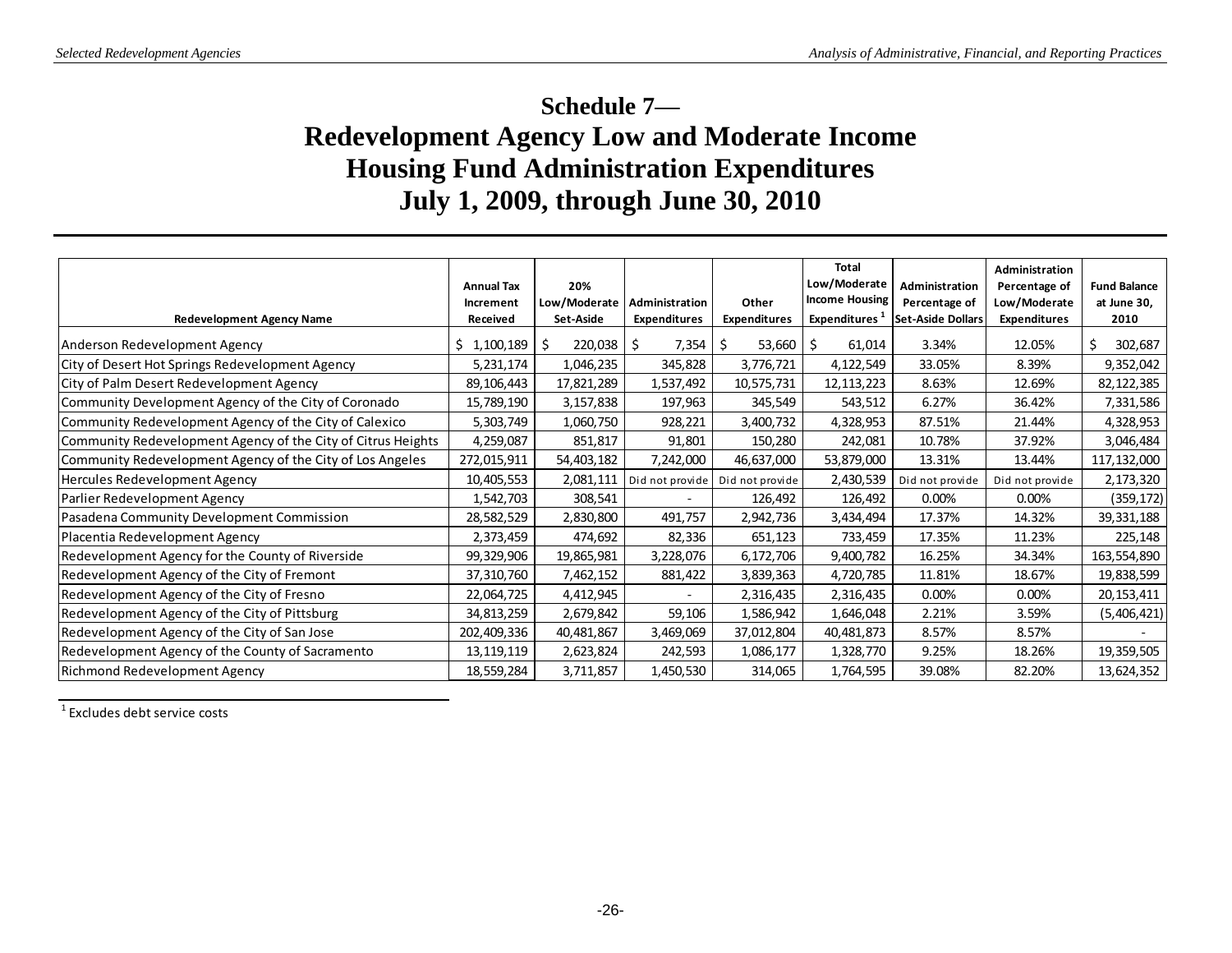# **Schedule 7— Redevelopment Agency Low and Moderate Income Housing Fund Administration Expenditures July 1, 2009, through June 30, 2010**

| <b>Redevelopment Agency Name</b>                             | <b>Annual Tax</b><br>Increment<br>Received | 20%<br>Low/Moderate<br>Set-Aside | Administration<br><b>Expenditures</b> | Other<br><b>Expenditures</b> | <b>Total</b><br>Low/Moderate<br><b>Income Housing</b><br>Expenditures <sup>1</sup> | Administration<br>Percentage of<br><b>Set-Aside Dollars</b> | Administration<br>Percentage of<br>Low/Moderate<br><b>Expenditures</b> | <b>Fund Balance</b><br>at June 30,<br>2010 |
|--------------------------------------------------------------|--------------------------------------------|----------------------------------|---------------------------------------|------------------------------|------------------------------------------------------------------------------------|-------------------------------------------------------------|------------------------------------------------------------------------|--------------------------------------------|
| Anderson Redevelopment Agency                                | Ś.<br>1,100,189                            | 220,038<br>\$.                   | 7,354<br>S                            | 53,660<br>S                  | \$.<br>61,014                                                                      | 3.34%                                                       | 12.05%                                                                 | \$<br>302,687                              |
| City of Desert Hot Springs Redevelopment Agency              | 5,231,174                                  | 1,046,235                        | 345,828                               | 3,776,721                    | 4,122,549                                                                          | 33.05%                                                      | 8.39%                                                                  | 9,352,042                                  |
| City of Palm Desert Redevelopment Agency                     | 89,106,443                                 | 17,821,289                       | 1,537,492                             | 10,575,731                   | 12, 113, 223                                                                       | 8.63%                                                       | 12.69%                                                                 | 82, 122, 385                               |
| Community Development Agency of the City of Coronado         | 15,789,190                                 | 3,157,838                        | 197,963                               | 345,549                      | 543,512                                                                            | 6.27%                                                       | 36.42%                                                                 | 7,331,586                                  |
| Community Redevelopment Agency of the City of Calexico       | 5,303,749                                  | 1,060,750                        | 928,221                               | 3,400,732                    | 4,328,953                                                                          | 87.51%                                                      | 21.44%                                                                 | 4,328,953                                  |
| Community Redevelopment Agency of the City of Citrus Heights | 4,259,087                                  | 851,817                          | 91,801                                | 150,280                      | 242,081                                                                            | 10.78%                                                      | 37.92%                                                                 | 3,046,484                                  |
| Community Redevelopment Agency of the City of Los Angeles    | 272,015,911                                | 54,403,182                       | 7,242,000                             | 46,637,000                   | 53,879,000                                                                         | 13.31%                                                      | 13.44%                                                                 | 117, 132, 000                              |
| Hercules Redevelopment Agency                                | 10,405,553                                 | 2,081,111                        | Did not provide                       | Did not provide              | 2,430,539                                                                          | Did not provide                                             | Did not provide                                                        | 2,173,320                                  |
| Parlier Redevelopment Agency                                 | 1,542,703                                  | 308,541                          |                                       | 126,492                      | 126,492                                                                            | 0.00%                                                       | 0.00%                                                                  | (359, 172)                                 |
| Pasadena Community Development Commission                    | 28,582,529                                 | 2,830,800                        | 491,757                               | 2,942,736                    | 3,434,494                                                                          | 17.37%                                                      | 14.32%                                                                 | 39, 331, 188                               |
| Placentia Redevelopment Agency                               | 2,373,459                                  | 474,692                          | 82,336                                | 651,123                      | 733,459                                                                            | 17.35%                                                      | 11.23%                                                                 | 225,148                                    |
| Redevelopment Agency for the County of Riverside             | 99,329,906                                 | 19,865,981                       | 3,228,076                             | 6,172,706                    | 9,400,782                                                                          | 16.25%                                                      | 34.34%                                                                 | 163,554,890                                |
| Redevelopment Agency of the City of Fremont                  | 37,310,760                                 | 7,462,152                        | 881,422                               | 3,839,363                    | 4,720,785                                                                          | 11.81%                                                      | 18.67%                                                                 | 19,838,599                                 |
| Redevelopment Agency of the City of Fresno                   | 22,064,725                                 | 4,412,945                        |                                       | 2,316,435                    | 2,316,435                                                                          | 0.00%                                                       | 0.00%                                                                  | 20, 153, 411                               |
| Redevelopment Agency of the City of Pittsburg                | 34,813,259                                 | 2,679,842                        | 59,106                                | 1,586,942                    | 1,646,048                                                                          | 2.21%                                                       | 3.59%                                                                  | (5,406,421)                                |
| Redevelopment Agency of the City of San Jose                 | 202,409,336                                | 40,481,867                       | 3,469,069                             | 37,012,804                   | 40,481,873                                                                         | 8.57%                                                       | 8.57%                                                                  |                                            |
| Redevelopment Agency of the County of Sacramento             | 13, 119, 119                               | 2,623,824                        | 242,593                               | 1,086,177                    | 1,328,770                                                                          | 9.25%                                                       | 18.26%                                                                 | 19,359,505                                 |
| Richmond Redevelopment Agency                                | 18,559,284                                 | 3,711,857                        | 1,450,530                             | 314,065                      | 1,764,595                                                                          | 39.08%                                                      | 82.20%                                                                 | 13,624,352                                 |

<sup>1</sup> Excludes debt service costs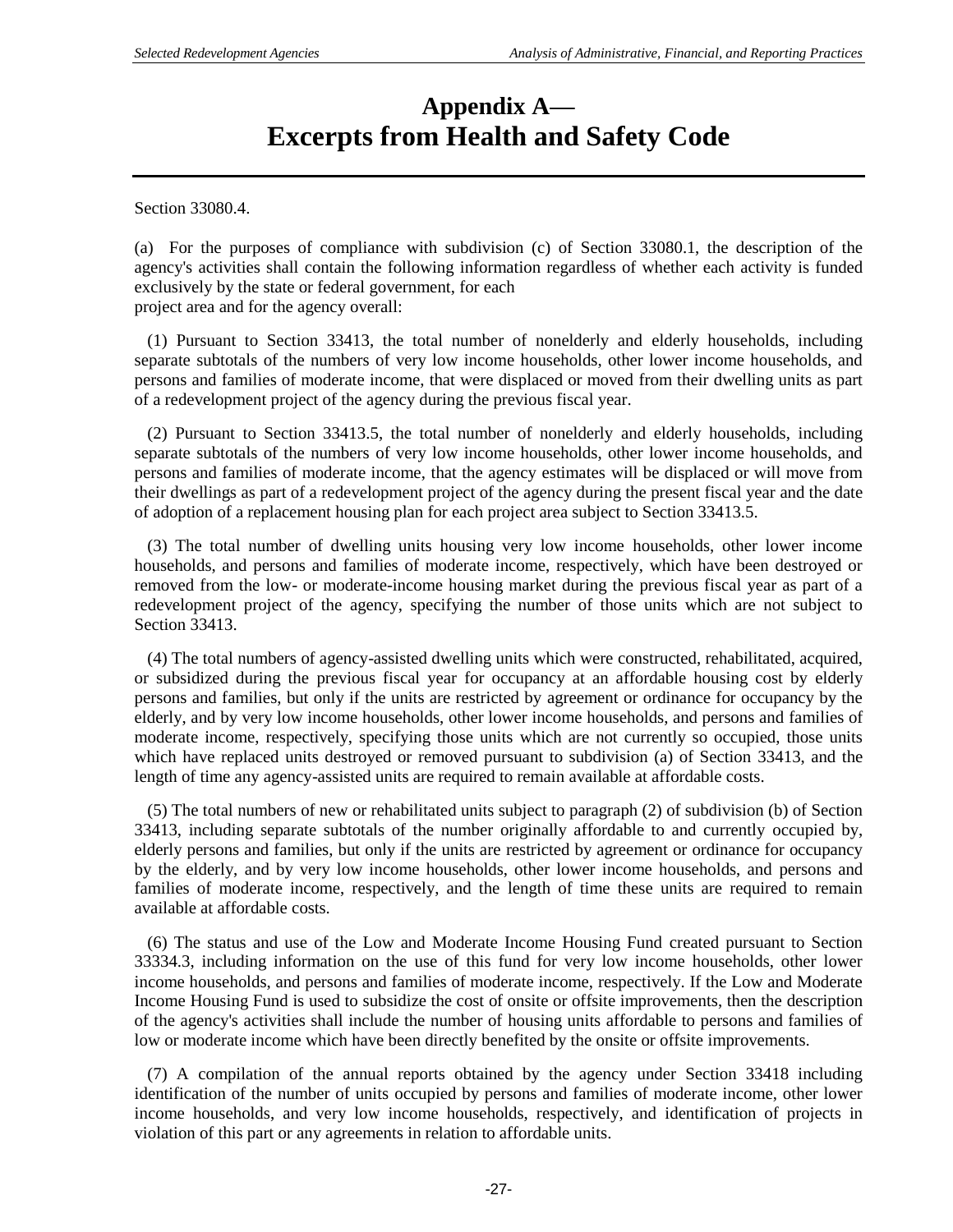# **Appendix A— Excerpts from Health and Safety Code**

Section 33080.4.

(a) For the purposes of compliance with subdivision (c) of Section 33080.1, the description of the agency's activities shall contain the following information regardless of whether each activity is funded exclusively by the state or federal government, for each project area and for the agency overall:

 (1) Pursuant to Section 33413, the total number of nonelderly and elderly households, including separate subtotals of the numbers of very low income households, other lower income households, and persons and families of moderate income, that were displaced or moved from their dwelling units as part of a redevelopment project of the agency during the previous fiscal year.

 (2) Pursuant to Section 33413.5, the total number of nonelderly and elderly households, including separate subtotals of the numbers of very low income households, other lower income households, and persons and families of moderate income, that the agency estimates will be displaced or will move from their dwellings as part of a redevelopment project of the agency during the present fiscal year and the date of adoption of a replacement housing plan for each project area subject to Section 33413.5.

 (3) The total number of dwelling units housing very low income households, other lower income households, and persons and families of moderate income, respectively, which have been destroyed or removed from the low- or moderate-income housing market during the previous fiscal year as part of a redevelopment project of the agency, specifying the number of those units which are not subject to Section 33413.

 (4) The total numbers of agency-assisted dwelling units which were constructed, rehabilitated, acquired, or subsidized during the previous fiscal year for occupancy at an affordable housing cost by elderly persons and families, but only if the units are restricted by agreement or ordinance for occupancy by the elderly, and by very low income households, other lower income households, and persons and families of moderate income, respectively, specifying those units which are not currently so occupied, those units which have replaced units destroyed or removed pursuant to subdivision (a) of Section 33413, and the length of time any agency-assisted units are required to remain available at affordable costs.

 (5) The total numbers of new or rehabilitated units subject to paragraph (2) of subdivision (b) of Section 33413, including separate subtotals of the number originally affordable to and currently occupied by, elderly persons and families, but only if the units are restricted by agreement or ordinance for occupancy by the elderly, and by very low income households, other lower income households, and persons and families of moderate income, respectively, and the length of time these units are required to remain available at affordable costs.

 (6) The status and use of the Low and Moderate Income Housing Fund created pursuant to Section 33334.3, including information on the use of this fund for very low income households, other lower income households, and persons and families of moderate income, respectively. If the Low and Moderate Income Housing Fund is used to subsidize the cost of onsite or offsite improvements, then the description of the agency's activities shall include the number of housing units affordable to persons and families of low or moderate income which have been directly benefited by the onsite or offsite improvements.

 (7) A compilation of the annual reports obtained by the agency under Section 33418 including identification of the number of units occupied by persons and families of moderate income, other lower income households, and very low income households, respectively, and identification of projects in violation of this part or any agreements in relation to affordable units.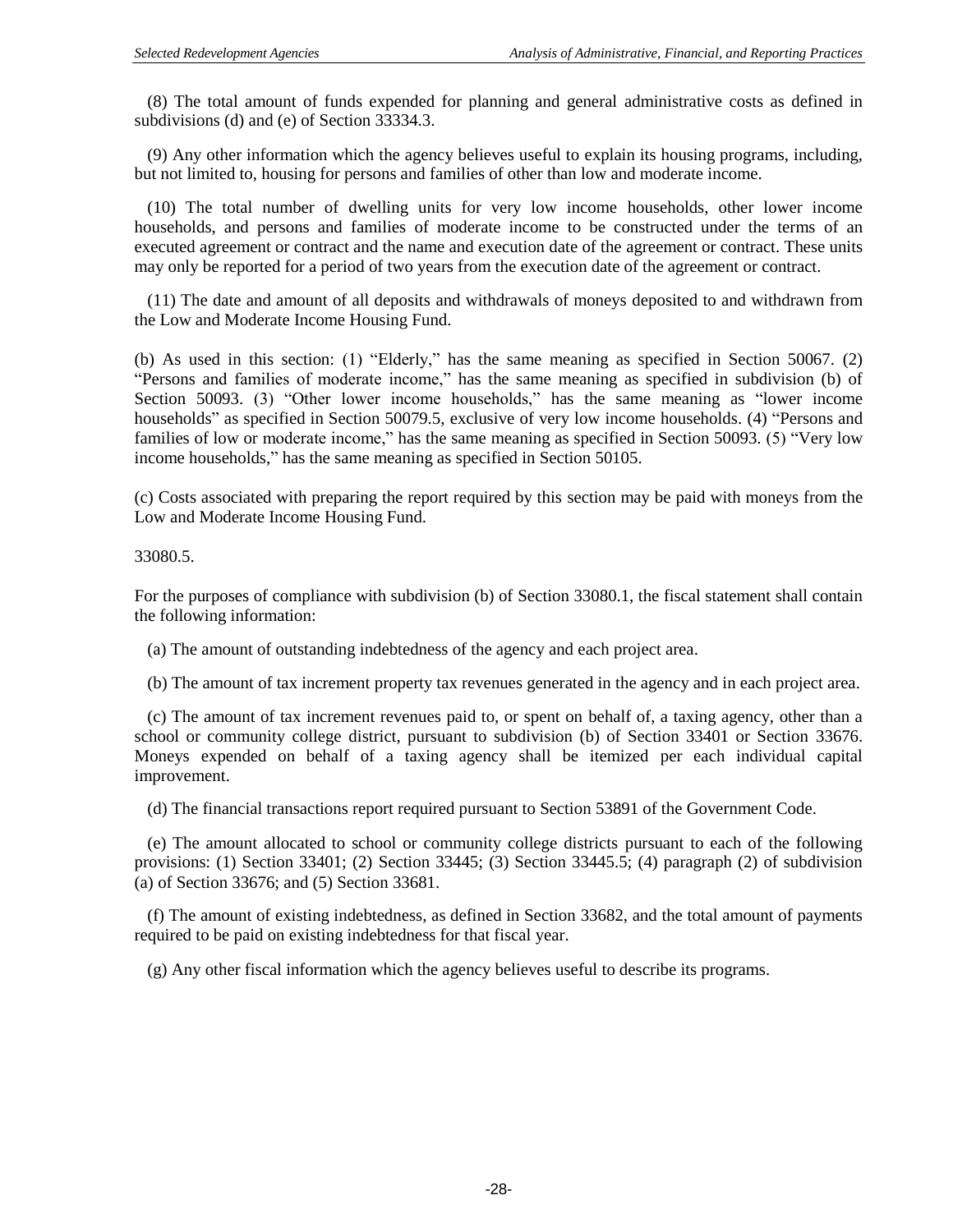(8) The total amount of funds expended for planning and general administrative costs as defined in subdivisions (d) and (e) of Section 33334.3.

 (9) Any other information which the agency believes useful to explain its housing programs, including, but not limited to, housing for persons and families of other than low and moderate income.

 (10) The total number of dwelling units for very low income households, other lower income households, and persons and families of moderate income to be constructed under the terms of an executed agreement or contract and the name and execution date of the agreement or contract. These units may only be reported for a period of two years from the execution date of the agreement or contract.

 (11) The date and amount of all deposits and withdrawals of moneys deposited to and withdrawn from the Low and Moderate Income Housing Fund.

(b) As used in this section: (1) "Elderly," has the same meaning as specified in Section 50067. (2) "Persons and families of moderate income," has the same meaning as specified in subdivision (b) of Section 50093. (3) "Other lower income households," has the same meaning as "lower income households" as specified in Section 50079.5, exclusive of very low income households. (4) "Persons and families of low or moderate income," has the same meaning as specified in Section 50093. (5) "Very low income households," has the same meaning as specified in Section 50105.

(c) Costs associated with preparing the report required by this section may be paid with moneys from the Low and Moderate Income Housing Fund.

33080.5.

For the purposes of compliance with subdivision (b) of Section 33080.1, the fiscal statement shall contain the following information:

(a) The amount of outstanding indebtedness of the agency and each project area.

(b) The amount of tax increment property tax revenues generated in the agency and in each project area.

 (c) The amount of tax increment revenues paid to, or spent on behalf of, a taxing agency, other than a school or community college district, pursuant to subdivision (b) of Section 33401 or Section 33676. Moneys expended on behalf of a taxing agency shall be itemized per each individual capital improvement.

(d) The financial transactions report required pursuant to Section 53891 of the Government Code.

 (e) The amount allocated to school or community college districts pursuant to each of the following provisions: (1) Section 33401; (2) Section 33445; (3) Section 33445.5; (4) paragraph (2) of subdivision (a) of Section 33676; and (5) Section 33681.

 (f) The amount of existing indebtedness, as defined in Section 33682, and the total amount of payments required to be paid on existing indebtedness for that fiscal year.

(g) Any other fiscal information which the agency believes useful to describe its programs.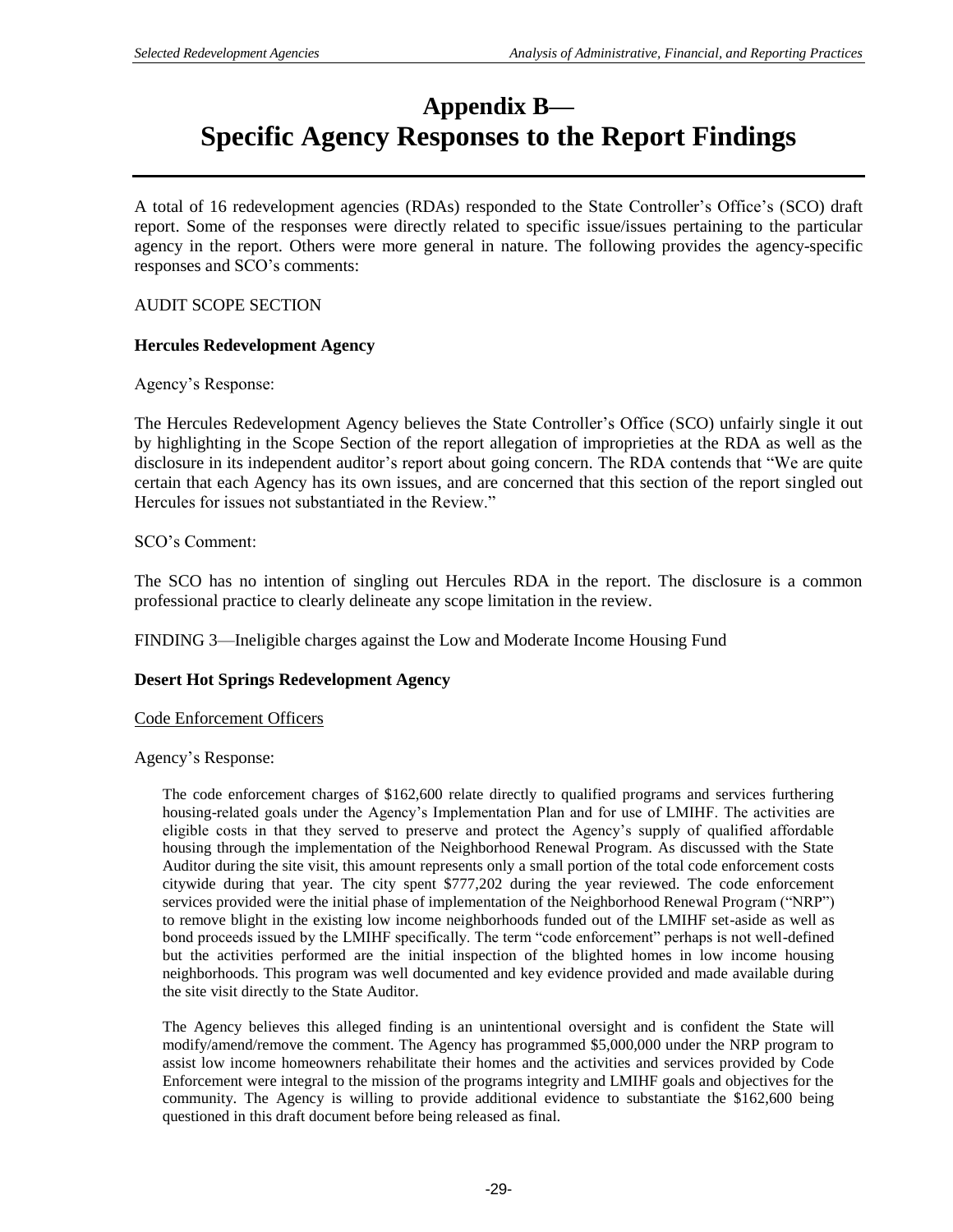# **Appendix B— Specific Agency Responses to the Report Findings**

A total of 16 redevelopment agencies (RDAs) responded to the State Controller's Office's (SCO) draft report. Some of the responses were directly related to specific issue/issues pertaining to the particular agency in the report. Others were more general in nature. The following provides the agency-specific responses and SCO's comments:

### AUDIT SCOPE SECTION

#### **Hercules Redevelopment Agency**

Agency's Response:

The Hercules Redevelopment Agency believes the State Controller's Office (SCO) unfairly single it out by highlighting in the Scope Section of the report allegation of improprieties at the RDA as well as the disclosure in its independent auditor's report about going concern. The RDA contends that "We are quite certain that each Agency has its own issues, and are concerned that this section of the report singled out Hercules for issues not substantiated in the Review."

SCO's Comment:

The SCO has no intention of singling out Hercules RDA in the report. The disclosure is a common professional practice to clearly delineate any scope limitation in the review.

FINDING 3—Ineligible charges against the Low and Moderate Income Housing Fund

#### **Desert Hot Springs Redevelopment Agency**

Code Enforcement Officers

Agency's Response:

The code enforcement charges of \$162,600 relate directly to qualified programs and services furthering housing-related goals under the Agency's Implementation Plan and for use of LMIHF. The activities are eligible costs in that they served to preserve and protect the Agency's supply of qualified affordable housing through the implementation of the Neighborhood Renewal Program. As discussed with the State Auditor during the site visit, this amount represents only a small portion of the total code enforcement costs citywide during that year. The city spent \$777,202 during the year reviewed. The code enforcement services provided were the initial phase of implementation of the Neighborhood Renewal Program ("NRP") to remove blight in the existing low income neighborhoods funded out of the LMIHF set-aside as well as bond proceeds issued by the LMIHF specifically. The term "code enforcement" perhaps is not well-defined but the activities performed are the initial inspection of the blighted homes in low income housing neighborhoods. This program was well documented and key evidence provided and made available during the site visit directly to the State Auditor.

The Agency believes this alleged finding is an unintentional oversight and is confident the State will modify/amend/remove the comment. The Agency has programmed \$5,000,000 under the NRP program to assist low income homeowners rehabilitate their homes and the activities and services provided by Code Enforcement were integral to the mission of the programs integrity and LMIHF goals and objectives for the community. The Agency is willing to provide additional evidence to substantiate the \$162,600 being questioned in this draft document before being released as final.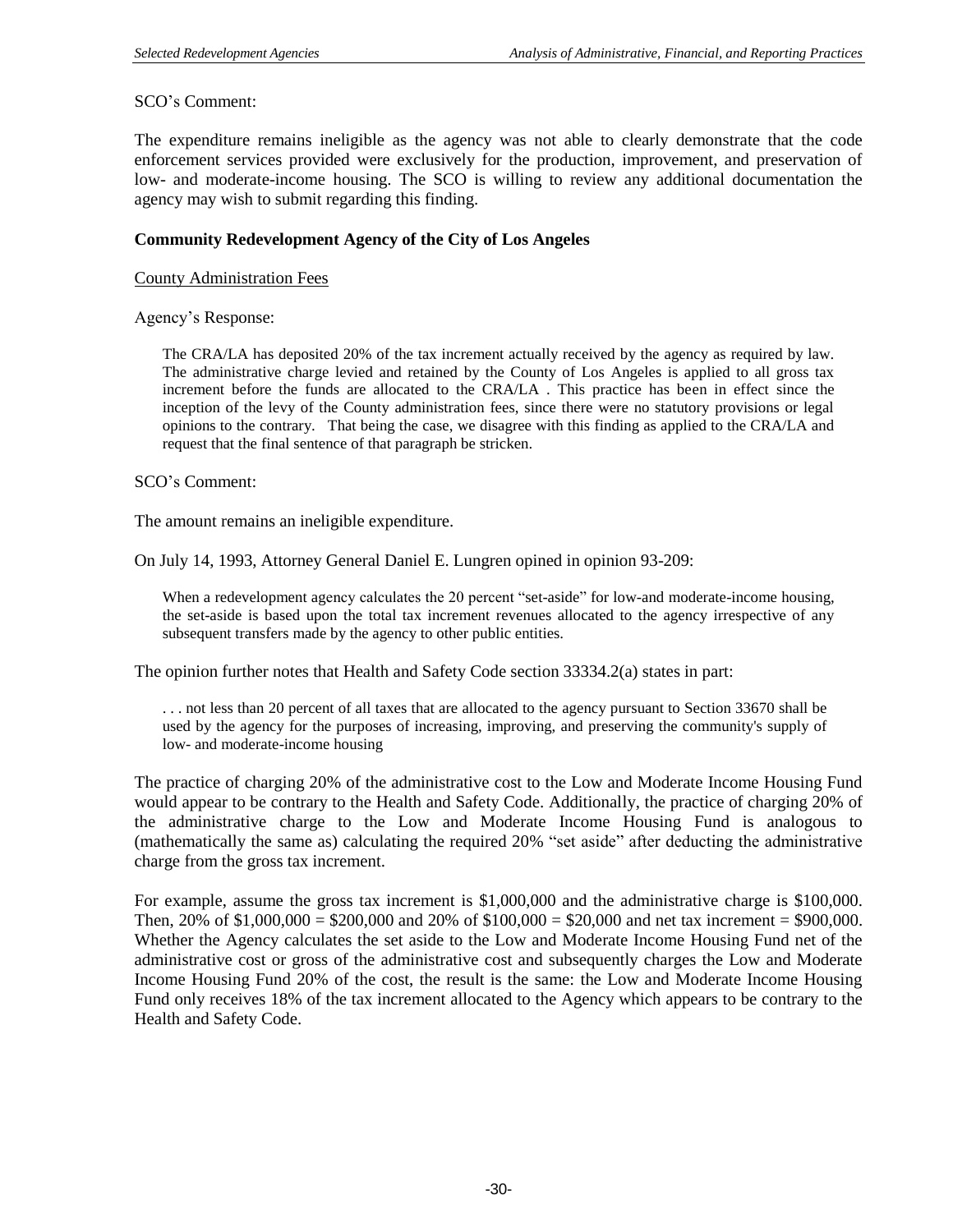### SCO's Comment:

The expenditure remains ineligible as the agency was not able to clearly demonstrate that the code enforcement services provided were exclusively for the production, improvement, and preservation of low- and moderate-income housing. The SCO is willing to review any additional documentation the agency may wish to submit regarding this finding.

### **Community Redevelopment Agency of the City of Los Angeles**

County Administration Fees

Agency's Response:

The CRA/LA has deposited 20% of the tax increment actually received by the agency as required by law. The administrative charge levied and retained by the County of Los Angeles is applied to all gross tax increment before the funds are allocated to the CRA/LA . This practice has been in effect since the inception of the levy of the County administration fees, since there were no statutory provisions or legal opinions to the contrary. That being the case, we disagree with this finding as applied to the CRA/LA and request that the final sentence of that paragraph be stricken.

SCO's Comment:

The amount remains an ineligible expenditure.

On July 14, 1993, Attorney General Daniel E. Lungren opined in opinion 93-209:

When a redevelopment agency calculates the 20 percent "set-aside" for low-and moderate-income housing, the set-aside is based upon the total tax increment revenues allocated to the agency irrespective of any subsequent transfers made by the agency to other public entities.

The opinion further notes that Health and Safety Code section 33334.2(a) states in part:

. . . not less than 20 percent of all taxes that are allocated to the agency pursuant to Section 33670 shall be used by the agency for the purposes of increasing, improving, and preserving the community's supply of low- and moderate-income housing

The practice of charging 20% of the administrative cost to the Low and Moderate Income Housing Fund would appear to be contrary to the Health and Safety Code. Additionally, the practice of charging 20% of the administrative charge to the Low and Moderate Income Housing Fund is analogous to (mathematically the same as) calculating the required 20% "set aside" after deducting the administrative charge from the gross tax increment.

For example, assume the gross tax increment is \$1,000,000 and the administrative charge is \$100,000. Then,  $20\%$  of \$1,000,000 = \$200,000 and  $20\%$  of \$100,000 = \$20,000 and net tax increment = \$900,000. Whether the Agency calculates the set aside to the Low and Moderate Income Housing Fund net of the administrative cost or gross of the administrative cost and subsequently charges the Low and Moderate Income Housing Fund 20% of the cost, the result is the same: the Low and Moderate Income Housing Fund only receives 18% of the tax increment allocated to the Agency which appears to be contrary to the Health and Safety Code.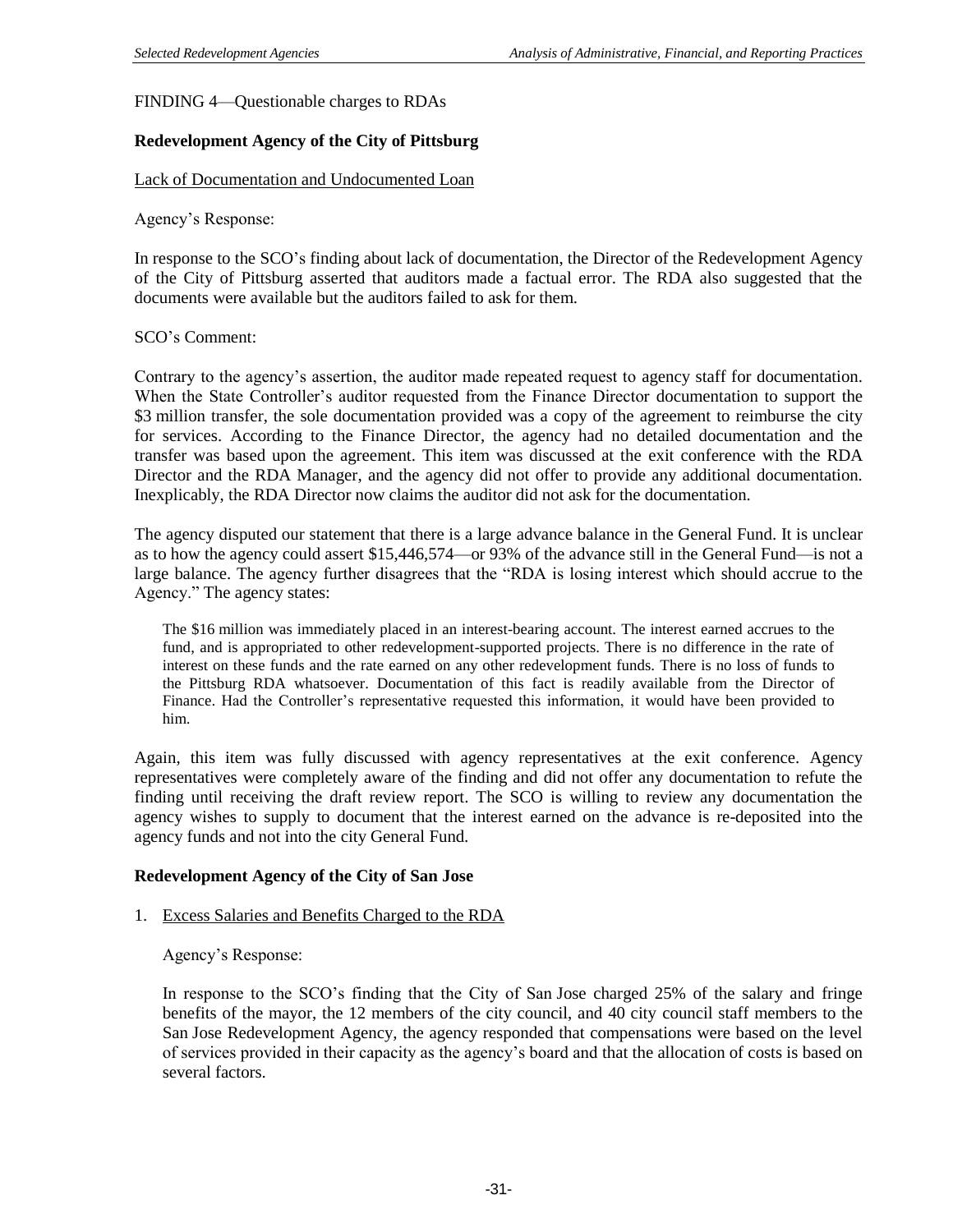FINDING 4—Questionable charges to RDAs

### **Redevelopment Agency of the City of Pittsburg**

#### Lack of Documentation and Undocumented Loan

Agency's Response:

In response to the SCO's finding about lack of documentation, the Director of the Redevelopment Agency of the City of Pittsburg asserted that auditors made a factual error. The RDA also suggested that the documents were available but the auditors failed to ask for them.

#### SCO's Comment:

Contrary to the agency's assertion, the auditor made repeated request to agency staff for documentation. When the State Controller's auditor requested from the Finance Director documentation to support the \$3 million transfer, the sole documentation provided was a copy of the agreement to reimburse the city for services. According to the Finance Director, the agency had no detailed documentation and the transfer was based upon the agreement. This item was discussed at the exit conference with the RDA Director and the RDA Manager, and the agency did not offer to provide any additional documentation. Inexplicably, the RDA Director now claims the auditor did not ask for the documentation.

The agency disputed our statement that there is a large advance balance in the General Fund. It is unclear as to how the agency could assert \$15,446,574—or 93% of the advance still in the General Fund—is not a large balance. The agency further disagrees that the "RDA is losing interest which should accrue to the Agency." The agency states:

The \$16 million was immediately placed in an interest-bearing account. The interest earned accrues to the fund, and is appropriated to other redevelopment-supported projects. There is no difference in the rate of interest on these funds and the rate earned on any other redevelopment funds. There is no loss of funds to the Pittsburg RDA whatsoever. Documentation of this fact is readily available from the Director of Finance. Had the Controller's representative requested this information, it would have been provided to him.

Again, this item was fully discussed with agency representatives at the exit conference. Agency representatives were completely aware of the finding and did not offer any documentation to refute the finding until receiving the draft review report. The SCO is willing to review any documentation the agency wishes to supply to document that the interest earned on the advance is re-deposited into the agency funds and not into the city General Fund.

#### **Redevelopment Agency of the City of San Jose**

#### 1. Excess Salaries and Benefits Charged to the RDA

Agency's Response:

In response to the SCO's finding that the City of San Jose charged 25% of the salary and fringe benefits of the mayor, the 12 members of the city council, and 40 city council staff members to the San Jose Redevelopment Agency, the agency responded that compensations were based on the level of services provided in their capacity as the agency's board and that the allocation of costs is based on several factors.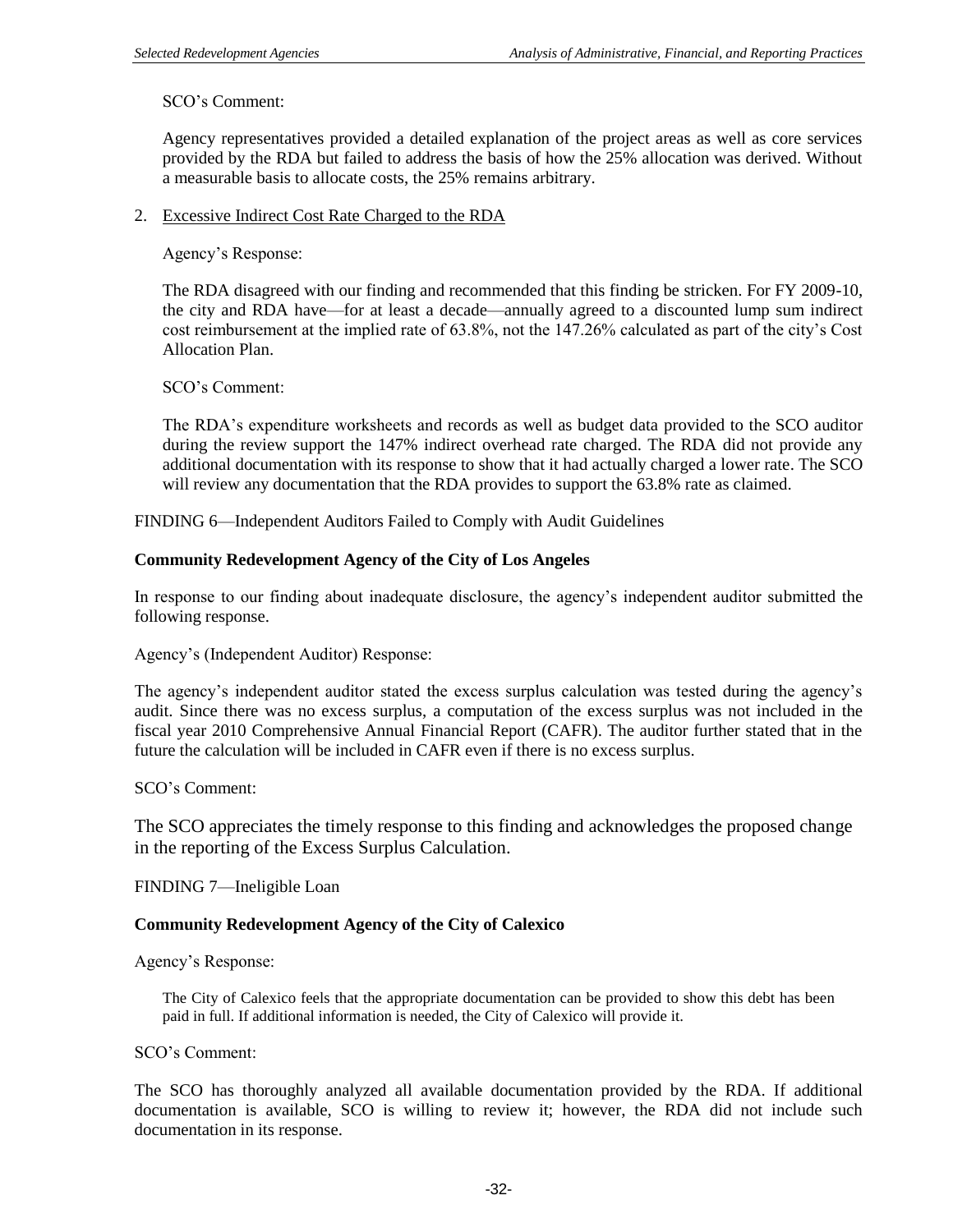# SCO's Comment:

Agency representatives provided a detailed explanation of the project areas as well as core services provided by the RDA but failed to address the basis of how the 25% allocation was derived. Without a measurable basis to allocate costs, the 25% remains arbitrary.

### 2. Excessive Indirect Cost Rate Charged to the RDA

Agency's Response:

The RDA disagreed with our finding and recommended that this finding be stricken. For FY 2009-10, the city and RDA have—for at least a decade—annually agreed to a discounted lump sum indirect cost reimbursement at the implied rate of 63.8%, not the 147.26% calculated as part of the city's Cost Allocation Plan.

SCO's Comment:

The RDA's expenditure worksheets and records as well as budget data provided to the SCO auditor during the review support the 147% indirect overhead rate charged. The RDA did not provide any additional documentation with its response to show that it had actually charged a lower rate. The SCO will review any documentation that the RDA provides to support the 63.8% rate as claimed.

FINDING 6—Independent Auditors Failed to Comply with Audit Guidelines

## **Community Redevelopment Agency of the City of Los Angeles**

In response to our finding about inadequate disclosure, the agency's independent auditor submitted the following response.

Agency's (Independent Auditor) Response:

The agency's independent auditor stated the excess surplus calculation was tested during the agency's audit. Since there was no excess surplus, a computation of the excess surplus was not included in the fiscal year 2010 Comprehensive Annual Financial Report (CAFR). The auditor further stated that in the future the calculation will be included in CAFR even if there is no excess surplus.

SCO's Comment:

The SCO appreciates the timely response to this finding and acknowledges the proposed change in the reporting of the Excess Surplus Calculation.

FINDING 7—Ineligible Loan

### **Community Redevelopment Agency of the City of Calexico**

Agency's Response:

The City of Calexico feels that the appropriate documentation can be provided to show this debt has been paid in full. If additional information is needed, the City of Calexico will provide it.

SCO's Comment:

The SCO has thoroughly analyzed all available documentation provided by the RDA. If additional documentation is available, SCO is willing to review it; however, the RDA did not include such documentation in its response.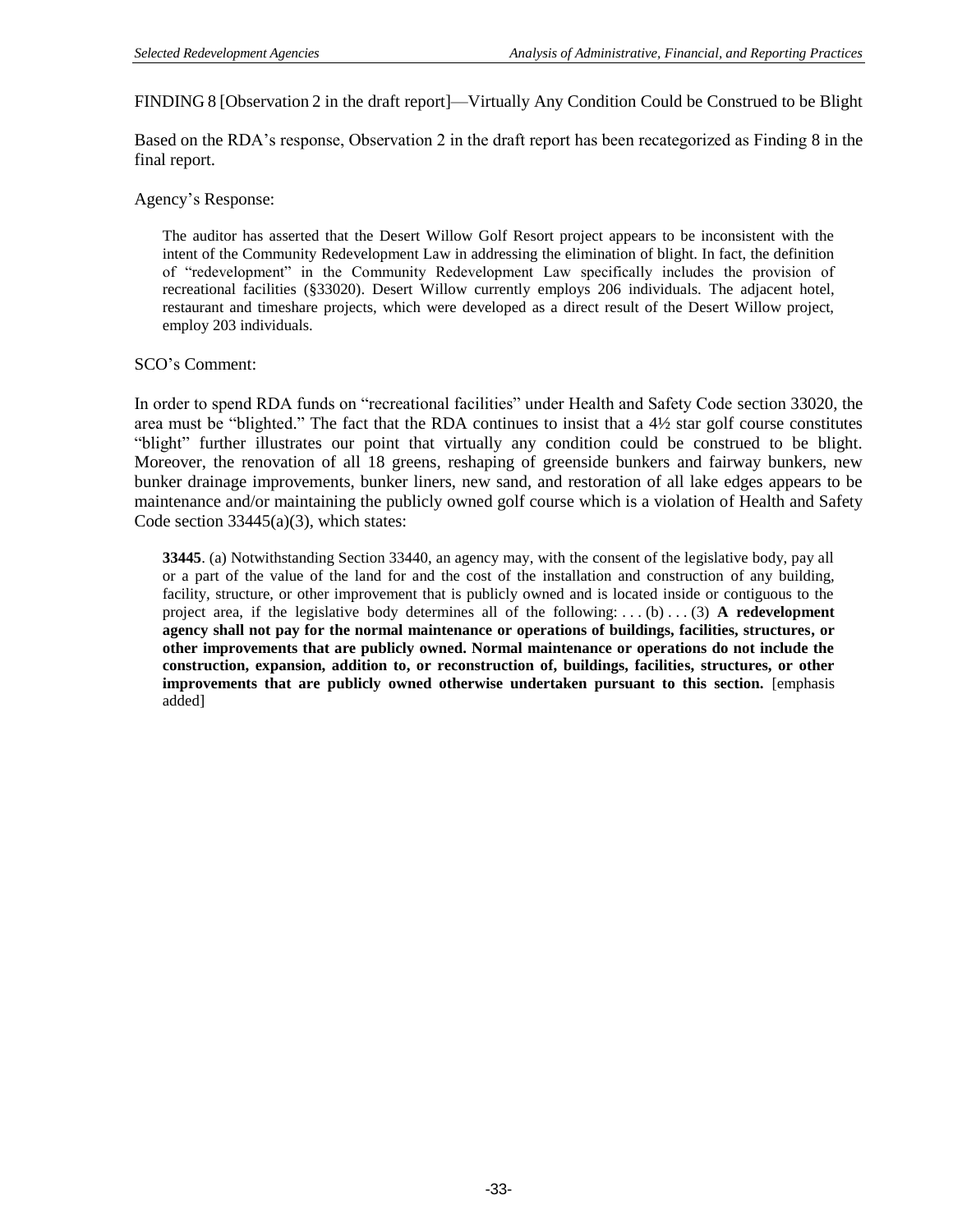FINDING 8 [Observation 2 in the draft report]—Virtually Any Condition Could be Construed to be Blight

Based on the RDA's response, Observation 2 in the draft report has been recategorized as Finding 8 in the final report.

Agency's Response:

The auditor has asserted that the Desert Willow Golf Resort project appears to be inconsistent with the intent of the Community Redevelopment Law in addressing the elimination of blight. In fact, the definition of "redevelopment" in the Community Redevelopment Law specifically includes the provision of recreational facilities (§33020). Desert Willow currently employs 206 individuals. The adjacent hotel, restaurant and timeshare projects, which were developed as a direct result of the Desert Willow project, employ 203 individuals.

#### SCO's Comment:

In order to spend RDA funds on "recreational facilities" under Health and Safety Code section 33020, the area must be "blighted." The fact that the RDA continues to insist that a 4½ star golf course constitutes "blight" further illustrates our point that virtually any condition could be construed to be blight. Moreover, the renovation of all 18 greens, reshaping of greenside bunkers and fairway bunkers, new bunker drainage improvements, bunker liners, new sand, and restoration of all lake edges appears to be maintenance and/or maintaining the publicly owned golf course which is a violation of Health and Safety Code section 33445(a)(3), which states:

**33445**. (a) Notwithstanding Section 33440, an agency may, with the consent of the legislative body, pay all or a part of the value of the land for and the cost of the installation and construction of any building, facility, structure, or other improvement that is publicly owned and is located inside or contiguous to the project area, if the legislative body determines all of the following: . . . (b) . . . (3) **A redevelopment agency shall not pay for the normal maintenance or operations of buildings, facilities, structures, or other improvements that are publicly owned. Normal maintenance or operations do not include the construction, expansion, addition to, or reconstruction of, buildings, facilities, structures, or other improvements that are publicly owned otherwise undertaken pursuant to this section.** [emphasis added]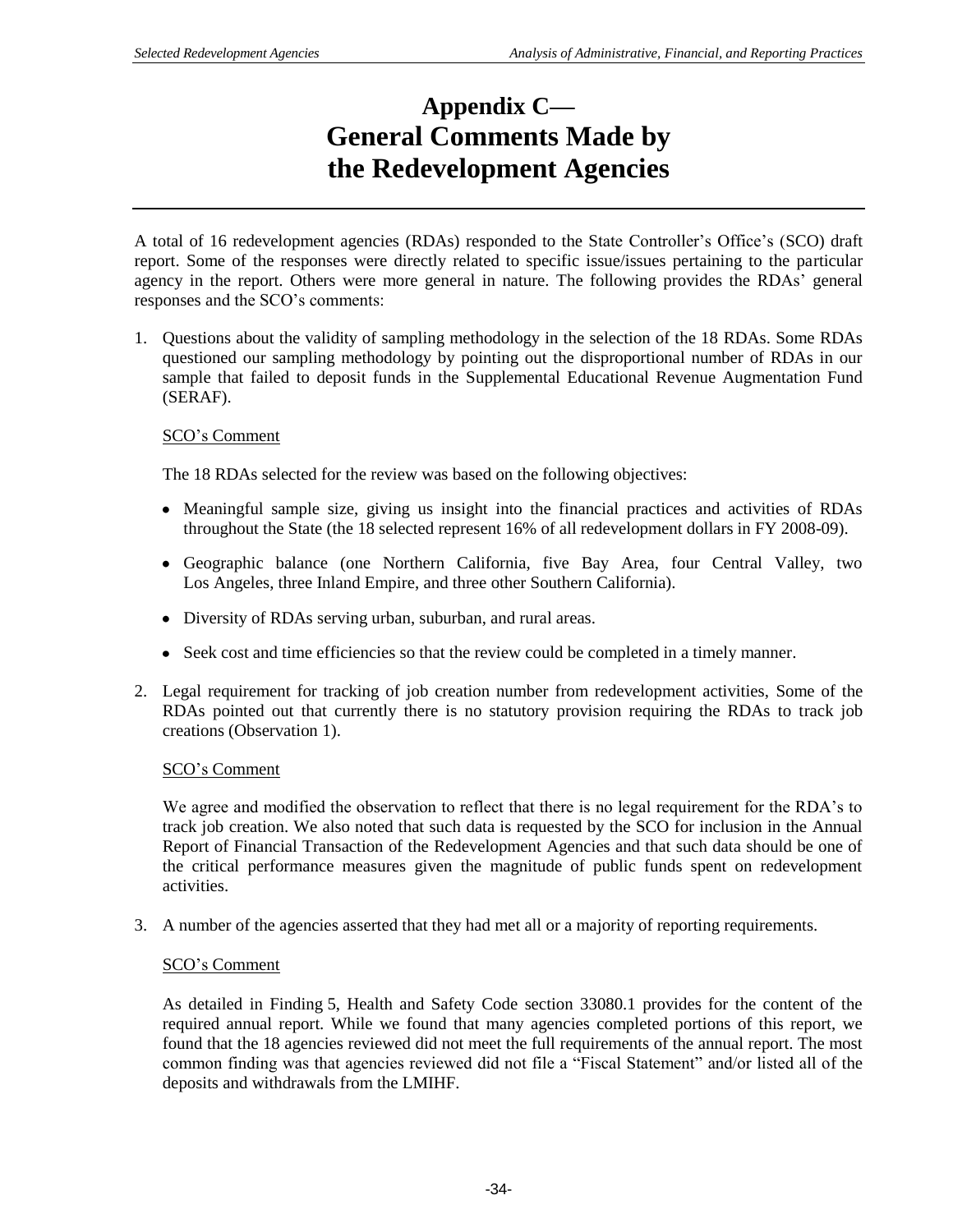# **Appendix C— General Comments Made by the Redevelopment Agencies**

A total of 16 redevelopment agencies (RDAs) responded to the State Controller's Office's (SCO) draft report. Some of the responses were directly related to specific issue/issues pertaining to the particular agency in the report. Others were more general in nature. The following provides the RDAs' general responses and the SCO's comments:

1. Questions about the validity of sampling methodology in the selection of the 18 RDAs. Some RDAs questioned our sampling methodology by pointing out the disproportional number of RDAs in our sample that failed to deposit funds in the Supplemental Educational Revenue Augmentation Fund (SERAF).

## SCO's Comment

The 18 RDAs selected for the review was based on the following objectives:

- Meaningful sample size, giving us insight into the financial practices and activities of RDAs throughout the State (the 18 selected represent 16% of all redevelopment dollars in FY 2008-09).
- Geographic balance (one Northern California, five Bay Area, four Central Valley, two Los Angeles, three Inland Empire, and three other Southern California).
- Diversity of RDAs serving urban, suburban, and rural areas.
- Seek cost and time efficiencies so that the review could be completed in a timely manner.
- 2. Legal requirement for tracking of job creation number from redevelopment activities, Some of the RDAs pointed out that currently there is no statutory provision requiring the RDAs to track job creations (Observation 1).

### SCO's Comment

We agree and modified the observation to reflect that there is no legal requirement for the RDA's to track job creation. We also noted that such data is requested by the SCO for inclusion in the Annual Report of Financial Transaction of the Redevelopment Agencies and that such data should be one of the critical performance measures given the magnitude of public funds spent on redevelopment activities.

3. A number of the agencies asserted that they had met all or a majority of reporting requirements.

### SCO's Comment

As detailed in Finding 5, Health and Safety Code section 33080.1 provides for the content of the required annual report. While we found that many agencies completed portions of this report, we found that the 18 agencies reviewed did not meet the full requirements of the annual report. The most common finding was that agencies reviewed did not file a "Fiscal Statement" and/or listed all of the deposits and withdrawals from the LMIHF.